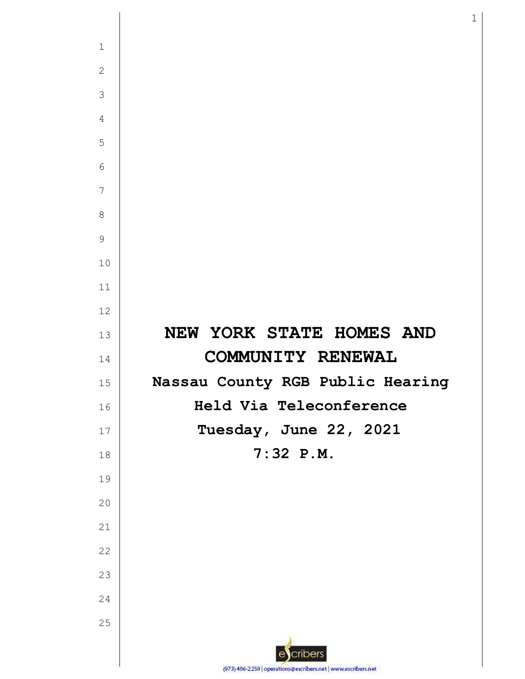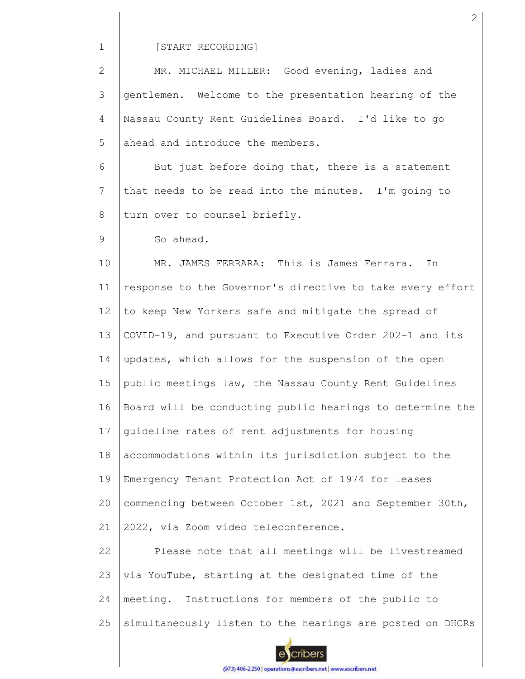1

#### [START RECORDING]

2 3 4 5 MR. MICHAEL MILLER: Good evening, ladies and gentlemen. Welcome to the presentation hearing of the Nassau County Rent Guidelines Board. I'd like to go ahead and introduce the members.

6 7 8 But just before doing that, there is a statement that needs to be read into the minutes. I'm going to turn over to counsel briefly.

#### 9 Go ahead.

10 11 12 13 14 15 16 17 18 19  $20$ 21 MR. JAMES FERRARA: This is James Ferrara. In response to the Governor's directive to take every effort to keep New Yorkers safe and mitigate the spread of COVID-19, and pursuant to Executive Order 202-1 and its updates, which allows for the suspension of the open public meetings law, the Nassau County Rent Guidelines Board will be conducting public hearings to determine the guideline rates of rent adjustments for housing accommodations within its jurisdiction subject to the Emergency Tenant Protection Act of 1974 for leases commencing between October 1st, 2021 and September 30th, 2022, via Zoom video teleconference.

22 23 24 25 Please note that all meetings will be livestreamed via YouTube, starting at the designated time of the meeting. Instructions for members of the public to simultaneously listen to the hearings are posted on DHCRs



2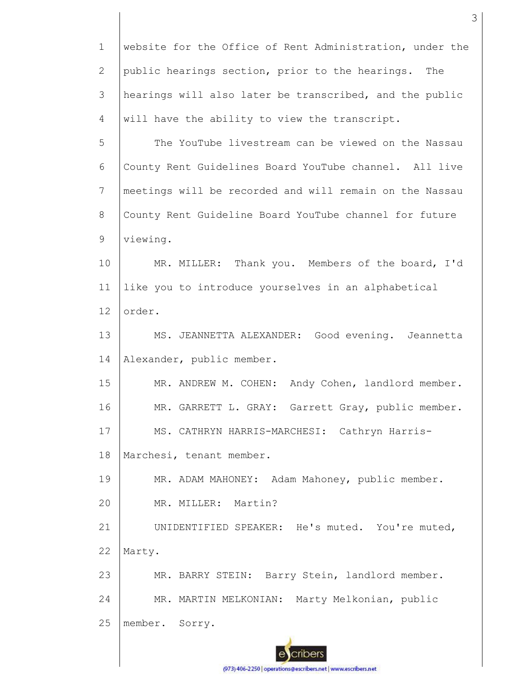1 2 3 4 website for the Office of Rent Administration, under the public hearings section, prior to the hearings. The hearings will also later be transcribed, and the public will have the ability to view the transcript.

5 6 7 8 9 The YouTube livestream can be viewed on the Nassau County Rent Guidelines Board YouTube channel. All live meetings will be recorded and will remain on the Nassau County Rent Guideline Board YouTube channel for future viewing.

10 11 12 MR. MILLER: Thank you. Members of the board, I'd like you to introduce yourselves in an alphabetical order.

13 14 MS. JEANNETTA ALEXANDER: Good evening. Jeannetta Alexander, public member.

15 16 17 18 MR. ANDREW M. COHEN: Andy Cohen, landlord member. MR. GARRETT L. GRAY: Garrett Gray, public member. MS. CATHRYN HARRIS-MARCHESI: Cathryn Harris-Marchesi, tenant member.

19 MR. ADAM MAHONEY: Adam Mahoney, public member.

20 MR. MILLER: Martin?

21 22 UNIDENTIFIED SPEAKER: He's muted. You're muted, Marty.

23 24 25 MR. BARRY STEIN: Barry Stein, landlord member. MR. MARTIN MELKONIAN: Marty Melkonian, public member. Sorry.

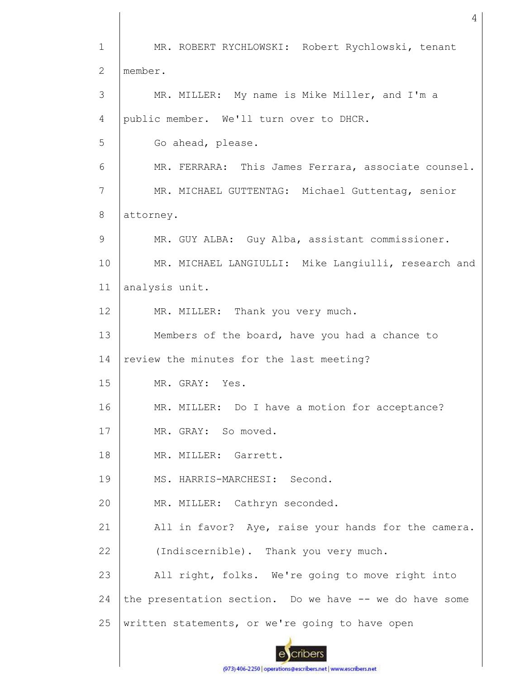1 2 3 4 5 6 7 8 9 10 11 12 13 14 15 16 17 18 19 20 21 22 23 24 25 MR. ROBERT RYCHLOWSKI: Robert Rychlowski, tenant member. MR. MILLER: My name is Mike Miller, and I'm a public member. We'll turn over to DHCR. Go ahead, please. MR. FERRARA: This James Ferrara, associate counsel. MR. MICHAEL GUTTENTAG: Michael Guttentag, senior attorney. MR. GUY ALBA: Guy Alba, assistant commissioner. MR. MICHAEL LANGIULLI: Mike Langiulli, research and analysis unit. MR. MILLER: Thank you very much. Members of the board, have you had a chance to review the minutes for the last meeting? MR. GRAY: Yes. MR. MILLER: Do I have a motion for acceptance? MR. GRAY: So moved. MR. MILLER: Garrett. MS. HARRIS-MARCHESI: Second. MR. MILLER: Cathryn seconded. All in favor? Aye, raise your hands for the camera. (Indiscernible). Thank you very much. All right, folks. We're going to move right into the presentation section. Do we have -- we do have some written statements, or we're going to have open

4

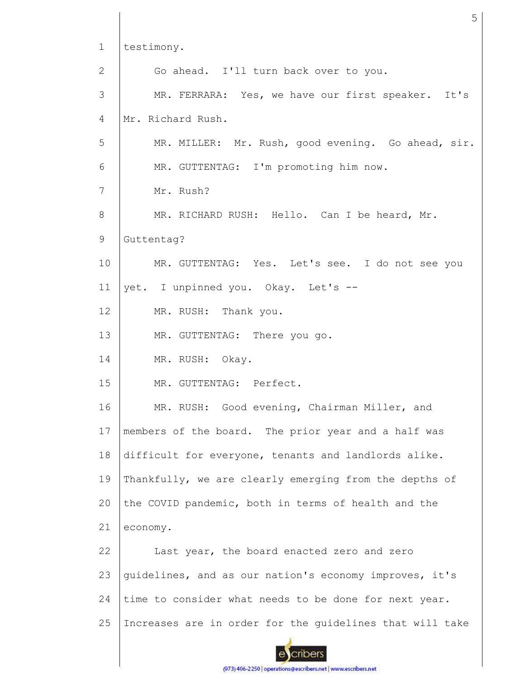| $\mathbf{1}$ | testimony.                                               |
|--------------|----------------------------------------------------------|
| 2            | Go ahead. I'll turn back over to you.                    |
| 3            | MR. FERRARA: Yes, we have our first speaker. It's        |
| 4            | Mr. Richard Rush.                                        |
| 5            | MR. MILLER: Mr. Rush, good evening. Go ahead, sir.       |
| 6            | MR. GUTTENTAG: I'm promoting him now.                    |
| 7            | Mr. Rush?                                                |
| 8            | MR. RICHARD RUSH: Hello. Can I be heard, Mr.             |
| 9            | Guttentag?                                               |
| 10           | MR. GUTTENTAG: Yes. Let's see. I do not see you          |
| 11           | yet. I unpinned you. Okay. Let's --                      |
| 12           | MR. RUSH: Thank you.                                     |
| 13           | MR. GUTTENTAG: There you go.                             |
| 14           | MR. RUSH: Okay.                                          |
| 15           | MR. GUTTENTAG: Perfect.                                  |
| 16           | MR. RUSH: Good evening, Chairman Miller, and             |
| 17           | members of the board. The prior year and a half was      |
| 18           | difficult for everyone, tenants and landlords alike.     |
| 19           | Thankfully, we are clearly emerging from the depths of   |
| 20           | the COVID pandemic, both in terms of health and the      |
| 21           | economy.                                                 |
| 22           | Last year, the board enacted zero and zero               |
| 23           | guidelines, and as our nation's economy improves, it's   |
| 24           | time to consider what needs to be done for next year.    |
| 25           | Increases are in order for the quidelines that will take |
|              |                                                          |
|              |                                                          |

5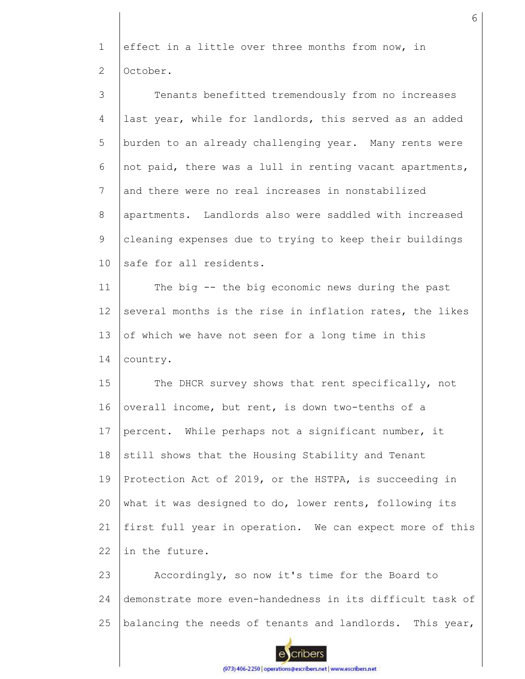1 2 effect in a little over three months from now, in October.

3 4 5 6 7 8 9 10 11 12 13 14 15 16 17 Tenants benefitted tremendously from no increases last year, while for landlords, this served as an added burden to an already challenging year. Many rents were not paid, there was a lull in renting vacant apartments, and there were no real increases in nonstabilized apartments. Landlords also were saddled with increased cleaning expenses due to trying to keep their buildings safe for all residents. The big -- the big economic news during the past several months is the rise in inflation rates, the likes of which we have not seen for a long time in this country. The DHCR survey shows that rent specifically, not overall income, but rent, is down two-tenths of a percent. While perhaps not a significant number, it

18 19 20 21 22 still shows that the Housing Stability and Tenant Protection Act of 2019, or the HSTPA, is succeeding in what it was designed to do, lower rents, following its first full year in operation. We can expect more of this in the future.

23 24 25 Accordingly, so now it's time for the Board to demonstrate more even-handedness in its difficult task of balancing the needs of tenants and landlords. This year,

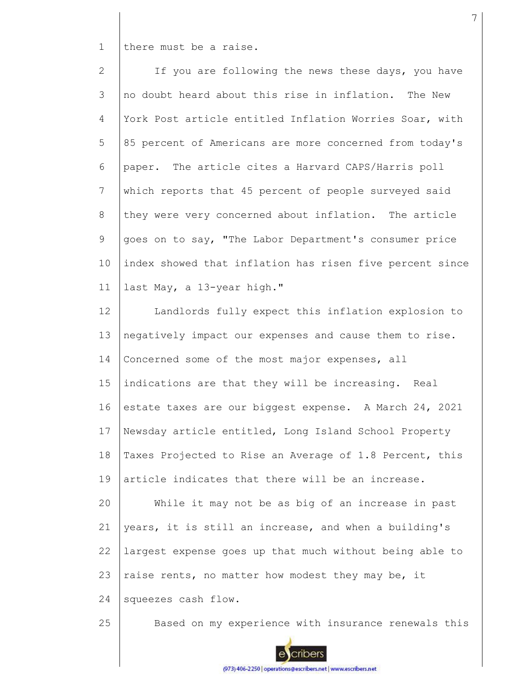1 there must be a raise.

2 3 4 5 6 7 8 9 10 11 If you are following the news these days, you have no doubt heard about this rise in inflation. The New York Post article entitled Inflation Worries Soar, with 85 percent of Americans are more concerned from today's paper. The article cites a Harvard CAPS/Harris poll which reports that 45 percent of people surveyed said they were very concerned about inflation. The article goes on to say, "The Labor Department's consumer price index showed that inflation has risen five percent since last May, a 13-year high."

12 13 14 15 16 17 18 19 20 21 22 23 24 Landlords fully expect this inflation explosion to negatively impact our expenses and cause them to rise. Concerned some of the most major expenses, all indications are that they will be increasing. Real estate taxes are our biggest expense. A March 24, 2021 Newsday article entitled, Long Island School Property Taxes Projected to Rise an Average of 1.8 Percent, this article indicates that there will be an increase. While it may not be as big of an increase in past years, it is still an increase, and when a building's largest expense goes up that much without being able to raise rents, no matter how modest they may be, it squeezes cash flow.

25



Based on my experience with insurance renewals this

(973) 406-2250 | operations@escribers.net | www.escribers.net

7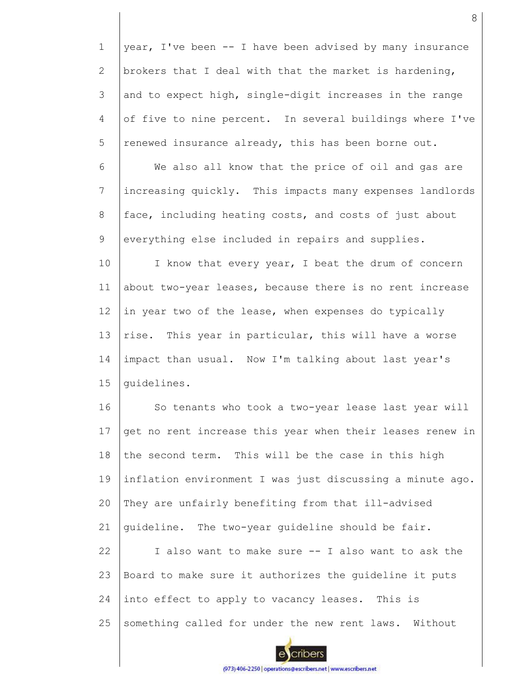1 2 3 4 5 6 7 8 9 10 11 12 13 14 15 16 17 18 19 20 21 22 23 24 25 year, I've been -- I have been advised by many insurance brokers that I deal with that the market is hardening, and to expect high, single-digit increases in the range of five to nine percent. In several buildings where I've renewed insurance already, this has been borne out. We also all know that the price of oil and gas are increasing quickly. This impacts many expenses landlords face, including heating costs, and costs of just about everything else included in repairs and supplies. I know that every year, I beat the drum of concern about two-year leases, because there is no rent increase in year two of the lease, when expenses do typically rise. This year in particular, this will have a worse impact than usual. Now I'm talking about last year's guidelines. So tenants who took a two-year lease last year will get no rent increase this year when their leases renew in the second term. This will be the case in this high inflation environment I was just discussing a minute ago. They are unfairly benefiting from that ill-advised guideline. The two-year guideline should be fair. I also want to make sure -- I also want to ask the Board to make sure it authorizes the guideline it puts into effect to apply to vacancy leases. This is something called for under the new rent laws. Without

8

cribers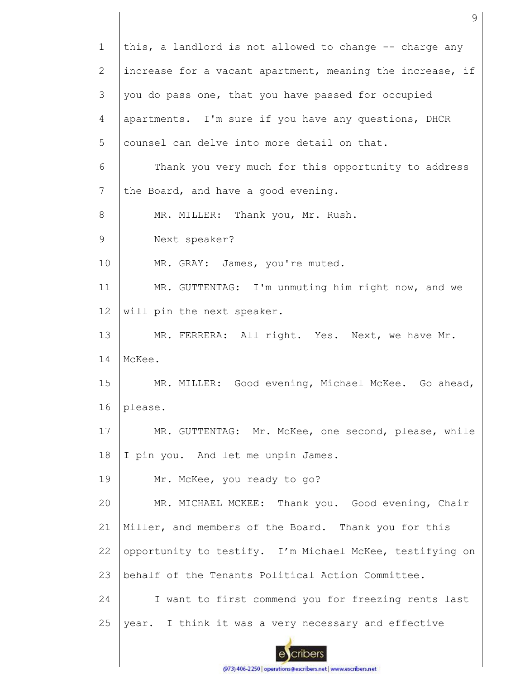1 this, a landlord is not allowed to change -- charge any 2 increase for a vacant apartment, meaning the increase, if 3 you do pass one, that you have passed for occupied 4 apartments. I'm sure if you have any questions, DHCR 5 counsel can delve into more detail on that. 6 Thank you very much for this opportunity to address 7 the Board, and have a good evening. 8 MR. MILLER: Thank you, Mr. Rush. 9 Next speaker? MR. GRAY: James, you're muted. 10 MR. GUTTENTAG: I'm unmuting him right now, and we 11 12 will pin the next speaker. 13 MR. FERRERA: All right. Yes. Next, we have Mr. 14 McKee. 15 MR. MILLER: Good evening, Michael McKee. Go ahead, 16 please. 17 MR. GUTTENTAG: Mr. McKee, one second, please, while 18 I pin you. And let me unpin James. 19 Mr. McKee, you ready to go? MR. MICHAEL MCKEE: Thank you. Good evening, Chair 20 21 Miller, and members of the Board. Thank you for this opportunity to testify. I'm Michael McKee, testifying on 22 23 behalf of the Tenants Political Action Committee. 24 I want to first commend you for freezing rents last 25 year. I think it was a very necessary and effective cribers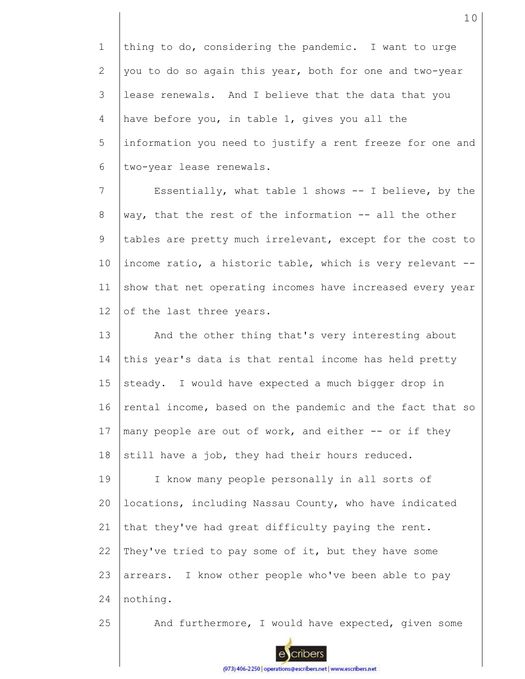1 2 3 4 5 6 thing to do, considering the pandemic. I want to urge you to do so again this year, both for one and two-year lease renewals. And I believe that the data that you have before you, in table 1, gives you all the information you need to justify a rent freeze for one and two-year lease renewals.

7 8 9 10 11 12 Essentially, what table 1 shows -- I believe, by the way, that the rest of the information -- all the other tables are pretty much irrelevant, except for the cost to income ratio, a historic table, which is very relevant - show that net operating incomes have increased every year of the last three years.

13 14 15 16 17 18 And the other thing that's very interesting about this year's data is that rental income has held pretty steady. I would have expected a much bigger drop in rental income, based on the pandemic and the fact that so many people are out of work, and either -- or if they still have a job, they had their hours reduced.

19 20 21 22 23 24 I know many people personally in all sorts of locations, including Nassau County, who have indicated that they've had great difficulty paying the rent. They've tried to pay some of it, but they have some arrears. I know other people who've been able to pay nothing.

25

And furthermore, I would have expected, given some

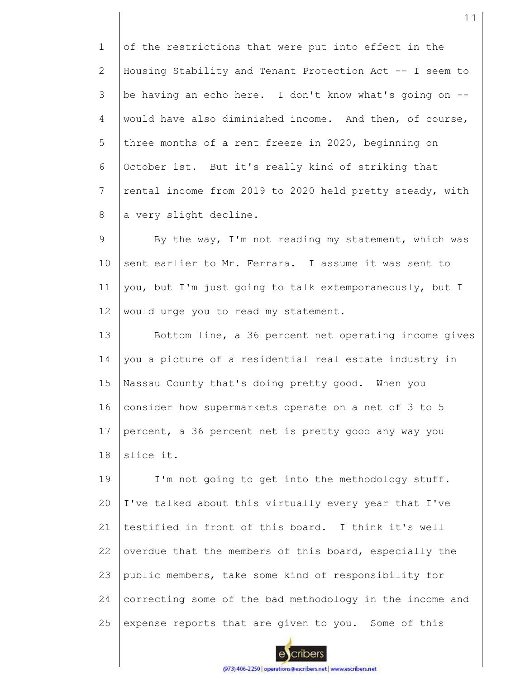1 2 3 4 5 6 7 8 of the restrictions that were put into effect in the Housing Stability and Tenant Protection Act -- I seem to be having an echo here. I don't know what's going on - would have also diminished income. And then, of course, three months of a rent freeze in 2020, beginning on October 1st. But it's really kind of striking that rental income from 2019 to 2020 held pretty steady, with a very slight decline.

9 10 11 12 By the way, I'm not reading my statement, which was sent earlier to Mr. Ferrara. I assume it was sent to you, but I'm just going to talk extemporaneously, but I would urge you to read my statement.

13 14 15 16 17 18 Bottom line, a 36 percent net operating income gives you a picture of a residential real estate industry in Nassau County that's doing pretty good. When you consider how supermarkets operate on a net of 3 to 5 percent, a 36 percent net is pretty good any way you slice it.

19 20 21 22 23 24 25 I'm not going to get into the methodology stuff. I've talked about this virtually every year that I've testified in front of this board. I think it's well overdue that the members of this board, especially the public members, take some kind of responsibility for correcting some of the bad methodology in the income and expense reports that are given to you. Some of this

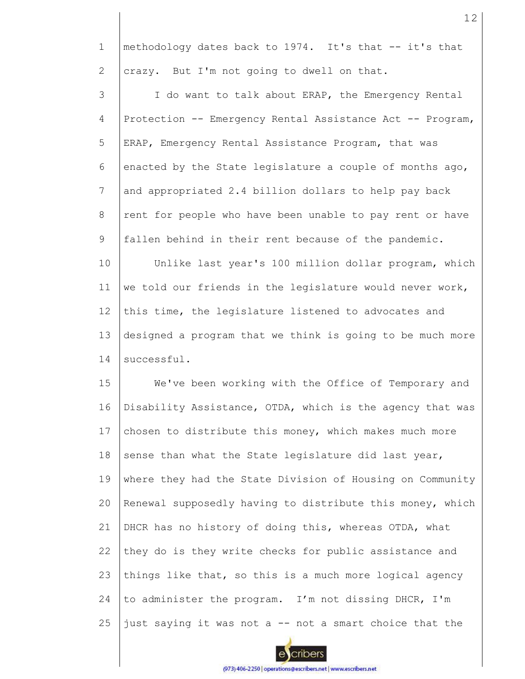1 2 methodology dates back to 1974. It's that -- it's that crazy. But I'm not going to dwell on that.

3 4 5 6 7 8 9 10 11 12 I do want to talk about ERAP, the Emergency Rental Protection -- Emergency Rental Assistance Act -- Program, ERAP, Emergency Rental Assistance Program, that was enacted by the State legislature a couple of months ago, and appropriated 2.4 billion dollars to help pay back rent for people who have been unable to pay rent or have fallen behind in their rent because of the pandemic. Unlike last year's 100 million dollar program, which we told our friends in the legislature would never work, this time, the legislature listened to advocates and

13 14 designed a program that we think is going to be much more successful.

15 16 17 18 19 20 21 22 23 24 25 We've been working with the Office of Temporary and Disability Assistance, OTDA, which is the agency that was chosen to distribute this money, which makes much more sense than what the State legislature did last year, where they had the State Division of Housing on Community Renewal supposedly having to distribute this money, which DHCR has no history of doing this, whereas OTDA, what they do is they write checks for public assistance and things like that, so this is a much more logical agency to administer the program. I'm not dissing DHCR, I'm just saying it was not a -- not a smart choice that the

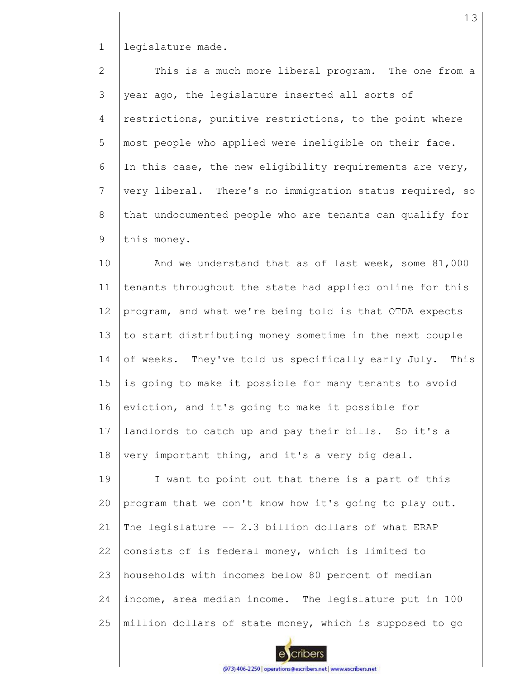1 legislature made.

2 3 4 5 6 7 8 9 This is a much more liberal program. The one from a year ago, the legislature inserted all sorts of restrictions, punitive restrictions, to the point where most people who applied were ineligible on their face. In this case, the new eligibility requirements are very, very liberal. There's no immigration status required, so that undocumented people who are tenants can qualify for this money.

10 11 12 13 14 15 16 17 18 And we understand that as of last week, some 81,000 tenants throughout the state had applied online for this program, and what we're being told is that OTDA expects to start distributing money sometime in the next couple of weeks. They've told us specifically early July. This is going to make it possible for many tenants to avoid eviction, and it's going to make it possible for landlords to catch up and pay their bills. So it's a very important thing, and it's a very big deal.

19 20 21 22 23 24 25 I want to point out that there is a part of this program that we don't know how it's going to play out. The legislature -- 2.3 billion dollars of what ERAP consists of is federal money, which is limited to households with incomes below 80 percent of median income, area median income. The legislature put in 100 million dollars of state money, which is supposed to go

cribers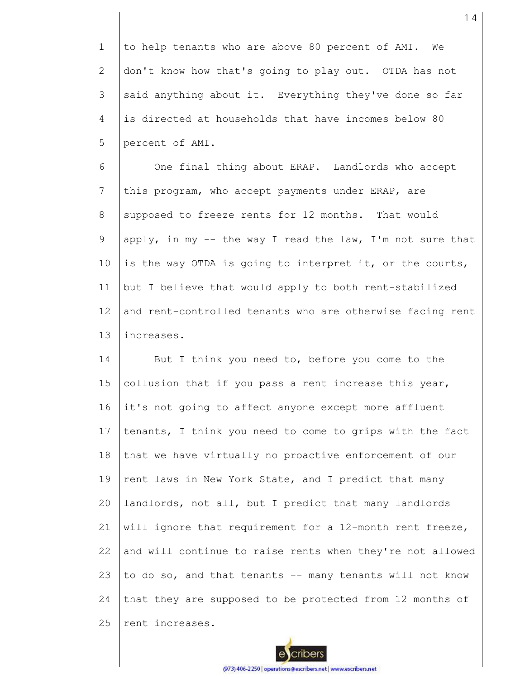1 2 3 4 5 to help tenants who are above 80 percent of AMI. We don't know how that's going to play out. OTDA has not said anything about it. Everything they've done so far is directed at households that have incomes below 80 percent of AMI.

6 7 8 9 10 11 12 13 One final thing about ERAP. Landlords who accept this program, who accept payments under ERAP, are supposed to freeze rents for 12 months. That would apply, in my  $-$  the way I read the law, I'm not sure that is the way OTDA is going to interpret it, or the courts, but I believe that would apply to both rent-stabilized and rent-controlled tenants who are otherwise facing rent increases.

14 15 16 17 18 19 20 21 22 23 24 25 But I think you need to, before you come to the collusion that if you pass a rent increase this year, it's not going to affect anyone except more affluent tenants, I think you need to come to grips with the fact that we have virtually no proactive enforcement of our rent laws in New York State, and I predict that many landlords, not all, but I predict that many landlords will ignore that requirement for a 12-month rent freeze, and will continue to raise rents when they're not allowed to do so, and that tenants -- many tenants will not know that they are supposed to be protected from 12 months of rent increases.

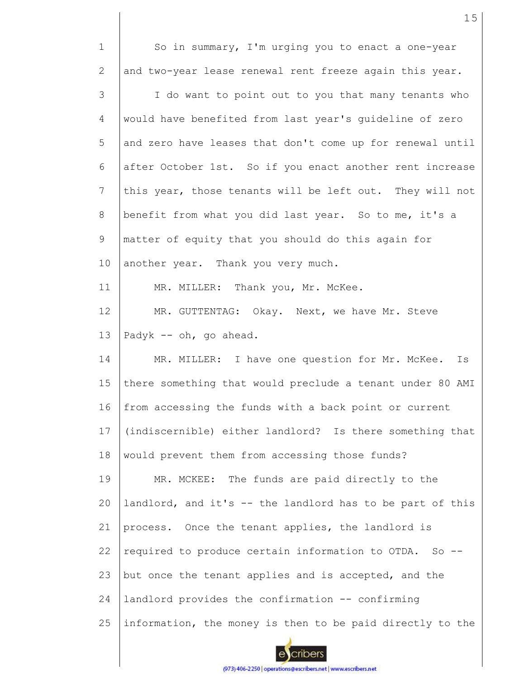| $\mathbf{1}$    | So in summary, I'm urging you to enact a one-year         |
|-----------------|-----------------------------------------------------------|
| 2               | and two-year lease renewal rent freeze again this year.   |
| 3               | I do want to point out to you that many tenants who       |
| 4               | would have benefited from last year's guideline of zero   |
| 5               | and zero have leases that don't come up for renewal until |
| 6               | after October 1st. So if you enact another rent increase  |
| $7\phantom{.0}$ | this year, those tenants will be left out. They will not  |
| 8               | benefit from what you did last year. So to me, it's a     |
| 9               | matter of equity that you should do this again for        |
| 10              | another year. Thank you very much.                        |
| 11              | MR. MILLER: Thank you, Mr. McKee.                         |
| 12              | MR. GUTTENTAG: Okay. Next, we have Mr. Steve              |
| 13              | Padyk -- oh, go ahead.                                    |
| 14              | MR. MILLER: I have one question for Mr. McKee.<br>Is      |
| 15              | there something that would preclude a tenant under 80 AMI |
| 16              | from accessing the funds with a back point or current     |
| 17              | (indiscernible) either landlord? Is there something that  |
| 18              | would prevent them from accessing those funds?            |
| 19              | MR. MCKEE: The funds are paid directly to the             |
| 20              | landlord, and it's -- the landlord has to be part of this |
| 21              | process. Once the tenant applies, the landlord is         |
| 22              | required to produce certain information to OTDA. So -     |
| 23              | but once the tenant applies and is accepted, and the      |
| 24              | landlord provides the confirmation -- confirming          |
| 25              | information, the money is then to be paid directly to the |

15

escribers (973) 406-2250 | operations@escribers.net | www.escribers.net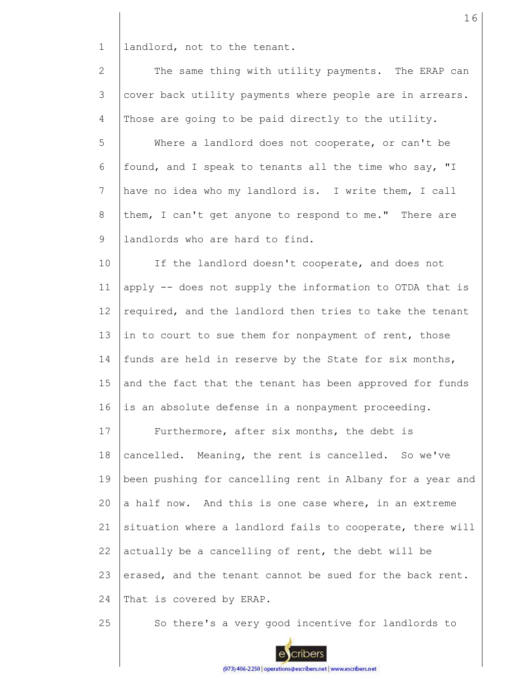1 landlord, not to the tenant.

2 3 4 The same thing with utility payments. The ERAP can cover back utility payments where people are in arrears. Those are going to be paid directly to the utility.

5 6 7 8 9 Where a landlord does not cooperate, or can't be found, and I speak to tenants all the time who say, "I have no idea who my landlord is. I write them, I call them, I can't get anyone to respond to me." There are landlords who are hard to find.

10 11 12 13 14 15 16 If the landlord doesn't cooperate, and does not apply -- does not supply the information to OTDA that is required, and the landlord then tries to take the tenant in to court to sue them for nonpayment of rent, those funds are held in reserve by the State for six months, and the fact that the tenant has been approved for funds is an absolute defense in a nonpayment proceeding.

17 18 19 20 21 22 23 24 Furthermore, after six months, the debt is cancelled. Meaning, the rent is cancelled. So we've been pushing for cancelling rent in Albany for a year and a half now. And this is one case where, in an extreme situation where a landlord fails to cooperate, there will actually be a cancelling of rent, the debt will be erased, and the tenant cannot be sued for the back rent. That is covered by ERAP.

25 So there's a very good incentive for landlords to

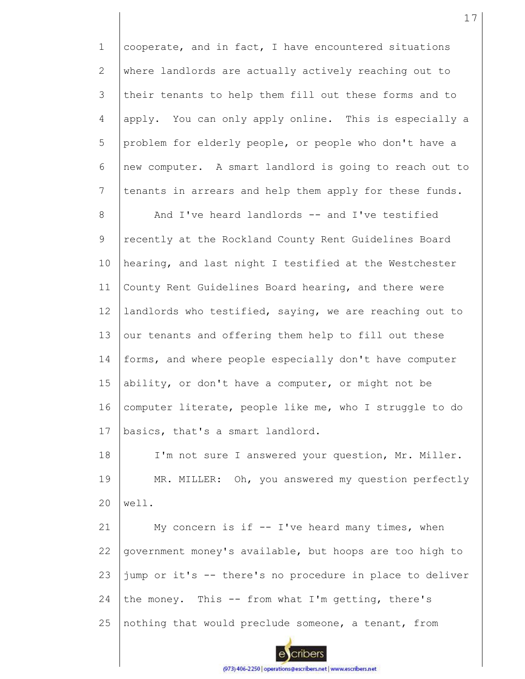1 2 3 4 5 6 7 8 9 10 11 12 13 14 15 16 17 18 19  $20$ cooperate, and in fact, I have encountered situations where landlords are actually actively reaching out to their tenants to help them fill out these forms and to apply. You can only apply online. This is especially a problem for elderly people, or people who don't have a new computer. A smart landlord is going to reach out to tenants in arrears and help them apply for these funds. And I've heard landlords -- and I've testified recently at the Rockland County Rent Guidelines Board hearing, and last night I testified at the Westchester County Rent Guidelines Board hearing, and there were landlords who testified, saying, we are reaching out to our tenants and offering them help to fill out these forms, and where people especially don't have computer ability, or don't have a computer, or might not be computer literate, people like me, who I struggle to do basics, that's a smart landlord. I'm not sure I answered your question, Mr. Miller. MR. MILLER: Oh, you answered my question perfectly well.

21 22 23 24 25 My concern is if -- I've heard many times, when government money's available, but hoops are too high to jump or it's -- there's no procedure in place to deliver the money. This  $-$  from what I'm getting, there's nothing that would preclude someone, a tenant, from

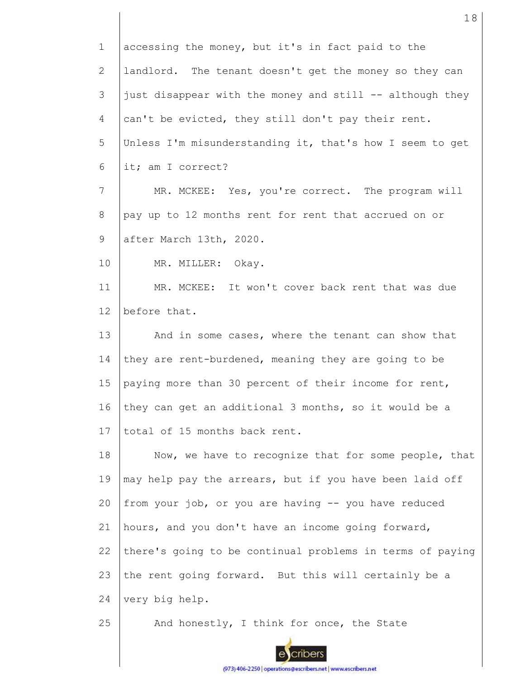| $\mathbf 1$     | accessing the money, but it's in fact paid to the         |
|-----------------|-----------------------------------------------------------|
| $\mathbf{2}$    | landlord. The tenant doesn't get the money so they can    |
| 3               | just disappear with the money and still -- although they  |
| 4               | can't be evicted, they still don't pay their rent.        |
| 5               | Unless I'm misunderstanding it, that's how I seem to get  |
| 6               | it; am I correct?                                         |
| $7\phantom{.}$  | MR. MCKEE: Yes, you're correct. The program will          |
| 8               | pay up to 12 months rent for rent that accrued on or      |
| 9               | after March 13th, 2020.                                   |
| 10              | MR. MILLER: Okay.                                         |
| 11              | MR. MCKEE: It won't cover back rent that was due          |
| 12 <sup>°</sup> | before that.                                              |
| 13              | And in some cases, where the tenant can show that         |
| 14              | they are rent-burdened, meaning they are going to be      |
| 15              | paying more than 30 percent of their income for rent,     |
| 16              | they can get an additional 3 months, so it would be a     |
| 17              | total of 15 months back rent.                             |
| 18              | Now, we have to recognize that for some people, that      |
| 19              | may help pay the arrears, but if you have been laid off   |
| 20              | from your job, or you are having -- you have reduced      |
| 21              | hours, and you don't have an income going forward,        |
| 22              | there's going to be continual problems in terms of paying |
| 23              | the rent going forward. But this will certainly be a      |
| 24              | very big help.                                            |
| 25              | And honestly, I think for once, the State                 |
|                 |                                                           |

18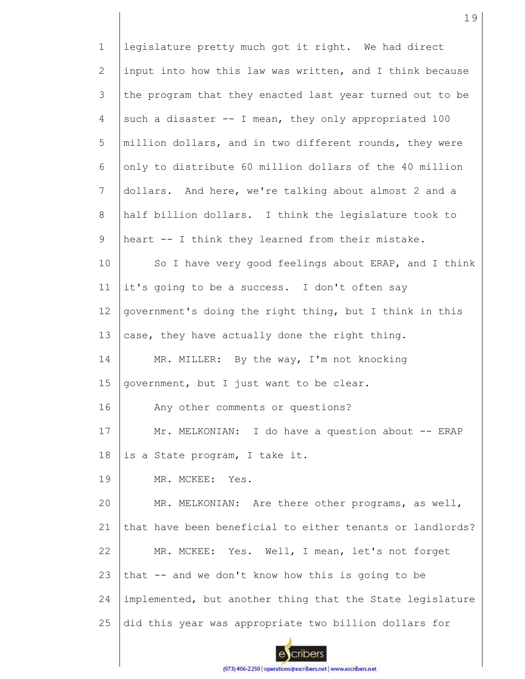1 legislature pretty much got it right. We had direct 2 input into how this law was written, and I think because 3 the program that they enacted last year turned out to be 4 such a disaster  $-$  I mean, they only appropriated 100 5 million dollars, and in two different rounds, they were 6 only to distribute 60 million dollars of the 40 million 7 dollars. And here, we're talking about almost 2 and a 8 half billion dollars. I think the legislature took to 9 heart -- I think they learned from their mistake. 10 So I have very good feelings about ERAP, and I think it's going to be a success. I don't often say 11 12 government's doing the right thing, but I think in this 13 case, they have actually done the right thing. 14 MR. MILLER: By the way, I'm not knocking 15 government, but I just want to be clear. 16 Any other comments or questions? 17 Mr. MELKONIAN: I do have a question about -- ERAP 18 is a State program, I take it. 19 MR. MCKEE: Yes. MR. MELKONIAN: Are there other programs, as well, 20 21 that have been beneficial to either tenants or landlords? 22 MR. MCKEE: Yes. Well, I mean, let's not forget 23 that -- and we don't know how this is going to be implemented, but another thing that the State legislature 24 25 did this year was appropriate two billion dollars for cribers

19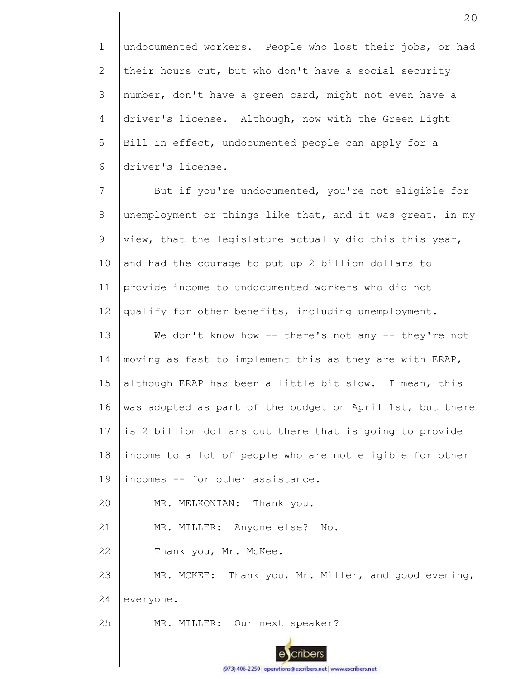1 2 3 4 5 6 undocumented workers. People who lost their jobs, or had their hours cut, but who don't have a social security number, don't have a green card, might not even have a driver's license. Although, now with the Green Light Bill in effect, undocumented people can apply for a driver's license.

7 8 9 10 11 12 13 14 15 16 17 18 19 20 21 22 23 24 25 But if you're undocumented, you're not eligible for unemployment or things like that, and it was great, in my view, that the legislature actually did this this year, and had the courage to put up 2 billion dollars to provide income to undocumented workers who did not qualify for other benefits, including unemployment. We don't know how -- there's not any -- they're not moving as fast to implement this as they are with ERAP, although ERAP has been a little bit slow. I mean, this was adopted as part of the budget on April 1st, but there is 2 billion dollars out there that is going to provide income to a lot of people who are not eligible for other incomes -- for other assistance. MR. MELKONIAN: Thank you. MR. MILLER: Anyone else? No. Thank you, Mr. McKee. MR. MCKEE: Thank you, Mr. Miller, and good evening, everyone. MR. MILLER: Our next speaker?

(973) 406-2250 | operations@escribers.net | www.escribers.net

cribers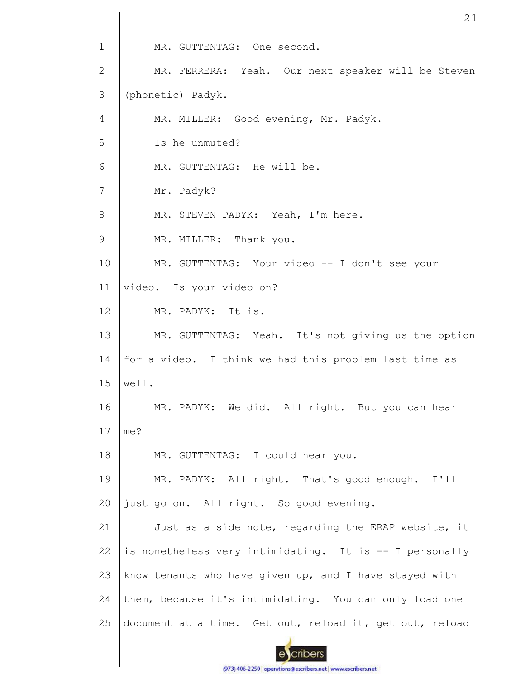1 MR. GUTTENTAG: One second. MR. FERRERA: Yeah. Our next speaker will be Steven 2 3 (phonetic) Padyk. 4 MR. MILLER: Good evening, Mr. Padyk. 5 Is he unmuted? 6 MR. GUTTENTAG: He will be. 7 Mr. Padyk? MR. STEVEN PADYK: Yeah, I'm here. 8 9 MR. MILLER: Thank you. 10 MR. GUTTENTAG: Your video -- I don't see your 11 video. Is your video on? 12 MR. PADYK: It is. 13 MR. GUTTENTAG: Yeah. It's not giving us the option 14 for a video. I think we had this problem last time as 15 well. 16 MR. PADYK: We did. All right. But you can hear 17 me? 18 MR. GUTTENTAG: I could hear you. 19 MR. PADYK: All right. That's good enough. I'll just go on. All right. So good evening. 20 21 Just as a side note, regarding the ERAP website, it is nonetheless very intimidating. It is -- I personally 22 23 know tenants who have given up, and I have stayed with 24 them, because it's intimidating. You can only load one 25 document at a time. Get out, reload it, get out, reload cribers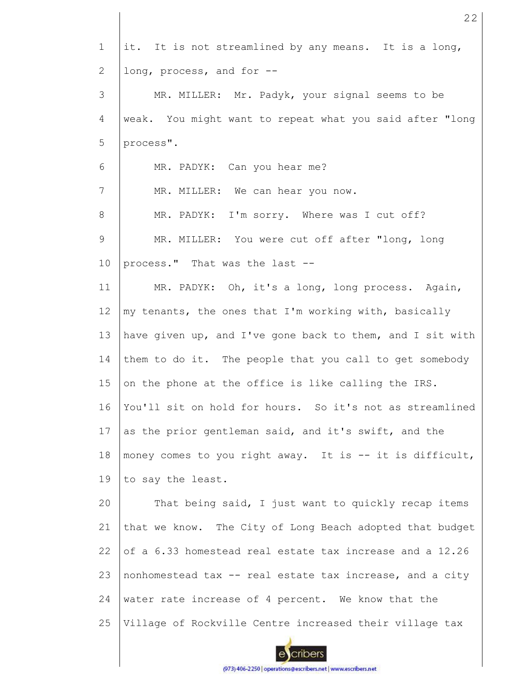| $\mathbf 1$    | it. It is not streamlined by any means. It is a long,     |
|----------------|-----------------------------------------------------------|
| $\overline{2}$ | long, process, and for --                                 |
| 3              | MR. MILLER: Mr. Padyk, your signal seems to be            |
| 4              | weak. You might want to repeat what you said after "long  |
| 5              | process".                                                 |
| 6              | MR. PADYK: Can you hear me?                               |
| 7              | MR. MILLER: We can hear you now.                          |
| 8              | MR. PADYK: I'm sorry. Where was I cut off?                |
| $\mathsf 9$    | MR. MILLER: You were cut off after "long, long            |
| 10             | process." That was the last --                            |
| 11             | MR. PADYK: Oh, it's a long, long process. Again,          |
| 12             | my tenants, the ones that I'm working with, basically     |
| 13             | have given up, and I've gone back to them, and I sit with |
| 14             | them to do it. The people that you call to get somebody   |
| 15             | on the phone at the office is like calling the IRS.       |
| 16             | You'll sit on hold for hours. So it's not as streamlined  |
| 17             | as the prior gentleman said, and it's swift, and the      |
| 18             | money comes to you right away. It is -- it is difficult,  |
| 19             | to say the least.                                         |
| 20             | That being said, I just want to quickly recap items       |
| 21             | that we know. The City of Long Beach adopted that budget  |
| 22             | of a 6.33 homestead real estate tax increase and a 12.26  |
| 23             | nonhomestead tax -- real estate tax increase, and a city  |
| 24             | water rate increase of 4 percent. We know that the        |
| 25             | Village of Rockville Centre increased their village tax   |
|                |                                                           |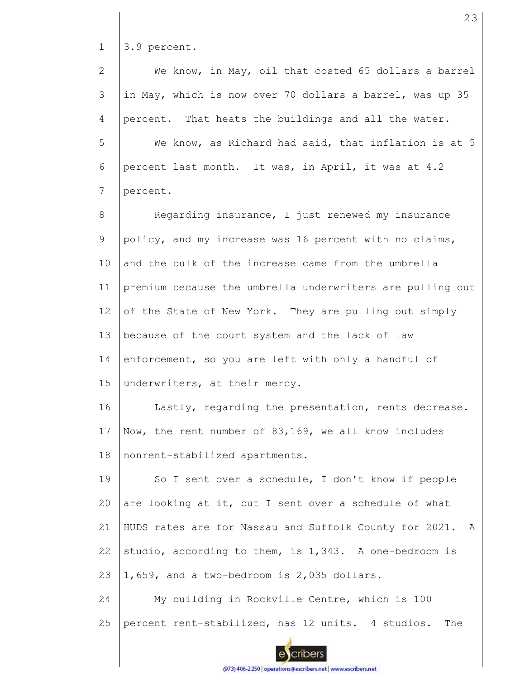1 3.9 percent.

We know, in May, oil that costed 65 dollars a barrel 2 3 in May, which is now over 70 dollars a barrel, was up 35 4 percent. That heats the buildings and all the water. 5 We know, as Richard had said, that inflation is at 5 6 percent last month. It was, in April, it was at 4.2 7 percent. Regarding insurance, I just renewed my insurance 8 9 policy, and my increase was 16 percent with no claims, 10 and the bulk of the increase came from the umbrella 11 premium because the umbrella underwriters are pulling out 12 of the State of New York. They are pulling out simply 13 because of the court system and the lack of law 14 enforcement, so you are left with only a handful of 15 underwriters, at their mercy. Lastly, regarding the presentation, rents decrease. 16 Now, the rent number of 83,169, we all know includes 17 18 nonrent-stabilized apartments. 19 So I sent over a schedule, I don't know if people are looking at it, but I sent over a schedule of what 20 21 HUDS rates are for Nassau and Suffolk County for 2021. A studio, according to them, is 1,343. A one-bedroom is 22 23 1,659, and a two-bedroom is 2,035 dollars. 24 My building in Rockville Centre, which is 100 25 percent rent-stabilized, has 12 units. 4 studios. The cribers

23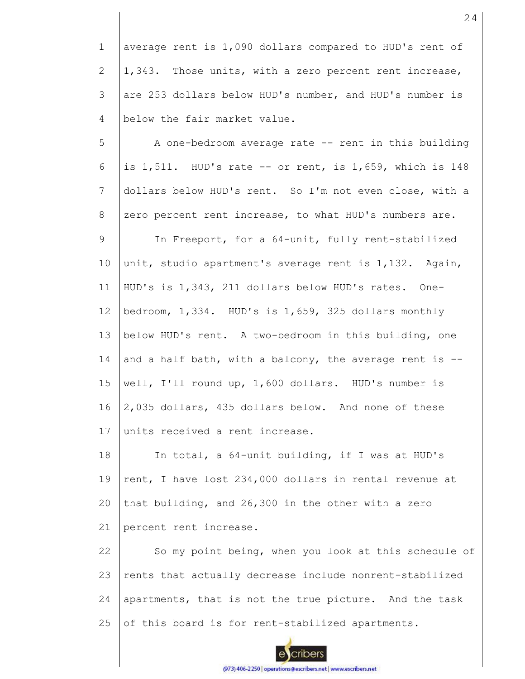1 2 3 4 average rent is 1,090 dollars compared to HUD's rent of 1,343. Those units, with a zero percent rent increase, are 253 dollars below HUD's number, and HUD's number is below the fair market value.

5 6 7 8 A one-bedroom average rate -- rent in this building is 1,511. HUD's rate -- or rent, is 1,659, which is 148 dollars below HUD's rent. So I'm not even close, with a zero percent rent increase, to what HUD's numbers are.

9 10 11 12 13 14 15 16 17 In Freeport, for a 64-unit, fully rent-stabilized unit, studio apartment's average rent is 1,132. Again, HUD's is 1,343, 211 dollars below HUD's rates. Onebedroom, 1,334. HUD's is 1,659, 325 dollars monthly below HUD's rent. A two-bedroom in this building, one and a half bath, with a balcony, the average rent is  $-$ well, I'll round up, 1,600 dollars. HUD's number is 2,035 dollars, 435 dollars below. And none of these units received a rent increase.

18 19 20 21 In total, a 64-unit building, if I was at HUD's rent, I have lost 234,000 dollars in rental revenue at that building, and 26,300 in the other with a zero percent rent increase.

22 23 24 25 So my point being, when you look at this schedule of rents that actually decrease include nonrent-stabilized apartments, that is not the true picture. And the task of this board is for rent-stabilized apartments.

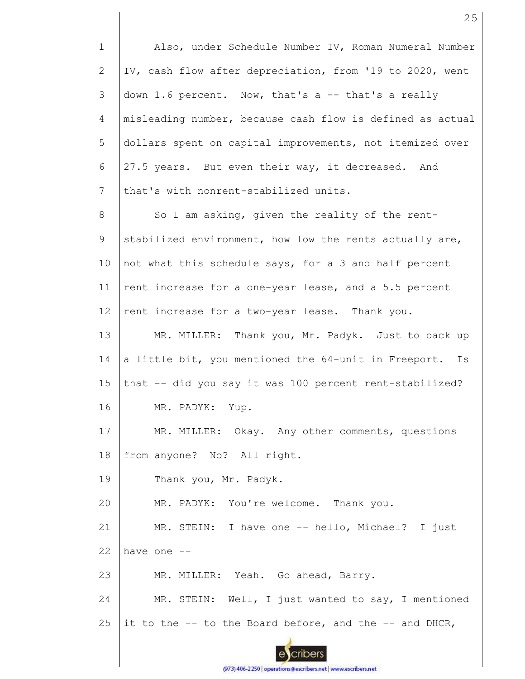1 2 3 4 5 6 7 8 9 10 11 12 13 14 15 16 17 18 19 20 21 22 23 24 25 Also, under Schedule Number IV, Roman Numeral Number IV, cash flow after depreciation, from '19 to 2020, went down 1.6 percent. Now, that's a -- that's a really misleading number, because cash flow is defined as actual dollars spent on capital improvements, not itemized over 27.5 years. But even their way, it decreased. And that's with nonrent-stabilized units. So I am asking, given the reality of the rentstabilized environment, how low the rents actually are, not what this schedule says, for a 3 and half percent rent increase for a one-year lease, and a 5.5 percent rent increase for a two-year lease. Thank you. MR. MILLER: Thank you, Mr. Padyk. Just to back up a little bit, you mentioned the 64-unit in Freeport. Is that -- did you say it was 100 percent rent-stabilized? MR. PADYK: Yup. MR. MILLER: Okay. Any other comments, questions from anyone? No? All right. Thank you, Mr. Padyk. MR. PADYK: You're welcome. Thank you. MR. STEIN: I have one -- hello, Michael? I just have one -- MR. MILLER: Yeah. Go ahead, Barry. MR. STEIN: Well, I just wanted to say, I mentioned it to the  $-$ - to the Board before, and the  $-$ - and DHCR,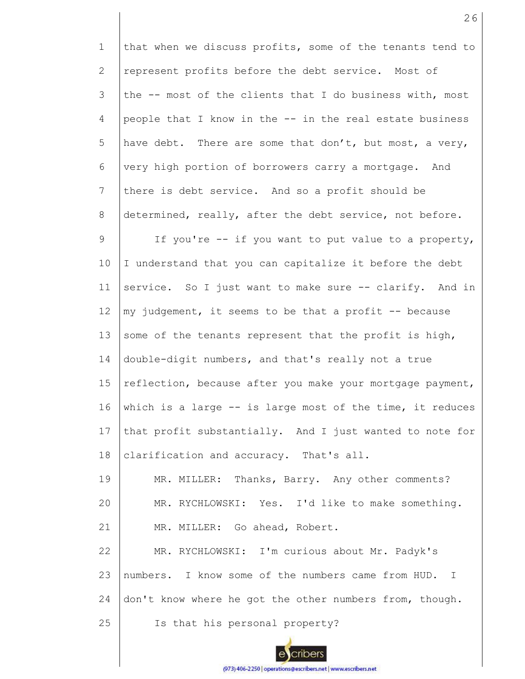1 2 3 4 5 6 7 8 9 10 11 12 13 14 15 16 17 18 19 20 21 22 23 24 25 that when we discuss profits, some of the tenants tend to represent profits before the debt service. Most of the -- most of the clients that I do business with, most people that I know in the -- in the real estate business have debt. There are some that don't, but most, a very, very high portion of borrowers carry a mortgage. And there is debt service. And so a profit should be determined, really, after the debt service, not before. If you're -- if you want to put value to a property, I understand that you can capitalize it before the debt service. So I just want to make sure -- clarify. And in my judgement, it seems to be that a profit  $-$ - because some of the tenants represent that the profit is high, double-digit numbers, and that's really not a true reflection, because after you make your mortgage payment, which is a large -- is large most of the time, it reduces that profit substantially. And I just wanted to note for clarification and accuracy. That's all. MR. MILLER: Thanks, Barry. Any other comments? MR. RYCHLOWSKI: Yes. I'd like to make something. MR. MILLER: Go ahead, Robert. MR. RYCHLOWSKI: I'm curious about Mr. Padyk's numbers. I know some of the numbers came from HUD. I don't know where he got the other numbers from, though. Is that his personal property?

26

(973) 406-2250 | operations@escribers.net | www.escribers.net

cribers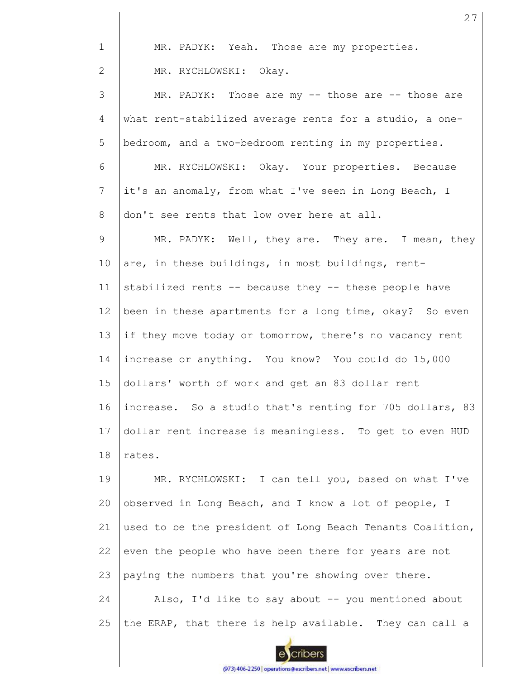| $\mathbf{1}$    | MR. PADYK: Yeah. Those are my properties.                 |
|-----------------|-----------------------------------------------------------|
| 2               | MR. RYCHLOWSKI: Okay.                                     |
| 3               | MR. PADYK: Those are my -- those are -- those are         |
| 4               | what rent-stabilized average rents for a studio, a one-   |
| 5               | bedroom, and a two-bedroom renting in my properties.      |
| 6               | MR. RYCHLOWSKI: Okay. Your properties. Because            |
| $7\phantom{.0}$ | it's an anomaly, from what I've seen in Long Beach, I     |
| 8               | don't see rents that low over here at all.                |
| 9               | MR. PADYK: Well, they are. They are. I mean, they         |
| 10              | are, in these buildings, in most buildings, rent-         |
| 11              | stabilized rents -- because they -- these people have     |
| 12              | been in these apartments for a long time, okay? So even   |
| 13              | if they move today or tomorrow, there's no vacancy rent   |
| 14              | increase or anything. You know? You could do 15,000       |
| 15              | dollars' worth of work and get an 83 dollar rent          |
| 16              | increase. So a studio that's renting for 705 dollars, 83  |
| 17              | dollar rent increase is meaningless. To get to even HUD   |
| 18              | rates.                                                    |
| 19              | MR. RYCHLOWSKI: I can tell you, based on what I've        |
| 20              | observed in Long Beach, and I know a lot of people, I     |
| 21              | used to be the president of Long Beach Tenants Coalition, |
| 22              | even the people who have been there for years are not     |
| 23              | paying the numbers that you're showing over there.        |
| 24              | Also, I'd like to say about -- you mentioned about        |
| 25              | the ERAP, that there is help available. They can call a   |

escribers (973) 406-2250 | operations@escribers.net | www.escribers.net 27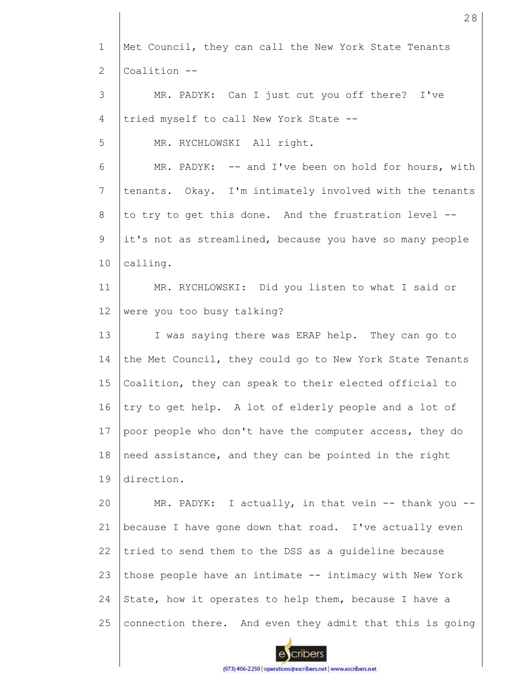| $\mathbf 1$    | Met Council, they can call the New York State Tenants    |
|----------------|----------------------------------------------------------|
| $\mathbf{2}$   | Coalition --                                             |
| 3              | MR. PADYK: Can I just cut you off there? I've            |
| 4              | tried myself to call New York State --                   |
| 5              | MR. RYCHLOWSKI All right.                                |
| 6              | MR. PADYK: -- and I've been on hold for hours, with      |
| $\overline{7}$ | tenants. Okay. I'm intimately involved with the tenants  |
| 8              | to try to get this done. And the frustration level --    |
| 9              | it's not as streamlined, because you have so many people |
| 10             | calling.                                                 |
| 11             | MR. RYCHLOWSKI: Did you listen to what I said or         |
| 12             | were you too busy talking?                               |
| 13             | I was saying there was ERAP help. They can go to         |
| 14             | the Met Council, they could go to New York State Tenants |
| 15             | Coalition, they can speak to their elected official to   |
| 16             | try to get help. A lot of elderly people and a lot of    |
| 17             | poor people who don't have the computer access, they do  |
| 18             | need assistance, and they can be pointed in the right    |
| 19             | direction.                                               |
| 20             | MR. PADYK: I actually, in that vein -- thank you --      |
| 21             | because I have gone down that road. I've actually even   |
| 22             | tried to send them to the DSS as a guideline because     |
| 23             | those people have an intimate -- intimacy with New York  |
| 24             | State, how it operates to help them, because I have a    |
| 25             | connection there. And even they admit that this is going |
|                |                                                          |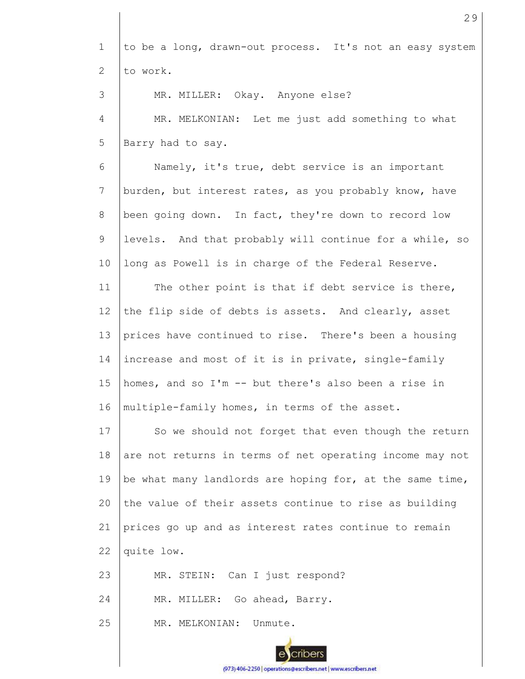1 2 to be a long, drawn-out process. It's not an easy system to work.

3 4 MR. MILLER: Okay. Anyone else? MR. MELKONIAN: Let me just add something to what

5 Barry had to say.

6 7 8 9 10 Namely, it's true, debt service is an important burden, but interest rates, as you probably know, have been going down. In fact, they're down to record low levels. And that probably will continue for a while, so long as Powell is in charge of the Federal Reserve.

11 12 13 14 15 16 The other point is that if debt service is there, the flip side of debts is assets. And clearly, asset prices have continued to rise. There's been a housing increase and most of it is in private, single-family homes, and so I'm -- but there's also been a rise in multiple-family homes, in terms of the asset.

17 18 19  $20$ 21 22 So we should not forget that even though the return are not returns in terms of net operating income may not be what many landlords are hoping for, at the same time, the value of their assets continue to rise as building prices go up and as interest rates continue to remain quite low.

23 MR. STEIN: Can I just respond?

24 MR. MILLER: Go ahead, Barry.

25 MR. MELKONIAN: Unmute. 29

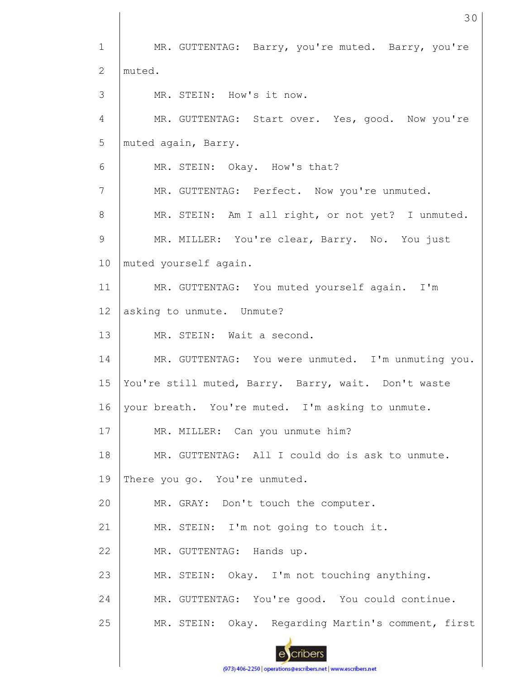1 2 3 4 5 6 7 8 9 10 11 12 13 14 15 16 17 18 19 20 21 22 23 24 25 MR. GUTTENTAG: Barry, you're muted. Barry, you're muted. MR. STEIN: How's it now. MR. GUTTENTAG: Start over. Yes, good. Now you're muted again, Barry. MR. STEIN: Okay. How's that? MR. GUTTENTAG: Perfect. Now you're unmuted. MR. STEIN: Am I all right, or not yet? I unmuted. MR. MILLER: You're clear, Barry. No. You just muted yourself again. MR. GUTTENTAG: You muted yourself again. I'm asking to unmute. Unmute? MR. STEIN: Wait a second. MR. GUTTENTAG: You were unmuted. I'm unmuting you. You're still muted, Barry. Barry, wait. Don't waste your breath. You're muted. I'm asking to unmute. MR. MILLER: Can you unmute him? MR. GUTTENTAG: All I could do is ask to unmute. There you go. You're unmuted. MR. GRAY: Don't touch the computer. MR. STEIN: I'm not going to touch it. MR. GUTTENTAG: Hands up. MR. STEIN: Okay. I'm not touching anything. MR. GUTTENTAG: You're good. You could continue. MR. STEIN: Okay. Regarding Martin's comment, first

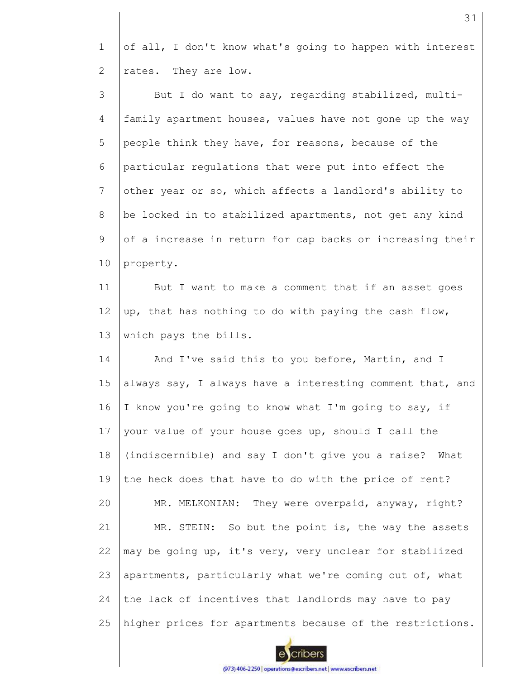1 2 of all, I don't know what's going to happen with interest rates. They are low.

3 4 5 6 7 8 9 10 But I do want to say, regarding stabilized, multifamily apartment houses, values have not gone up the way people think they have, for reasons, because of the particular regulations that were put into effect the other year or so, which affects a landlord's ability to be locked in to stabilized apartments, not get any kind of a increase in return for cap backs or increasing their property.

11 12 13 But I want to make a comment that if an asset goes up, that has nothing to do with paying the cash flow, which pays the bills.

14 15 16 17 18 19 20 21 22 23 24 25 And I've said this to you before, Martin, and I always say, I always have a interesting comment that, and I know you're going to know what I'm going to say, if your value of your house goes up, should I call the (indiscernible) and say I don't give you a raise? What the heck does that have to do with the price of rent? MR. MELKONIAN: They were overpaid, anyway, right? MR. STEIN: So but the point is, the way the assets may be going up, it's very, very unclear for stabilized apartments, particularly what we're coming out of, what the lack of incentives that landlords may have to pay higher prices for apartments because of the restrictions.

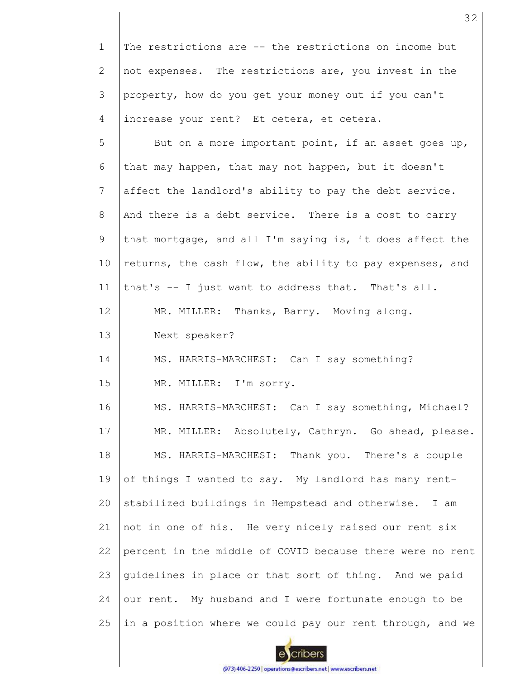1 2 3 4 The restrictions are -- the restrictions on income but not expenses. The restrictions are, you invest in the property, how do you get your money out if you can't increase your rent? Et cetera, et cetera.

5 6 7 8 9 10 11 12 13 14 15 16 17 18 19 20 21 22 23 24 25 But on a more important point, if an asset goes up, that may happen, that may not happen, but it doesn't affect the landlord's ability to pay the debt service. And there is a debt service. There is a cost to carry that mortgage, and all I'm saying is, it does affect the returns, the cash flow, the ability to pay expenses, and that's -- I just want to address that. That's all. MR. MILLER: Thanks, Barry. Moving along. Next speaker? MS. HARRIS-MARCHESI: Can I say something? MR. MILLER: I'm sorry. MS. HARRIS-MARCHESI: Can I say something, Michael? MR. MILLER: Absolutely, Cathryn. Go ahead, please. MS. HARRIS-MARCHESI: Thank you. There's a couple of things I wanted to say. My landlord has many rentstabilized buildings in Hempstead and otherwise. I am not in one of his. He very nicely raised our rent six percent in the middle of COVID because there were no rent guidelines in place or that sort of thing. And we paid our rent. My husband and I were fortunate enough to be in a position where we could pay our rent through, and we

cribers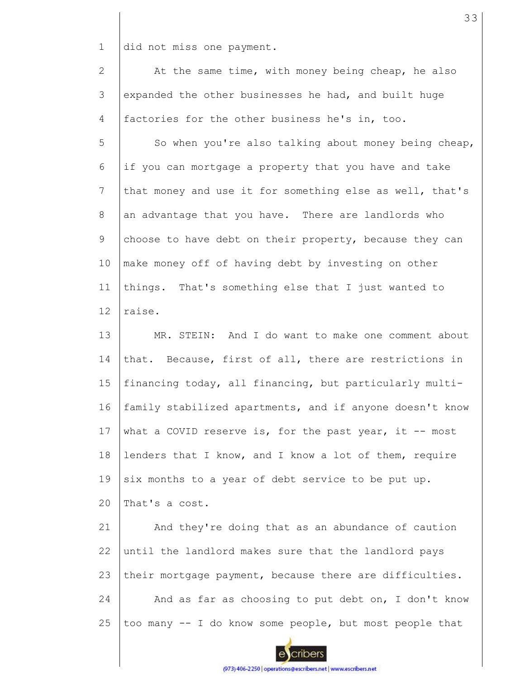1 did not miss one payment.

2 3 4 At the same time, with money being cheap, he also expanded the other businesses he had, and built huge factories for the other business he's in, too.

5 6 7 8 9 10 11 12 So when you're also talking about money being cheap, if you can mortgage a property that you have and take that money and use it for something else as well, that's an advantage that you have. There are landlords who choose to have debt on their property, because they can make money off of having debt by investing on other things. That's something else that I just wanted to raise.

13 14 15 16 17 18 19  $20$ MR. STEIN: And I do want to make one comment about that. Because, first of all, there are restrictions in financing today, all financing, but particularly multifamily stabilized apartments, and if anyone doesn't know what a COVID reserve is, for the past year, it  $-$ - most lenders that I know, and I know a lot of them, require six months to a year of debt service to be put up. That's a cost.

21 22 23 24 25 And they're doing that as an abundance of caution until the landlord makes sure that the landlord pays their mortgage payment, because there are difficulties. And as far as choosing to put debt on, I don't know too many -- I do know some people, but most people that

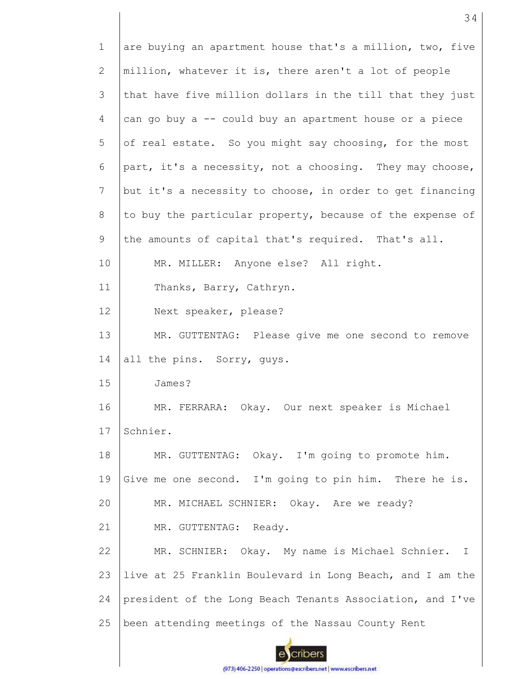| $\mathbf{1}$    | are buying an apartment house that's a million, two, five |
|-----------------|-----------------------------------------------------------|
| 2               | million, whatever it is, there aren't a lot of people     |
| 3               | that have five million dollars in the till that they just |
| 4               | can go buy a -- could buy an apartment house or a piece   |
| 5               | of real estate. So you might say choosing, for the most   |
| 6               | part, it's a necessity, not a choosing. They may choose,  |
| $7\phantom{.0}$ | but it's a necessity to choose, in order to get financing |
| 8               | to buy the particular property, because of the expense of |
| 9               | the amounts of capital that's required. That's all.       |
| 10              | MR. MILLER: Anyone else? All right.                       |
| 11              | Thanks, Barry, Cathryn.                                   |
| 12              | Next speaker, please?                                     |
| 13              | MR. GUTTENTAG: Please give me one second to remove        |
| 14              | all the pins. Sorry, guys.                                |
| 15              | James?                                                    |
| 16              | MR. FERRARA: Okay. Our next speaker is Michael            |
| 17              | Schnier.                                                  |
| 18              | MR. GUTTENTAG: Okay. I'm going to promote him.            |
| 19              | Give me one second. I'm going to pin him. There he is.    |
| 20              | MR. MICHAEL SCHNIER: Okay. Are we ready?                  |
| 21              | MR. GUTTENTAG: Ready.                                     |
| 22              | MR. SCHNIER: Okay. My name is Michael Schnier. I          |
| 23              | live at 25 Franklin Boulevard in Long Beach, and I am the |
| 24              | president of the Long Beach Tenants Association, and I've |
| 25              | been attending meetings of the Nassau County Rent         |
|                 |                                                           |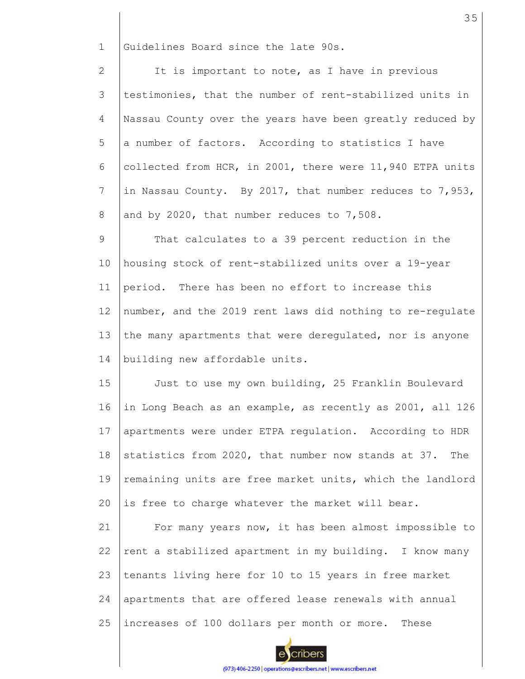1 Guidelines Board since the late 90s.

2 3 4 5 6 7 8 It is important to note, as I have in previous testimonies, that the number of rent-stabilized units in Nassau County over the years have been greatly reduced by a number of factors. According to statistics I have collected from HCR, in 2001, there were 11,940 ETPA units in Nassau County. By 2017, that number reduces to 7,953, and by 2020, that number reduces to 7,508.

9 10 11 12 13 14 That calculates to a 39 percent reduction in the housing stock of rent-stabilized units over a 19-year period. There has been no effort to increase this number, and the 2019 rent laws did nothing to re-regulate the many apartments that were deregulated, nor is anyone building new affordable units.

15 16 17 18 19 20 Just to use my own building, 25 Franklin Boulevard in Long Beach as an example, as recently as 2001, all 126 apartments were under ETPA regulation. According to HDR statistics from 2020, that number now stands at 37. The remaining units are free market units, which the landlord is free to charge whatever the market will bear.

21 22 23 24 25 For many years now, it has been almost impossible to rent a stabilized apartment in my building. I know many tenants living here for 10 to 15 years in free market apartments that are offered lease renewals with annual increases of 100 dollars per month or more. These

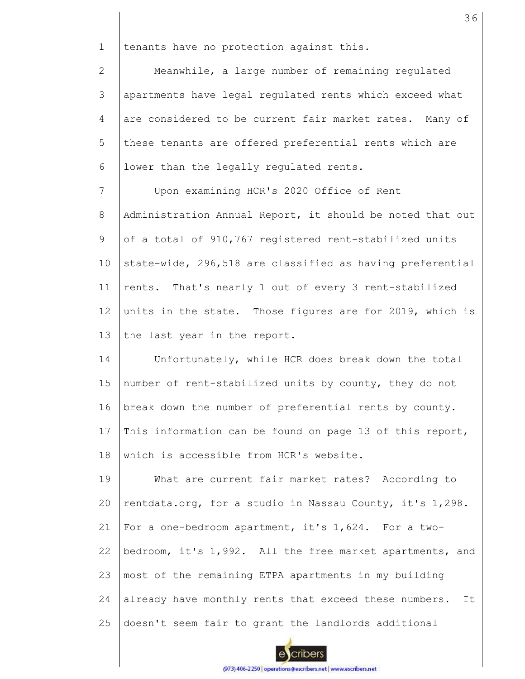1 tenants have no protection against this.

2 3 4 5 6 Meanwhile, a large number of remaining regulated apartments have legal regulated rents which exceed what are considered to be current fair market rates. Many of these tenants are offered preferential rents which are lower than the legally regulated rents.

7 8 9 10 11 12 13 Upon examining HCR's 2020 Office of Rent Administration Annual Report, it should be noted that out of a total of 910,767 registered rent-stabilized units state-wide, 296,518 are classified as having preferential rents. That's nearly 1 out of every 3 rent-stabilized units in the state. Those figures are for 2019, which is the last year in the report.

14 15 16 17 18 Unfortunately, while HCR does break down the total number of rent-stabilized units by county, they do not break down the number of preferential rents by county. This information can be found on page 13 of this report, which is accessible from HCR's website.

19 20 21 22 23 24 25 What are current fair market rates? According to rentdata.org, for a studio in Nassau County, it's 1,298. For a one-bedroom apartment, it's 1,624. For a twobedroom, it's 1,992. All the free market apartments, and most of the remaining ETPA apartments in my building already have monthly rents that exceed these numbers. It doesn't seem fair to grant the landlords additional

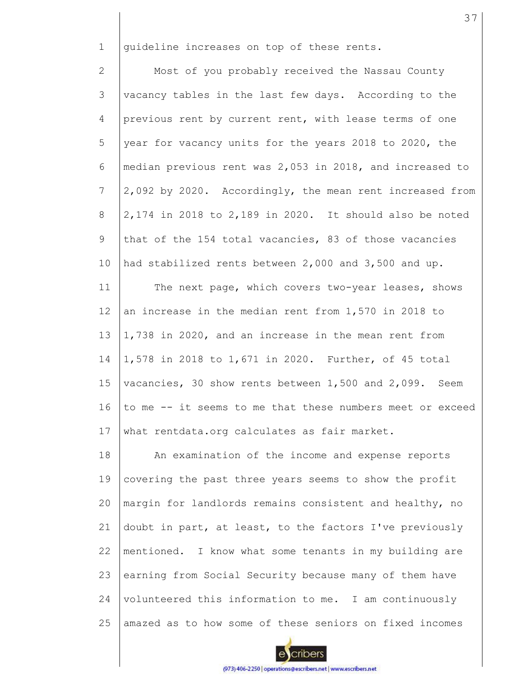1 guideline increases on top of these rents.

2 3 4 5 6 7 8 9 10 11 12 13 14 Most of you probably received the Nassau County vacancy tables in the last few days. According to the previous rent by current rent, with lease terms of one year for vacancy units for the years 2018 to 2020, the median previous rent was 2,053 in 2018, and increased to 2,092 by 2020. Accordingly, the mean rent increased from 2,174 in 2018 to 2,189 in 2020. It should also be noted that of the 154 total vacancies, 83 of those vacancies had stabilized rents between 2,000 and 3,500 and up. The next page, which covers two-year leases, shows an increase in the median rent from 1,570 in 2018 to 1,738 in 2020, and an increase in the mean rent from 1,578 in 2018 to 1,671 in 2020. Further, of 45 total

15 16 17 vacancies, 30 show rents between 1,500 and 2,099. Seem to me -- it seems to me that these numbers meet or exceed what rentdata.org calculates as fair market.

18 19 20 21 22 23 24 25 An examination of the income and expense reports covering the past three years seems to show the profit margin for landlords remains consistent and healthy, no doubt in part, at least, to the factors I've previously mentioned. I know what some tenants in my building are earning from Social Security because many of them have volunteered this information to me. I am continuously amazed as to how some of these seniors on fixed incomes

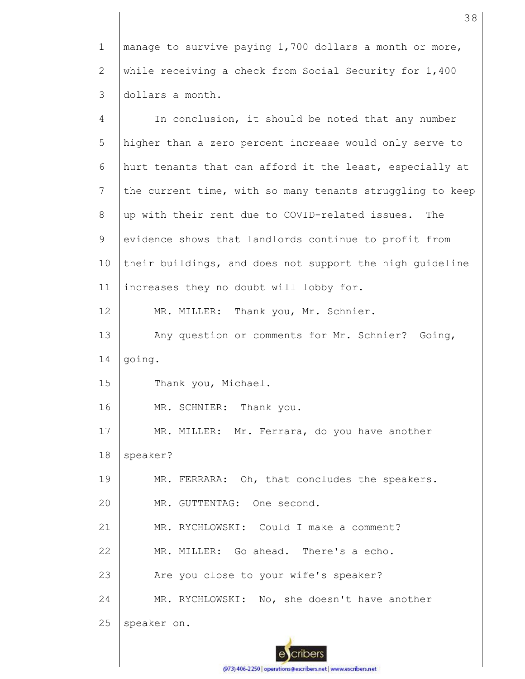1 2 3 manage to survive paying 1,700 dollars a month or more, while receiving a check from Social Security for 1,400 dollars a month.

4 5 6 7 8 9 10 11 12 13 14 15 16 17 18 19 20 21 22 23 24 25 In conclusion, it should be noted that any number higher than a zero percent increase would only serve to hurt tenants that can afford it the least, especially at the current time, with so many tenants struggling to keep up with their rent due to COVID-related issues. The evidence shows that landlords continue to profit from their buildings, and does not support the high guideline increases they no doubt will lobby for. MR. MILLER: Thank you, Mr. Schnier. Any question or comments for Mr. Schnier? Going, going. Thank you, Michael. MR. SCHNIER: Thank you. MR. MILLER: Mr. Ferrara, do you have another speaker? MR. FERRARA: Oh, that concludes the speakers. MR. GUTTENTAG: One second. MR. RYCHLOWSKI: Could I make a comment? MR. MILLER: Go ahead. There's a echo. Are you close to your wife's speaker? MR. RYCHLOWSKI: No, she doesn't have another speaker on.

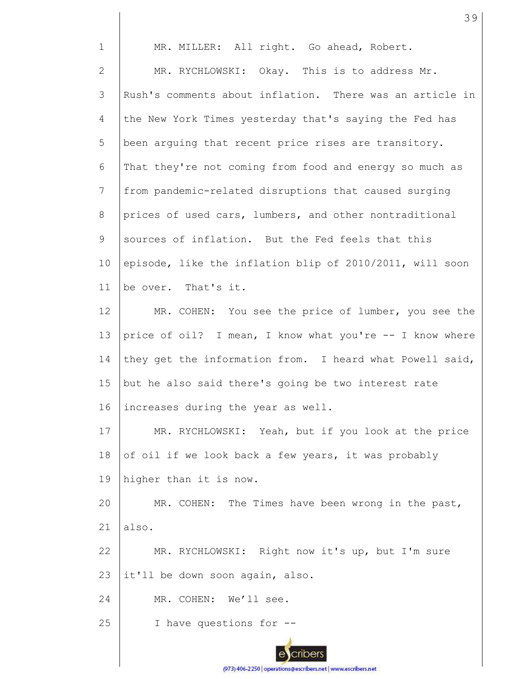| $\mathbf 1$     | MR. MILLER: All right. Go ahead, Robert.                 |
|-----------------|----------------------------------------------------------|
| $\mathbf{2}$    | MR. RYCHLOWSKI: Okay. This is to address Mr.             |
| 3               | Rush's comments about inflation. There was an article in |
| 4               | the New York Times yesterday that's saying the Fed has   |
| 5               | been arguing that recent price rises are transitory.     |
| 6               | That they're not coming from food and energy so much as  |
| 7               | from pandemic-related disruptions that caused surging    |
| 8               | prices of used cars, lumbers, and other nontraditional   |
| 9               | sources of inflation. But the Fed feels that this        |
| 10              | episode, like the inflation blip of 2010/2011, will soon |
| 11              | be over. That's it.                                      |
| 12 <sup>°</sup> | MR. COHEN: You see the price of lumber, you see the      |
| 13              | price of oil? I mean, I know what you're -- I know where |
| 14              | they get the information from. I heard what Powell said, |
| 15              | but he also said there's going be two interest rate      |
| 16              | increases during the year as well.                       |
| 17              | MR. RYCHLOWSKI: Yeah, but if you look at the price       |
| 18              | of oil if we look back a few years, it was probably      |
| 19              | higher than it is now.                                   |
| 20              | MR. COHEN: The Times have been wrong in the past,        |
| 21              | also.                                                    |
| 22              | MR. RYCHLOWSKI: Right now it's up, but I'm sure          |
| 23              | it'll be down soon again, also.                          |
| 24              | MR. COHEN: We'll see.                                    |
| 25              | I have questions for --                                  |
|                 |                                                          |

39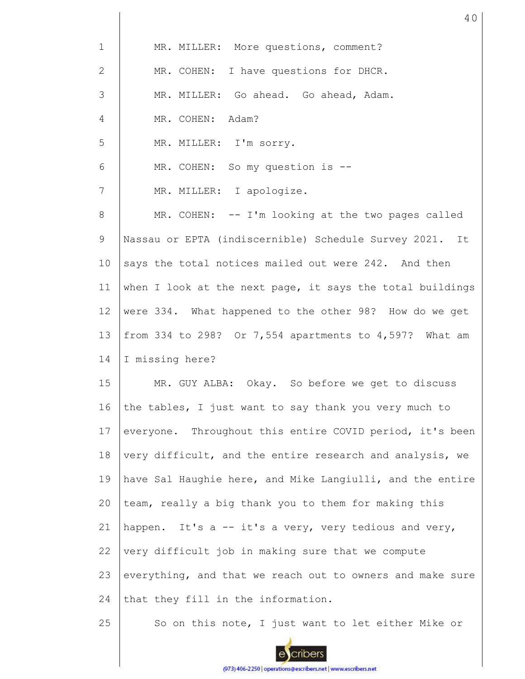| $\mathbf 1$ | MR. MILLER: More questions, comment?                      |
|-------------|-----------------------------------------------------------|
| 2           | MR. COHEN: I have questions for DHCR.                     |
| 3           | MR. MILLER: Go ahead. Go ahead, Adam.                     |
| 4           | MR. COHEN: Adam?                                          |
| 5           | MR. MILLER: I'm sorry.                                    |
| 6           | MR. COHEN: So my question is --                           |
| 7           | MR. MILLER: I apologize.                                  |
| 8           | MR. COHEN: -- I'm looking at the two pages called         |
| 9           | Nassau or EPTA (indiscernible) Schedule Survey 2021. It   |
| 10          | says the total notices mailed out were 242. And then      |
| 11          | when I look at the next page, it says the total buildings |
| 12          | were 334. What happened to the other 98? How do we get    |
| 13          | from 334 to 298? Or 7,554 apartments to 4,597? What am    |
| 14          | I missing here?                                           |
| 15          | MR. GUY ALBA: Okay. So before we get to discuss           |
| 16          | the tables, I just want to say thank you very much to     |
| 17          | everyone. Throughout this entire COVID period, it's been  |
| 18          | very difficult, and the entire research and analysis, we  |
| 19          | have Sal Haughie here, and Mike Langiulli, and the entire |
| 20          | team, really a big thank you to them for making this      |
| 21          | happen. It's a -- it's a very, very tedious and very,     |
| 22          | very difficult job in making sure that we compute         |
| 23          | everything, and that we reach out to owners and make sure |
| 24          | that they fill in the information.                        |
| 25          | So on this note, I just want to let either Mike or        |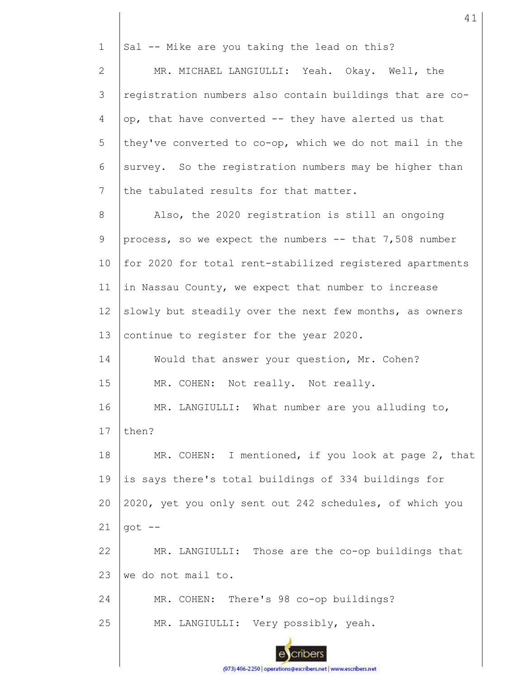1 Sal -- Mike are you taking the lead on this? MR. MICHAEL LANGIULLI: Yeah. Okay. Well, the 2 3 registration numbers also contain buildings that are co-4 op, that have converted -- they have alerted us that 5 they've converted to co-op, which we do not mail in the 6 survey. So the registration numbers may be higher than the tabulated results for that matter. 7 Also, the 2020 registration is still an ongoing 8 9 process, so we expect the numbers -- that 7,508 number 10 for 2020 for total rent-stabilized registered apartments in Nassau County, we expect that number to increase 11 12 slowly but steadily over the next few months, as owners 13 continue to register for the year 2020. 14 Would that answer your question, Mr. Cohen? 15 MR. COHEN: Not really. Not really. 16 MR. LANGIULLI: What number are you alluding to, 17 then? 18 MR. COHEN: I mentioned, if you look at page 2, that 19 is says there's total buildings of 334 buildings for 2020, yet you only sent out 242 schedules, of which you 20 21 got -- 22 MR. LANGIULLI: Those are the co-op buildings that 23 we do not mail to. 24 MR. COHEN: There's 98 co-op buildings? 25 MR. LANGIULLI: Very possibly, yeah. :nbers

41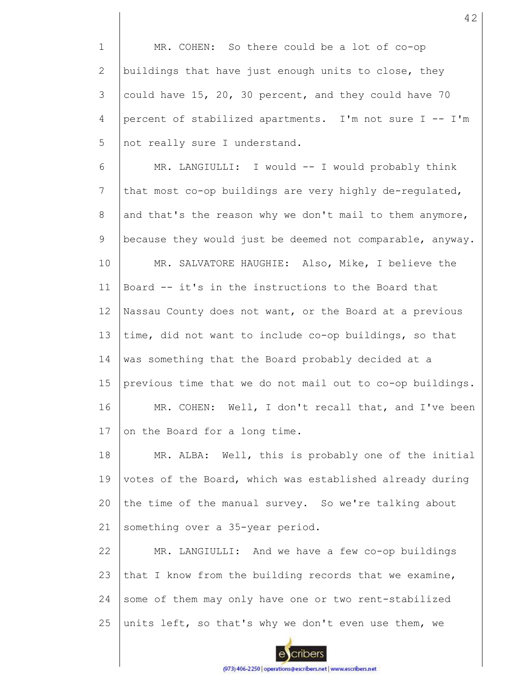1 2 3 4 5 MR. COHEN: So there could be a lot of co-op buildings that have just enough units to close, they could have 15, 20, 30 percent, and they could have 70 percent of stabilized apartments. I'm not sure I -- I'm not really sure I understand.

6 7 8 9 10 11 12 13 14 15 16 17 MR. LANGIULLI: I would -- I would probably think that most co-op buildings are very highly de-regulated, and that's the reason why we don't mail to them anymore, because they would just be deemed not comparable, anyway. MR. SALVATORE HAUGHIE: Also, Mike, I believe the Board -- it's in the instructions to the Board that Nassau County does not want, or the Board at a previous time, did not want to include co-op buildings, so that was something that the Board probably decided at a previous time that we do not mail out to co-op buildings. MR. COHEN: Well, I don't recall that, and I've been on the Board for a long time.

18 19 20 21 MR. ALBA: Well, this is probably one of the initial votes of the Board, which was established already during the time of the manual survey. So we're talking about something over a 35-year period.

22 23 24 25 MR. LANGIULLI: And we have a few co-op buildings that I know from the building records that we examine, some of them may only have one or two rent-stabilized units left, so that's why we don't even use them, we

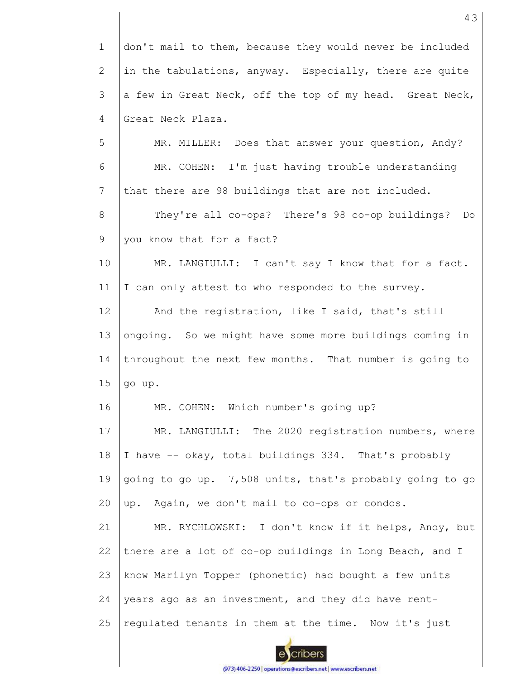1 2 3 4 5 6 7 8 9 10 11 12 13 14 15 16 17 18 19 20 21 22 23 24 25 don't mail to them, because they would never be included in the tabulations, anyway. Especially, there are quite a few in Great Neck, off the top of my head. Great Neck, Great Neck Plaza. MR. MILLER: Does that answer your question, Andy? MR. COHEN: I'm just having trouble understanding that there are 98 buildings that are not included. They're all co-ops? There's 98 co-op buildings? Do you know that for a fact? MR. LANGIULLI: I can't say I know that for a fact. I can only attest to who responded to the survey. And the registration, like I said, that's still ongoing. So we might have some more buildings coming in throughout the next few months. That number is going to go up. MR. COHEN: Which number's going up? MR. LANGIULLI: The 2020 registration numbers, where I have -- okay, total buildings 334. That's probably going to go up. 7,508 units, that's probably going to go up. Again, we don't mail to co-ops or condos. MR. RYCHLOWSKI: I don't know if it helps, Andy, but there are a lot of co-op buildings in Long Beach, and I know Marilyn Topper (phonetic) had bought a few units years ago as an investment, and they did have rentregulated tenants in them at the time. Now it's just

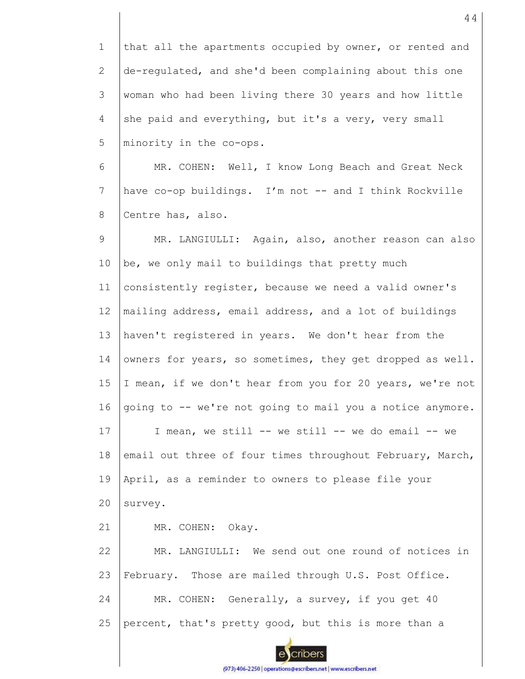1 2 3 4 5 that all the apartments occupied by owner, or rented and de-regulated, and she'd been complaining about this one woman who had been living there 30 years and how little she paid and everything, but it's a very, very small minority in the co-ops.

6 7 8 MR. COHEN: Well, I know Long Beach and Great Neck have co-op buildings. I'm not -- and I think Rockville Centre has, also.

9 10 11 12 13 14 15 16 17 18 19 20 21 22 23 24 25 MR. LANGIULLI: Again, also, another reason can also be, we only mail to buildings that pretty much consistently register, because we need a valid owner's mailing address, email address, and a lot of buildings haven't registered in years. We don't hear from the owners for years, so sometimes, they get dropped as well. I mean, if we don't hear from you for 20 years, we're not going to -- we're not going to mail you a notice anymore. I mean, we still -- we still -- we do email -- we email out three of four times throughout February, March, April, as a reminder to owners to please file your survey. MR. COHEN: Okay. MR. LANGIULLI: We send out one round of notices in February. Those are mailed through U.S. Post Office. MR. COHEN: Generally, a survey, if you get 40 percent, that's pretty good, but this is more than a

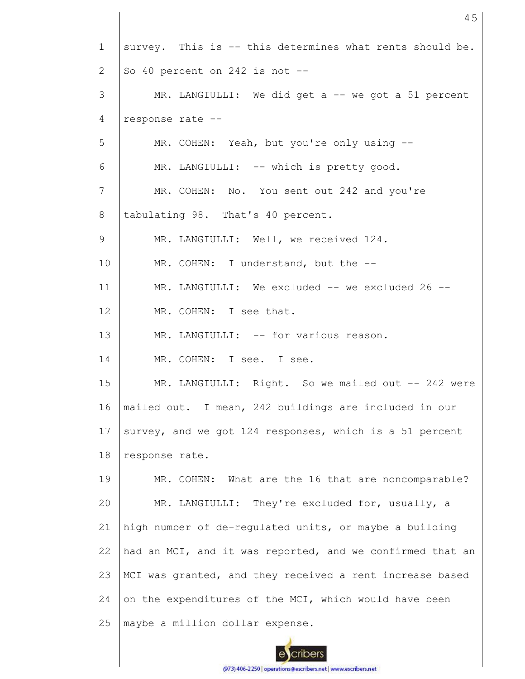| $\mathbf{1}$   | survey. This is -- this determines what rents should be.  |
|----------------|-----------------------------------------------------------|
| 2              | So 40 percent on 242 is not $-$                           |
| 3              | MR. LANGIULLI: We did get a -- we got a 51 percent        |
| 4              | response rate --                                          |
| 5              | MR. COHEN: Yeah, but you're only using --                 |
| 6              | MR. LANGIULLI: -- which is pretty good.                   |
| $\overline{7}$ | MR. COHEN: No. You sent out 242 and you're                |
| 8              | tabulating 98. That's 40 percent.                         |
| 9              | MR. LANGIULLI: Well, we received 124.                     |
| 10             | MR. COHEN: I understand, but the --                       |
| 11             | MR. LANGIULLI: We excluded -- we excluded 26 --           |
| 12             | MR. COHEN: I see that.                                    |
| 13             | MR. LANGIULLI: -- for various reason.                     |
| 14             | MR. COHEN: I see. I see.                                  |
| 15             | MR. LANGIULLI: Right. So we mailed out -- 242 were        |
| 16             | mailed out. I mean, 242 buildings are included in our     |
| 17             | survey, and we got 124 responses, which is a 51 percent   |
| 18             | response rate.                                            |
| 19             | MR. COHEN: What are the 16 that are noncomparable?        |
| 20             | MR. LANGIULLI: They're excluded for, usually, a           |
| 21             | high number of de-regulated units, or maybe a building    |
| 22             | had an MCI, and it was reported, and we confirmed that an |
| 23             | MCI was granted, and they received a rent increase based  |
| 24             | on the expenditures of the MCI, which would have been     |
| 25             | maybe a million dollar expense.                           |

45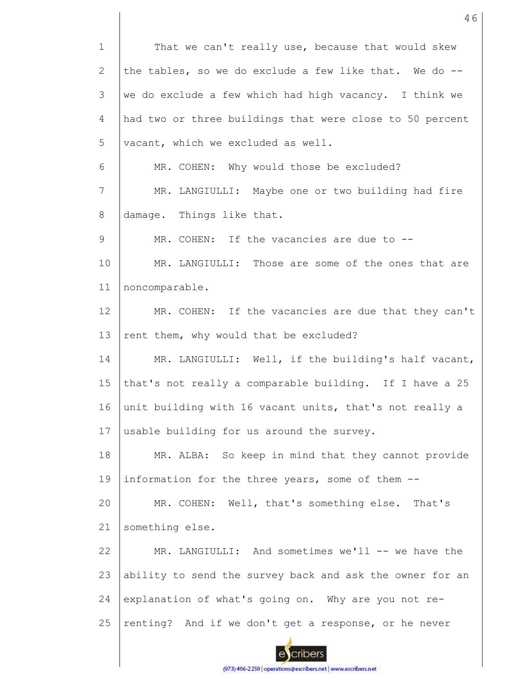1 That we can't really use, because that would skew the tables, so we do exclude a few like that. We do --2 3 we do exclude a few which had high vacancy. I think we 4 had two or three buildings that were close to 50 percent 5 vacant, which we excluded as well. 6 MR. COHEN: Why would those be excluded? 7 MR. LANGIULLI: Maybe one or two building had fire 8 damage. Things like that. 9 MR. COHEN: If the vacancies are due to --10 MR. LANGIULLI: Those are some of the ones that are 11 noncomparable. 12 MR. COHEN: If the vacancies are due that they can't 13 rent them, why would that be excluded? 14 MR. LANGIULLI: Well, if the building's half vacant, 15 that's not really a comparable building. If I have a 25 16 unit building with 16 vacant units, that's not really a 17 usable building for us around the survey. 18 MR. ALBA: So keep in mind that they cannot provide 19 information for the three years, some of them -- 20 MR. COHEN: Well, that's something else. That's 21 something else. MR. LANGIULLI: And sometimes we'll -- we have the 22 23 ability to send the survey back and ask the owner for an 24 explanation of what's going on. Why are you not re-25 renting? And if we don't get a response, or he never cribers

46

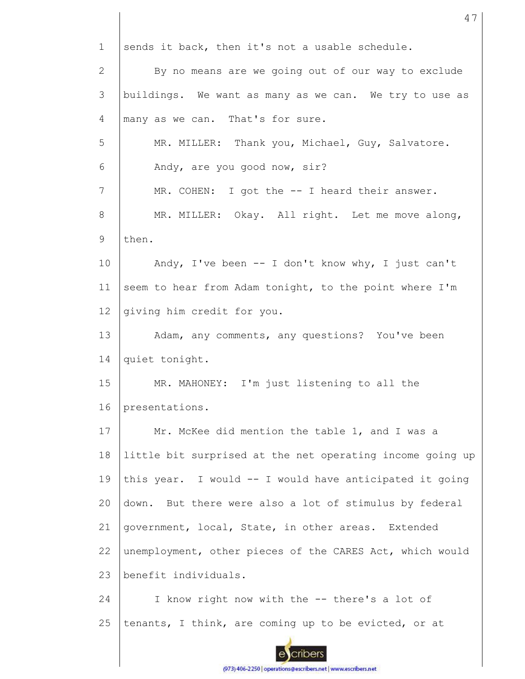1 sends it back, then it's not a usable schedule. 2 By no means are we going out of our way to exclude 3 buildings. We want as many as we can. We try to use as many as we can. That's for sure. 4 5 MR. MILLER: Thank you, Michael, Guy, Salvatore. 6 Andy, are you good now, sir? 7 MR. COHEN: I got the -- I heard their answer. MR. MILLER: Okay. All right. Let me move along, 8 9 then. 10 Andy, I've been -- I don't know why, I just can't seem to hear from Adam tonight, to the point where I'm 11 12 giving him credit for you. 13 Adam, any comments, any questions? You've been 14 quiet tonight. 15 MR. MAHONEY: I'm just listening to all the 16 presentations. 17 Mr. McKee did mention the table 1, and I was a 18 little bit surprised at the net operating income going up 19 this year. I would -- I would have anticipated it going down. But there were also a lot of stimulus by federal 20 21 government, local, State, in other areas. Extended 22 unemployment, other pieces of the CARES Act, which would 23 benefit individuals. 24 I know right now with the -- there's a lot of 25 tenants, I think, are coming up to be evicted, or at cribers

47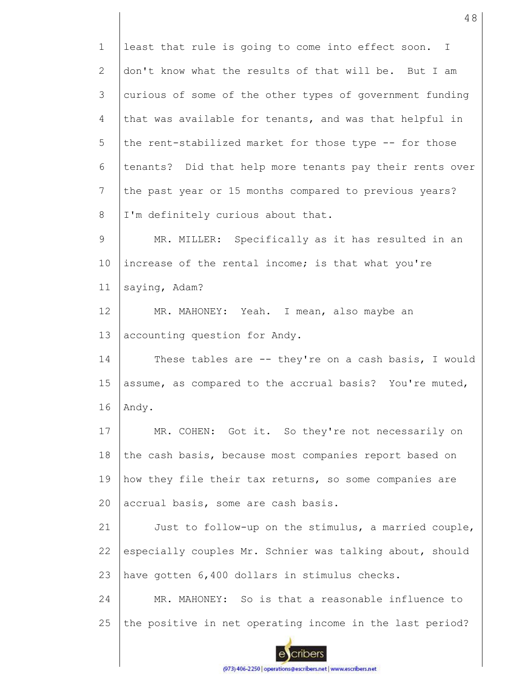1 2 3 4 5 6 7 8 9 10 11 12 13 14 15 16 17 18 19 20 21 22 23 24 25 least that rule is going to come into effect soon. I don't know what the results of that will be. But I am curious of some of the other types of government funding that was available for tenants, and was that helpful in the rent-stabilized market for those type -- for those tenants? Did that help more tenants pay their rents over the past year or 15 months compared to previous years? I'm definitely curious about that. MR. MILLER: Specifically as it has resulted in an increase of the rental income; is that what you're saying, Adam? MR. MAHONEY: Yeah. I mean, also maybe an accounting question for Andy. These tables are -- they're on a cash basis, I would assume, as compared to the accrual basis? You're muted, Andy. MR. COHEN: Got it. So they're not necessarily on the cash basis, because most companies report based on how they file their tax returns, so some companies are accrual basis, some are cash basis. Just to follow-up on the stimulus, a married couple, especially couples Mr. Schnier was talking about, should have gotten 6,400 dollars in stimulus checks. MR. MAHONEY: So is that a reasonable influence to the positive in net operating income in the last period?

cribers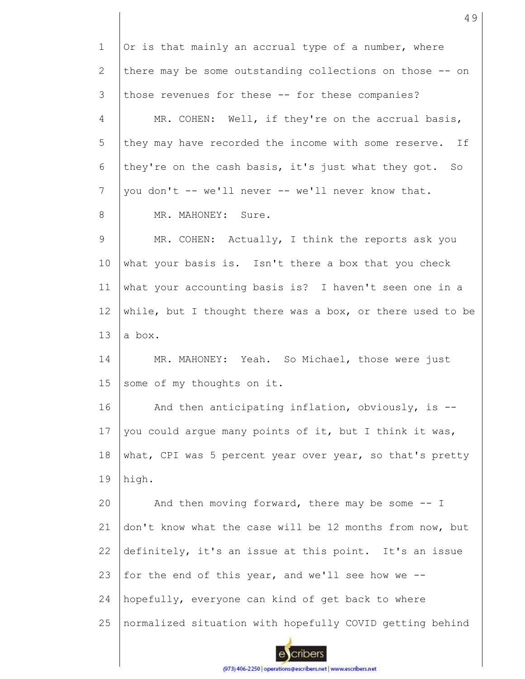| $\mathbf 1$    | Or is that mainly an accrual type of a number, where      |
|----------------|-----------------------------------------------------------|
| $\overline{2}$ | there may be some outstanding collections on those -- on  |
| 3              | those revenues for these -- for these companies?          |
| 4              | MR. COHEN: Well, if they're on the accrual basis,         |
| 5              | they may have recorded the income with some reserve. If   |
| 6              | they're on the cash basis, it's just what they got. So    |
| 7              | you don't -- we'll never -- we'll never know that.        |
| 8              | MR. MAHONEY: Sure.                                        |
| 9              | MR. COHEN: Actually, I think the reports ask you          |
| 10             | what your basis is. Isn't there a box that you check      |
| 11             | what your accounting basis is? I haven't seen one in a    |
| 12             | while, but I thought there was a box, or there used to be |
| 13             | a box.                                                    |
| 14             | MR. MAHONEY: Yeah. So Michael, those were just            |
| 15             | some of my thoughts on it.                                |
| 16             | And then anticipating inflation, obviously, is --         |
| 17             | you could argue many points of it, but I think it was,    |
| 18             | what, CPI was 5 percent year over year, so that's pretty  |
| 19             | high.                                                     |
| 20             | And then moving forward, there may be some -- I           |
| 21             | don't know what the case will be 12 months from now, but  |
| 22             | definitely, it's an issue at this point. It's an issue    |
| 23             | for the end of this year, and we'll see how we --         |
| 24             | hopefully, everyone can kind of get back to where         |
| 25             | normalized situation with hopefully COVID getting behind  |
|                |                                                           |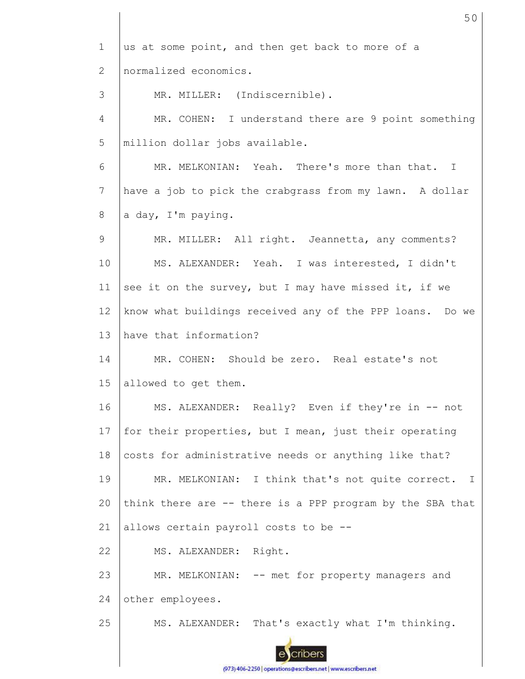1 us at some point, and then get back to more of a normalized economics. 2 3 MR. MILLER: (Indiscernible). 4 MR. COHEN: I understand there are 9 point something 5 million dollar jobs available. 6 MR. MELKONIAN: Yeah. There's more than that. I 7 have a job to pick the crabgrass from my lawn. A dollar 8 a day, I'm paying. 9 MR. MILLER: All right. Jeannetta, any comments? 10 MS. ALEXANDER: Yeah. I was interested, I didn't see it on the survey, but I may have missed it, if we 11 12 know what buildings received any of the PPP loans. Do we 13 have that information? MR. COHEN: Should be zero. Real estate's not 14 15 allowed to get them. 16 MS. ALEXANDER: Really? Even if they're in -- not 17 for their properties, but I mean, just their operating 18 costs for administrative needs or anything like that? 19 MR. MELKONIAN: I think that's not quite correct. I 20 think there are -- there is a PPP program by the SBA that 21 allows certain payroll costs to be -- 22 MS. ALEXANDER: Right. 23 MR. MELKONIAN: -- met for property managers and 24 other employees. 25 MS. ALEXANDER: That's exactly what I'm thinking. cribers

50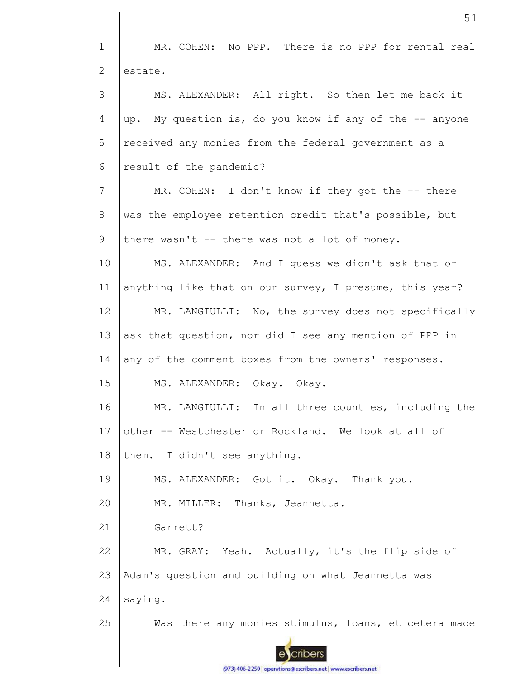1 MR. COHEN: No PPP. There is no PPP for rental real 2 estate. 3 MS. ALEXANDER: All right. So then let me back it 4 up. My question is, do you know if any of the -- anyone 5 received any monies from the federal government as a 6 result of the pandemic? 7 MR. COHEN: I don't know if they got the -- there 8 was the employee retention credit that's possible, but 9 there wasn't -- there was not a lot of money. 10 MS. ALEXANDER: And I guess we didn't ask that or anything like that on our survey, I presume, this year? 11 12 MR. LANGIULLI: No, the survey does not specifically 13 ask that question, nor did I see any mention of PPP in 14 any of the comment boxes from the owners' responses. 15 MS. ALEXANDER: Okay. Okay. 16 MR. LANGIULLI: In all three counties, including the 17 other -- Westchester or Rockland. We look at all of 18 them. I didn't see anything. 19 MS. ALEXANDER: Got it. Okay. Thank you. 20 MR. MILLER: Thanks, Jeannetta. 21 Garrett? 22 MR. GRAY: Yeah. Actually, it's the flip side of 23 Adam's question and building on what Jeannetta was 24 saying. 25 Was there any monies stimulus, loans, et cetera made cribers

51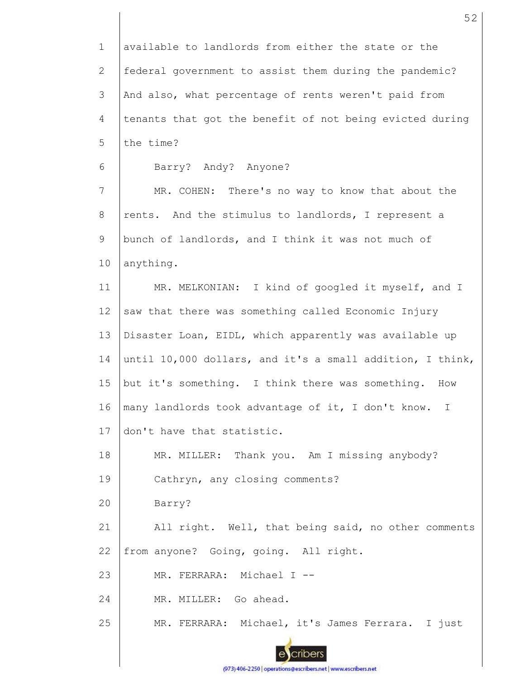1 2 3 4 5 6 7 8 9 10 11 12 13 14 15 16 17 18 19 20 21 22 23 24 25 available to landlords from either the state or the federal government to assist them during the pandemic? And also, what percentage of rents weren't paid from tenants that got the benefit of not being evicted during the time? Barry? Andy? Anyone? MR. COHEN: There's no way to know that about the rents. And the stimulus to landlords, I represent a bunch of landlords, and I think it was not much of anything. MR. MELKONIAN: I kind of googled it myself, and I saw that there was something called Economic Injury Disaster Loan, EIDL, which apparently was available up until 10,000 dollars, and it's a small addition, I think, but it's something. I think there was something. How many landlords took advantage of it, I don't know. I don't have that statistic. MR. MILLER: Thank you. Am I missing anybody? Cathryn, any closing comments? Barry? All right. Well, that being said, no other comments from anyone? Going, going. All right. MR. FERRARA: Michael I --MR. MILLER: Go ahead. MR. FERRARA: Michael, it's James Ferrara. I just

52

(973) 406-2250 | operations@escribers.net | www.escribers.net

cribers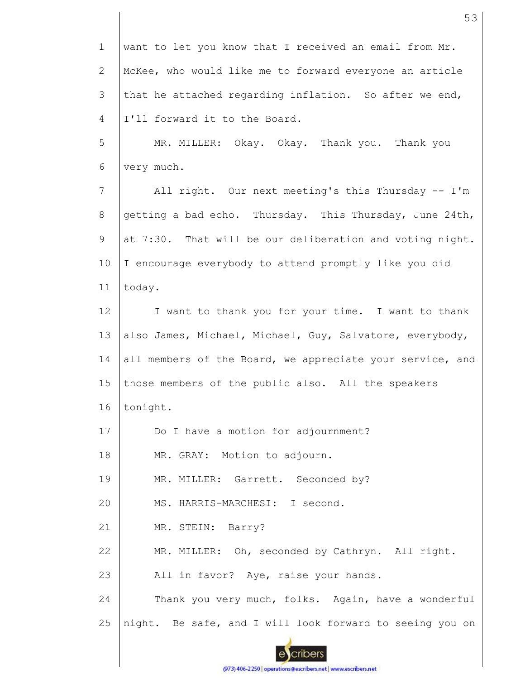1 2 3 4 5 6 7 8 9 10 11 12 13 14 15 16 17 18 19 20 21 22 23 24 25 want to let you know that I received an email from Mr. McKee, who would like me to forward everyone an article that he attached regarding inflation. So after we end, I'll forward it to the Board. MR. MILLER: Okay. Okay. Thank you. Thank you very much. All right. Our next meeting's this Thursday -- I'm getting a bad echo. Thursday. This Thursday, June 24th, at 7:30. That will be our deliberation and voting night. I encourage everybody to attend promptly like you did today. I want to thank you for your time. I want to thank also James, Michael, Michael, Guy, Salvatore, everybody, all members of the Board, we appreciate your service, and those members of the public also. All the speakers tonight. Do I have a motion for adjournment? MR. GRAY: Motion to adjourn. MR. MILLER: Garrett. Seconded by? MS. HARRIS-MARCHESI: I second. MR. STEIN: Barry? MR. MILLER: Oh, seconded by Cathryn. All right. All in favor? Aye, raise your hands. Thank you very much, folks. Again, have a wonderful night. Be safe, and I will look forward to seeing you on

53

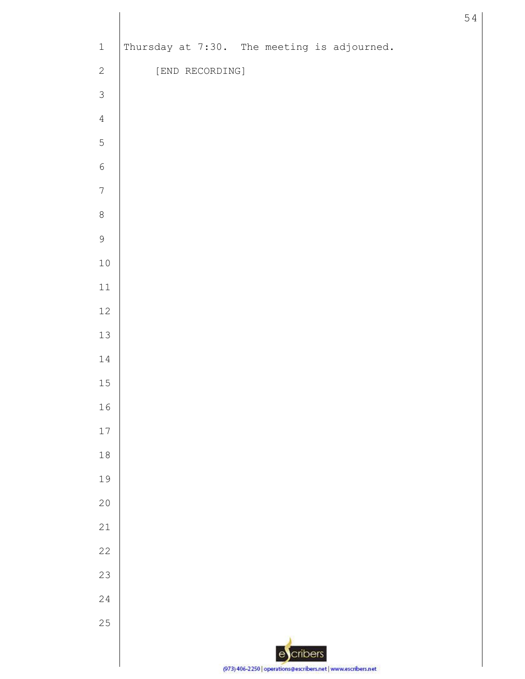| $\,1\,$        | Thursday at 7:30. The meeting is adjourned.                   |
|----------------|---------------------------------------------------------------|
| $\sqrt{2}$     | [END RECORDING]                                               |
| $\mathfrak{Z}$ |                                                               |
| $\overline{4}$ |                                                               |
| 5              |                                                               |
| $\epsilon$     |                                                               |
| $\sqrt{ }$     |                                                               |
| $\,8\,$        |                                                               |
| $\mathsf 9$    |                                                               |
| $10$           |                                                               |
| $11\,$         |                                                               |
| $12\,$         |                                                               |
| $13\,$         |                                                               |
| 14             |                                                               |
| $15\,$         |                                                               |
| $16\,$         |                                                               |
| $17$           |                                                               |
| $18\,$         |                                                               |
| 19             |                                                               |
| 20             |                                                               |
| $21$           |                                                               |
| 22             |                                                               |
| 23             |                                                               |
| $2\sqrt{4}$    |                                                               |
| 25             |                                                               |
|                | escribers                                                     |
|                | (973) 406-2250   operations@escribers.net   www.escribers.net |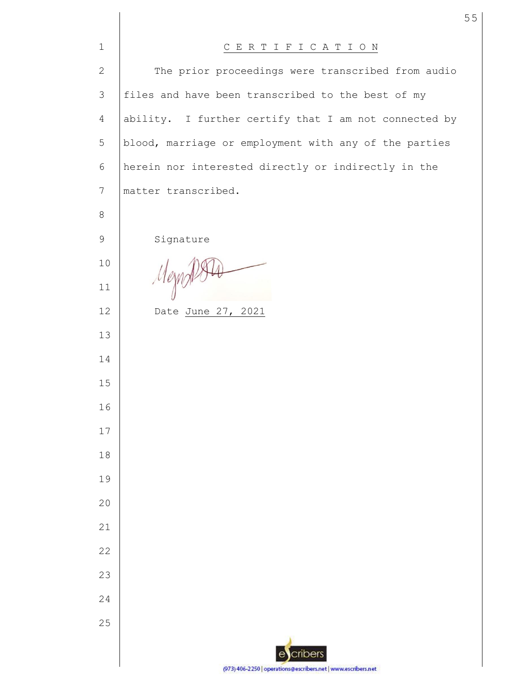| $\mathbf 1$     | CERTIFICATION                                                 |
|-----------------|---------------------------------------------------------------|
| $\mathbf{2}$    | The prior proceedings were transcribed from audio             |
| 3               | files and have been transcribed to the best of my             |
| $\overline{4}$  | ability. I further certify that I am not connected by         |
| 5               | blood, marriage or employment with any of the parties         |
| $6\,$           | herein nor interested directly or indirectly in the           |
| $7\phantom{.0}$ | matter transcribed.                                           |
| 8               |                                                               |
| 9               | Signature                                                     |
| 10              |                                                               |
| 11              | Mezn                                                          |
| 12              | Date June 27, 2021                                            |
| 13              |                                                               |
| 14              |                                                               |
| 15              |                                                               |
| 16              |                                                               |
| 17              |                                                               |
| 18              |                                                               |
| 19              |                                                               |
| 20              |                                                               |
| 21              |                                                               |
| 22              |                                                               |
| 23              |                                                               |
| 24              |                                                               |
| 25              |                                                               |
|                 | cribers                                                       |
|                 | (973) 406-2250   operations@escribers.net   www.escribers.net |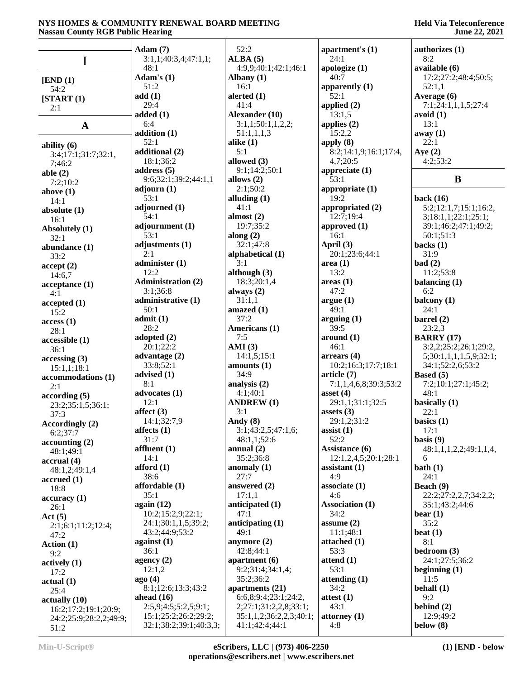### **Held Via Teleconference June 22, 2021**

|                             | Adam(7)                     | 52:2                         | apartment's (1)             | authorizes $(1)$                           |
|-----------------------------|-----------------------------|------------------------------|-----------------------------|--------------------------------------------|
|                             | 3:1,1;40:3,4;47:1,1;        | ALBA(5)                      | 24:1                        | 8:2                                        |
| L                           | 48:1                        | 4:9,9;40:1;42:1;46:1         | apologize $(1)$             | available (6)                              |
| [END (1)]                   | Adam's $(1)$                | Albany $(1)$                 | 40:7                        | 17:2;27:2;48:4;50:5;                       |
| 54:2                        | 51:2                        | 16:1                         | apparently $(1)$            | 52:1,1                                     |
| [START (1)]                 | add(1)                      | alerted $(1)$                | 52:1                        | Average (6)                                |
| 2:1                         | 29:4<br>added $(1)$         | 41:4<br>Alexander (10)       | applied (2)<br>13:1,5       | 7:1;24:1,1,1,5;27:4<br>avoid(1)            |
|                             | 6:4                         | 3:1,1;50:1,1,2,2;            | applies $(2)$               | 13:1                                       |
| $\mathbf A$                 | addition (1)                | 51:1,1,1,3                   | 15:2,2                      | away(1)                                    |
| ability $(6)$               | 52:1                        | alike $(1)$                  | apply $(8)$                 | 22:1                                       |
| 3:4;17:1;31:7;32:1,         | additional (2)              | 5:1                          | 8:2;14:1,9;16:1;17:4,       | Aye $(2)$                                  |
| 7;46:2                      | 18:1;36:2                   | allowed (3)                  | 4,7;20:5                    | 4:2;53:2                                   |
| able $(2)$                  | address $(5)$               | 9:1;14:2;50:1                | appreciate $(1)$            |                                            |
| 7:2;10:2                    | 9:6;32:1;39:2;44:1,1        | allows $(2)$                 | 53:1                        | B                                          |
| above $(1)$                 | adjourn $(1)$<br>53:1       | 2:1;50:2<br>alluding $(1)$   | appropriate $(1)$<br>19:2   | back $(16)$                                |
| 14:1<br>absolute $(1)$      | adjourned (1)               | 41:1                         | appropriated (2)            | 5:2;12:1,7;15:1;16:2,                      |
| 16:1                        | 54:1                        | almost $(2)$                 | 12:7:19:4                   | 3;18:1,1;22:1;25:1;                        |
| Absolutely (1)              | adjournment (1)             | 19:7;35:2                    | approved $(1)$              | 39:1;46:2;47:1;49:2;                       |
| 32:1                        | 53:1                        | along $(2)$                  | 16:1                        | 50:1;51:3                                  |
| abundance (1)               | adjustments (1)             | 32:1;47:8                    | April (3)                   | backs $(1)$                                |
| 33:2                        | 2:1                         | alphabetical (1)             | 20:1;23:6;44:1              | 31:9                                       |
| accept(2)                   | administer $(1)$<br>12:2    | 3:1<br>although $(3)$        | area(1)<br>13:2             | bad(2)<br>11:2;53:8                        |
| 14:6,7                      | <b>Administration (2)</b>   | 18:3;20:1,4                  | areas(1)                    | balancing $(1)$                            |
| acceptance (1)<br>4:1       | 3:1;36:8                    | always $(2)$                 | 47:2                        | 6:2                                        |
| accepted(1)                 | administrative (1)          | 31:1,1                       | argue(1)                    | balcony (1)                                |
| 15:2                        | 50:1                        | amazed $(1)$                 | 49:1                        | 24:1                                       |
| access(1)                   | admit(1)                    | 37:2                         | arguing(1)                  | barrel $(2)$                               |
| 28:1                        | 28:2                        | Americans (1)                | 39:5                        | 23:2,3                                     |
| accessible (1)              | adopted (2)<br>20:1;22:2    | 7:5<br>AMI $(3)$             | around (1)<br>46:1          | <b>BARRY</b> (17)<br>3:2,2;25:2;26:1;29:2, |
| 36:1                        | advantage $(2)$             | 14:1,5;15:1                  | arrears(4)                  | 5;30:1,1,1,1,5,9;32:1;                     |
| accessing(3)<br>15:1,1;18:1 | 33:8;52:1                   | amounts $(1)$                | 10:2;16:3;17:7;18:1         | 34:1;52:2,6;53:2                           |
| accommodations (1)          | advised $(1)$               | 34:9                         | article (7)                 | Based (5)                                  |
| 2:1                         | 8:1                         | analysis (2)                 | 7:1,1,4,6,8;39:3;53:2       | 7:2;10:1;27:1;45:2;                        |
| according(5)                | advocates (1)               | 4:1;40:1                     | asset $(4)$                 | 48:1                                       |
| 23:2;35:1,5;36:1;           | 12:1                        | <b>ANDREW</b> (1)<br>3:1     | 29:1,1;31:1;32:5            | basically (1)                              |
| 37:3                        | affect $(3)$<br>14:1;32:7,9 | Andy (8)                     | assets $(3)$<br>29:1,2;31:2 | 22:1<br>basics $(1)$                       |
| Accordingly (2)             | affects $(1)$               | 3:1;43:2,5;47:1,6;           | $\text{assert}(1)$          | 17:1                                       |
| 6:2;37:7<br>accounting(2)   | 31:7                        | 48:1,1;52:6                  | 52:2                        | basis $(9)$                                |
| 48:1;49:1                   | affluent $(1)$              | annual $(2)$                 | Assistance (6)              | 48:1,1,1,2,2;49:1,1,4,                     |
| $\arctan(4)$                | 14:1                        | 35:2;36:8                    | 12:1,2,4,5;20:1;28:1        | 6                                          |
| 48:1,2;49:1,4               | afford $(1)$                | anomaly $(1)$                | assistant $(1)$             | bath $(1)$                                 |
| accrued(1)                  | 38:6<br>affordable (1)      | 27:7<br>answered (2)         | 4:9<br>associate(1)         | 24:1<br>Beach (9)                          |
| 18:8                        | 35:1                        | 17:1,1                       | 4:6                         | 22:2;27:2,2,7;34:2,2;                      |
| accuracy(1)<br>26:1         | again $(12)$                | anticipated (1)              | <b>Association (1)</b>      | 35:1;43:2;44:6                             |
| Act $(5)$                   | 10:2;15:2,9;22:1;           | 47:1                         | 34:2                        | $\mathbf{bear}\left(1\right)$              |
| 2:1;6:1;11:2;12:4;          | 24:1;30:1,1,5;39:2;         | anticipating $(1)$           | assume $(2)$                | 35:2                                       |
| 47:2                        | 43:2;44:9;53:2              | 49:1                         | 11:1;48:1                   | beat $(1)$                                 |
| Action $(1)$                | against $(1)$               | anymore $(2)$                | attached (1)                | 8:1                                        |
| 9:2                         | 36:1<br>agency $(2)$        | 42:8;44:1<br>apartment $(6)$ | 53:3<br>attend $(1)$        | bedroom $(3)$<br>24:1;27:5;36:2            |
| actively (1)                | 12:1,2                      | 9:2;31:4;34:1,4;             | 53:1                        | beginning $(1)$                            |
| 17:2<br>actual(1)           | ago(4)                      | 35:2;36:2                    | attending $(1)$             | 11:5                                       |
| 25:4                        | 8:1;12:6;13:3;43:2          | apartments (21)              | 34:2                        | behalf $(1)$                               |
| actually (10)               | ahead $(16)$                | 6:6,8;9:4;23:1;24:2,         | attest $(1)$                | 9:2                                        |
| 16:2;17:2;19:1;20:9;        | 2:5,9;4:5;5:2,5;9:1;        | 2;27:1;31:2,2,8;33:1;        | 43:1                        | behind $(2)$                               |
| 24:2;25:9;28:2,2;49:9;      | 15:1;25:2;26:2;29:2;        | 35:1,1,2;36:2,2,3;40:1;      | attorney $(1)$              | 12:9;49:2                                  |
| 51:2                        | 32:1;38:2;39:1;40:3,3;      | 41:1;42:4;44:1               | 4:8                         | below $(8)$                                |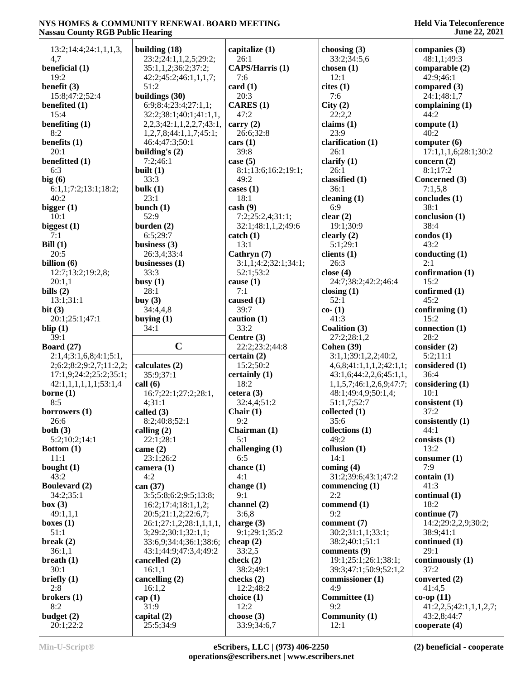| 13:2; 14:4; 24:1,1,1,3,                           | building $(18)$                              | capitalize (1)                 | choosing (3)                                        | companies (3)                         |
|---------------------------------------------------|----------------------------------------------|--------------------------------|-----------------------------------------------------|---------------------------------------|
| 4,7                                               | 23:2;24:1,1,2,5;29:2;                        | 26:1<br><b>CAPS/Harris (1)</b> | 33:2;34:5,6                                         | 48:1,1;49:3                           |
| beneficial (1)<br>19:2                            | 35:1,1,2;36:2;37:2;<br>42:2;45:2;46:1,1,1,7; | 7:6                            | chosen $(1)$<br>12:1                                | comparable (2)<br>42:9;46:1           |
| benefit (3)                                       | 51:2                                         | card(1)                        | cites(1)                                            | compared $(3)$                        |
| 15:8:47:2:52:4                                    | buildings (30)                               | 20:3                           | 7:6                                                 | 24:1;48:1,7                           |
| benefited $(1)$                                   | 6:9; 8:4; 23:4; 27:1,1;                      | CARES (1)                      | City(2)                                             | complaining $(1)$                     |
| 15:4                                              | 32:2;38:1;40:1;41:1,1,                       | 47:2                           | 22:2,2                                              | 44:2                                  |
| benefiting $(1)$                                  | 2, 2, 3; 42: 1, 1, 2, 2, 7; 43: 1,           | carry $(2)$                    | claims $(1)$                                        | compute $(1)$                         |
| 8:2                                               | 1,2,7,8;44:1,1,7;45:1;                       | 26:6;32:8                      | 23:9                                                | 40:2                                  |
| benefits (1)                                      | 46:4;47:3;50:1                               | cars (1)                       | clarification (1)                                   | computer $(6)$                        |
| 20:1                                              | building's $(2)$                             | 39:8                           | 26:1                                                | 17:1,1,1,6;28:1;30:2                  |
| benefitted (1)                                    | 7:2;46:1                                     | case $(5)$                     | clarify $(1)$                                       | concern $(2)$                         |
| 6:3                                               | built $(1)$                                  | 8:1;13:6;16:2;19:1;            | 26:1                                                | 8:1;17:2                              |
| big(6)                                            | 33:3                                         | 49:2                           | classified (1)                                      | Concerned (3)                         |
| 6:1,1;7:2;13:1;18:2;<br>40:2                      | bulk $(1)$<br>23:1                           | cases $(1)$<br>18:1            | 36:1<br>cleaning $(1)$                              | 7:1,5,8<br>concludes (1)              |
| bigger $(1)$                                      | bunch $(1)$                                  | $\cosh(9)$                     | 6:9                                                 | 38:1                                  |
| 10:1                                              | 52:9                                         | 7:2;25:2,4;31:1;               | clear $(2)$                                         | conclusion (1)                        |
| biggest (1)                                       | burden $(2)$                                 | 32:1;48:1,1,2;49:6             | 19:1;30:9                                           | 38:4                                  |
| 7:1                                               | 6:5;29:7                                     | $\text{catch} (1)$             | clearly $(2)$                                       | condos(1)                             |
| Bill $(1)$                                        | business $(3)$                               | 13:1                           | 5:1;29:1                                            | 43:2                                  |
| 20:5                                              | 26:3,4;33:4                                  | Cathryn (7)                    | clients (1)                                         | conducting $(1)$                      |
| billion $(6)$                                     | businesses (1)                               | 3:1,1;4:2;32:1;34:1;           | 26:3                                                | 2:1                                   |
| 12:7;13:2;19:2,8;                                 | 33:3                                         | 52:1;53:2                      | close $(4)$                                         | confirmation (1)                      |
| 20:1,1                                            | busy $(1)$                                   | cause $(1)$                    | 24:7;38:2;42:2;46:4                                 | 15:2                                  |
| bills $(2)$                                       | 28:1                                         | 7:1                            | closing $(1)$                                       | confirmed (1)                         |
| 13:1;31:1                                         | buy $(3)$                                    | caused (1)                     | 52:1                                                | 45:2                                  |
| bit(3)                                            | 34:4,4,8                                     | 39:7                           | $co-(1)$                                            | confirming $(1)$                      |
| 20:1;25:1;47:1                                    | buying $(1)$<br>34:1                         | caution $(1)$<br>33:2          | 41:3<br>Coalition (3)                               | 15:2<br>connection $(1)$              |
| blip $(1)$                                        |                                              |                                |                                                     |                                       |
|                                                   |                                              |                                |                                                     |                                       |
| 39:1                                              |                                              | Centre (3)                     | 27:2;28:1,2                                         | 28:2                                  |
| Board $(27)$                                      | $\mathbf C$                                  | 22:2;23:2;44:8                 | <b>Cohen</b> (39)                                   | consider (2)                          |
| 2:1,4;3:1,6,8;4:1;5:1,                            |                                              | certain $(2)$                  | 3:1,1;39:1,2,2;40:2,                                | 5:2;11:1                              |
| 2;6:2;8:2;9:2,7;11:2,2;                           | calculates (2)<br>35:9;37:1                  | 15:2;50:2                      | 4,6,8;41:1,1,1,2;42:1,1;                            | considered (1)<br>36:4                |
| 17:1,9;24:2;25:2;35:1;<br>42:1,1,1,1,1,1,1;53:1,4 | call(6)                                      | certainly (1)<br>18:2          | 43:1,6;44:2,2,6;45:1,1,<br>1,1,5,7;46:1,2,6,9;47:7; | considering $(1)$                     |
| borne $(1)$                                       | 16:7;22:1;27:2;28:1,                         | cetera (3)                     | 48:1;49:4,9;50:1,4;                                 | 10:1                                  |
| 8:5                                               | 4;31:1                                       | 32:4,4;51:2                    | 51:1,7;52:7                                         | consistent (1)                        |
| borrowers $(1)$                                   | called (3)                                   | Chair $(1)$                    | collected (1)                                       | 37:2                                  |
| 26:6                                              | 8:2;40:8;52:1                                | 9:2                            | 35:6                                                | consistently (1)                      |
| both $(3)$                                        | calling $(2)$                                | Chairman (1)                   | collections (1)                                     | 44:1                                  |
| 5:2;10:2;14:1                                     | 22:1;28:1                                    | 5:1                            | 49:2                                                | consists $(1)$                        |
| Bottom $(1)$                                      | came $(2)$                                   | challenging (1)                | collusion (1)                                       | 13:2                                  |
| 11:1                                              | 23:1;26:2                                    | 6:5                            | 14:1                                                | $\text{cosumer} (1)$                  |
| bought $(1)$                                      | camera $(1)$                                 | chance (1)                     | coming $(4)$                                        | 7:9                                   |
| 43:2                                              | 4:2                                          | 4:1                            | 31:2;39:6;43:1;47:2                                 | contain $(1)$<br>41:3                 |
| <b>Boulevard (2)</b><br>34:2;35:1                 | can (37)                                     | change $(1)$<br>9:1            | commencing (1)<br>2:2                               | continual(1)                          |
| box (3)                                           | 3:5;5:8;6:2;9:5;13:8;<br>16:2;17:4;18:1,1,2; | channel (2)                    | commend (1)                                         | 18:2                                  |
| 49:1,1,1                                          | 20:5;21:1,2;22:6,7;                          | 3:6,8                          | 9:2                                                 | continue (7)                          |
| boxes $(1)$                                       | 26:1;27:1,2;28:1,1,1,1,                      | charge $(3)$                   | comment (7)                                         | 14:2;29:2,2,9;30:2;                   |
| 51:1                                              | 3;29:2;30:1;32:1,1;                          | 9:1;29:1;35:2                  | 30:2;31:1,1;33:1;                                   | 38:9;41:1                             |
| break $(2)$                                       | 33:6,9;34:4;36:1;38:6;                       | cheap $(2)$                    | 38:2;40:1;51:1                                      | continued (1)                         |
| 36:1,1                                            | 43:1;44:9;47:3,4;49:2                        | 33:2,5                         | comments (9)                                        | 29:1                                  |
| breath $(1)$                                      | cancelled (2)                                | check $(2)$                    | 19:1;25:1;26:1;38:1;                                | continuously (1)                      |
| 30:1                                              | 16:1,1                                       | 38:2;49:1                      | 39:3;47:1;50:9;52:1,2                               | 37:2                                  |
| briefly $(1)$                                     | cancelling (2)                               | checks $(2)$                   | commissioner (1)                                    | converted (2)                         |
| 2:8                                               | 16:1,2                                       | 12:2;48:2                      | 4:9                                                 | 41:4,5                                |
| brokers $(1)$                                     | cap $(1)$                                    | choice $(1)$                   | Committee (1)                                       | $co-op(11)$                           |
| 8:2<br>budget $(2)$                               | 31:9<br>capital $(2)$                        | 12:2<br>choose $(3)$           | 9:2<br>Community (1)                                | 41:2,2,5;42:1,1,1,2,7;<br>43:2,8;44:7 |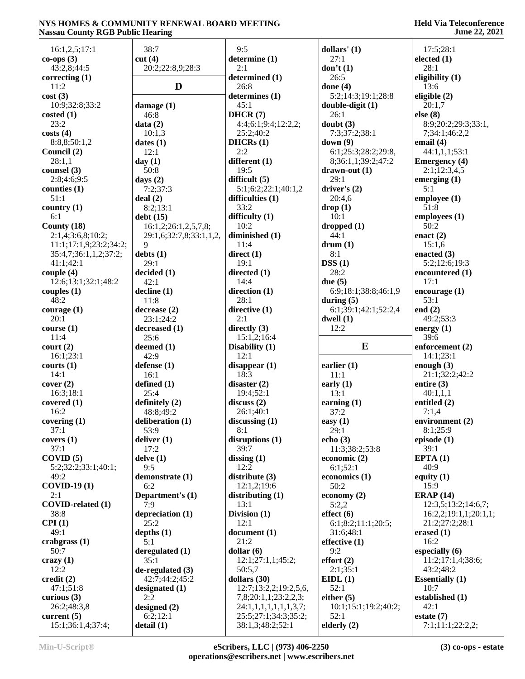| 16:1,2,5;17:1                | 38:7                       | 9:5                                           | dollars' $(1)$                      | 17:5;28:1               |
|------------------------------|----------------------------|-----------------------------------------------|-------------------------------------|-------------------------|
| $co-ops(3)$                  | cut(4)                     | determine (1)                                 | 27:1                                | elected $(1)$           |
| 43:2,8;44:5                  | 20:2;22:8,9;28:3           | 2:1                                           | don't $(1)$                         | 28:1                    |
| correcting $(1)$             |                            | determined (1)                                | 26:5                                | eligibility $(1)$       |
| 11:2                         | D                          | 26:8                                          | done $(4)$                          | 13:6                    |
| cost(3)                      |                            | determines (1)                                | 5:2;14:3;19:1;28:8                  | eligible $(2)$          |
| 10:9;32:8;33:2               | damage $(1)$               | 45:1                                          | $double-digit (1)$                  | 20:1,7                  |
| $\cos$ ted $(1)$             | 46:8                       | DHCR(7)                                       | 26:1                                | else (8)                |
| 23:2                         | data(2)                    | 4:4;6:1;9:4;12:2,2;                           | doubt(3)                            | 8:9;20:2;29:3;33:1,     |
| costs(4)                     | 10:1,3                     | 25:2;40:2                                     | 7:3;37:2;38:1                       | 7;34:1;46:2,2           |
| 8:8,8;50:1,2                 | dates $(1)$                | DHCRs(1)                                      | down $(9)$                          | email $(4)$             |
| Council (2)                  | 12:1                       | 2:2                                           | 6:1;25:3;28:2;29:8,                 | 44:1,1,1;53:1           |
| 28:1,1                       | day $(1)$                  | different (1)                                 | 8;36:1,1;39:2;47:2                  | <b>Emergency</b> (4)    |
| counsel $(3)$                | 50:8                       | 19:5                                          | $drawn-out(1)$                      | 2:1;12:3,4,5            |
| 2:8;4:6;9:5                  | days $(2)$                 | difficult $(5)$                               | 29:1                                | emerging $(1)$          |
| counties (1)                 | 7:2;37:3                   | 5:1;6:2;22:1;40:1,2                           | driver's (2)                        | 5:1                     |
| 51:1                         | deal(2)                    | difficulties $(1)$                            | 20:4,6                              | employee $(1)$          |
| country $(1)$                | 8:2;13:1                   | 33:2                                          | drop(1)                             | 51:8                    |
| 6:1                          | debt(15)                   | difficulty $(1)$                              | 10:1                                | employees $(1)$         |
| County $(18)$                | 16:1,2;26:1,2,5,7,8;       | 10:2                                          | dropped(1)                          | 50:2                    |
| 2:1,4;3:6,8;10:2;            | 29:1,6;32:7,8;33:1,1,2,    | diminished (1)                                | 44:1                                | enact $(2)$             |
| 11:1;17:1,9;23:2;34:2;       | 9                          | 11:4                                          | drum(1)                             | 15:1,6                  |
| 35:4,7;36:1,1,2;37:2;        | debts(1)                   | direct(1)                                     | 8:1                                 | enacted $(3)$           |
| 41:1;42:1                    | 29:1                       | 19:1                                          | DSS(1)                              | 5:2;12:6;19:3           |
| couple $(4)$                 | decided (1)                | directed $(1)$                                | 28:2                                | encountered $(1)$       |
| 12:6;13:1;32:1;48:2          | 42:1                       | 14:4                                          | due $(5)$                           | 17:1                    |
| couples $(1)$                | $\text{decline} (1)$       | direction (1)                                 | 6:9;18:1;38:8;46:1,9                | encourage $(1)$         |
| 48:2                         | 11:8                       | 28:1                                          | during $(5)$                        | 53:1                    |
| courage $(1)$<br>20:1        | decrease(2)<br>23:1;24:2   | directive (1)<br>2:1                          | 6:1;39:1;42:1;52:2,4<br>dwell $(1)$ | end $(2)$<br>49:2;53:3  |
| course(1)                    | decreased (1)              | directly $(3)$                                | 12:2                                | energy $(1)$            |
| 11:4                         | 25:6                       | 15:1,2;16:4                                   |                                     | 39:6                    |
| $\text{court} (2)$           | deemed $(1)$               | Disability (1)                                | ${\bf E}$                           | enforcement (2)         |
| 16:1;23:1                    | 42:9                       | 12:1                                          |                                     | 14:1;23:1               |
| counts(1)                    | defense $(1)$              | disappear(1)                                  | earlier $(1)$                       | enough $(3)$            |
| 14:1                         | 16:1                       | 18:3                                          | 11:1                                | 21:1;32:2;42:2          |
| cover (2)                    | defined $(1)$              | disaster $(2)$                                | early $(1)$                         | entire $(3)$            |
| 16:3:18:1                    | 25:4                       | 19:4;52:1                                     | 13:1                                | 40:1,1,1                |
| covered (1)                  | definitely $(2)$           | discuss(2)                                    | earning $(1)$                       | entitled $(2)$          |
| 16:2                         | 48:8;49:2                  | 26:1;40:1                                     | 37:2                                | 7:1,4                   |
| covering (1)                 | deliberation (1)           | discussing (1)                                | easy $(1)$                          | environment (2)         |
| 37:1                         | 53:9                       | 8:1                                           | 29:1                                | 8:1;25:9                |
| covers(1)                    | deliver $(1)$              | distributions(1)                              | echo $(3)$                          | episode $(1)$           |
| 37:1                         | 17:2                       | 39:7                                          | 11:3;38:2;53:8                      | 39:1                    |
| COVID(5)                     | delve(1)                   | dissing $(1)$                                 | economic $(2)$                      | EPTA(1)                 |
| 5:2;32:2;33:1;40:1;          | 9:5                        | 12:2                                          | 6:1;52:1                            | 40:9                    |
| 49:2                         | demonstrate (1)            | distribute (3)                                | economics (1)                       | equity $(1)$            |
| $COVID-19(1)$                | 6:2                        | 12:1,2;19:6                                   | 50:2                                | 15:9                    |
| 2:1                          | Department's (1)           | distributing (1)                              | economy $(2)$                       | ERAP $(14)$             |
| COVID-related (1)            | 7:9                        | 13:1                                          | 5:2,2                               | 12:3,5;13:2;14:6,7;     |
| 38:8                         | depreciation (1)<br>25:2   | Division $(1)$<br>12:1                        | effect(6)<br>6:1;8:2;11:1;20:5;     | 16:2,2;19:1,1;20:1,1;   |
| CPI(1)                       |                            |                                               | 31:6;48:1                           | 21:2;27:2;28:1          |
| 49:1                         | depths $(1)$<br>5:1        | document(1)<br>21:2                           | effective $(1)$                     | erased $(1)$<br>16:2    |
| crabgrass $(1)$<br>50:7      | deregulated $(1)$          | dollar $(6)$                                  | 9:2                                 | especially $(6)$        |
| crazy $(1)$                  | 35:1                       | 12:1;27:1,1;45:2;                             | effort(2)                           | 11:2;17:1,4;38:6;       |
|                              |                            |                                               |                                     |                         |
|                              |                            |                                               |                                     |                         |
| 12:2                         | de-regulated (3)           | 50:5,7                                        | 2:1;35:1                            | 43:2;48:2               |
| $\text{credit}(2)$           | 42:7;44:2;45:2             | dollars (30)                                  | EIDL(1)                             | <b>Essentially (1)</b>  |
| 47:1;51:8                    | designated $(1)$<br>2:2    | 12:7;13:2,2;19:2,5,6,                         | 52:1                                | 10:7                    |
| curious $(3)$                |                            | 7,8;20:1,1;23:2,2,3;                          | either $(5)$                        | established (1)<br>42:1 |
| 26:2;48:3,8<br>current $(5)$ | designed $(2)$<br>6:2;12:1 | 24:1,1,1,1,1,1,1,3,7;<br>25:5;27:1;34:3;35:2; | 10:1;15:1;19:2;40:2;<br>52:1        | estate $(7)$            |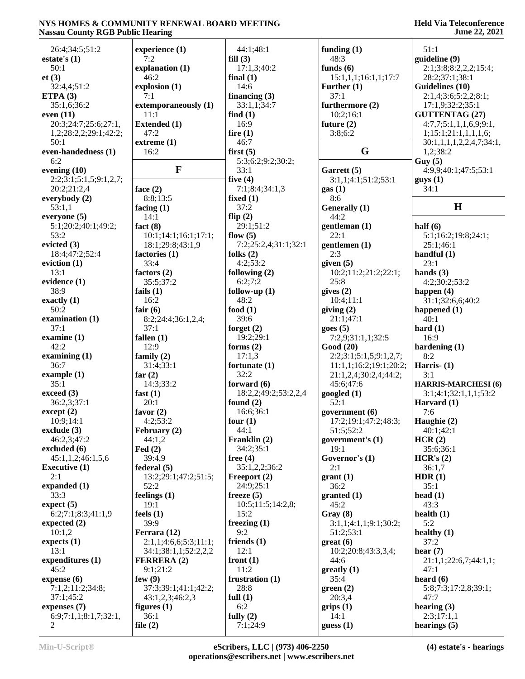### **Held Via Teleconference June 22, 2021**

| 26:4;34:5;51:2         | experience (1)         | 44:1;48:1            | funding $(1)$          | 51:1                       |
|------------------------|------------------------|----------------------|------------------------|----------------------------|
| estate's $(1)$         | 7:2                    | fill $(3)$           | 48:3                   | guideline (9)              |
| 50:1                   | explanation (1)        | 17:1,3;40:2          | funds $(6)$            | 2:1;3:8;8:2,2,2;15:4;      |
|                        |                        |                      |                        |                            |
| et(3)                  | 46:2                   | final $(1)$          | 15:1,1,1;16:1,1;17:7   | 28:2;37:1;38:1             |
| 32:4,4;51:2            | explosion (1)          | 14:6                 | Further $(1)$          | Guidelines (10)            |
| ETPA $(3)$             | 7:1                    | financing $(3)$      | 37:1                   | 2:1,4;3:6;5:2,2;8:1;       |
| 35:1,6;36:2            | extemporaneously (1)   | 33:1,1;34:7          | furthermore (2)        | 17:1,9;32:2;35:1           |
| even $(11)$            | 11:1                   | find $(1)$           | 10:2;16:1              | <b>GUTTENTAG (27)</b>      |
| 20:3;24:7;25:6;27:1,   | <b>Extended (1)</b>    | 16:9                 | future $(2)$           | 4:7,7;5:1,1,1,6,9;9:1,     |
| 1,2;28:2,2;29:1;42:2;  | 47:2                   | fire $(1)$           | 3:8;6:2                | 1;15:1;21:1,1,1,1,6;       |
| 50:1                   | extreme (1)            | 46:7                 |                        | 30:1,1,1,1,2,2,4,7;34:1,   |
| even-handedness (1)    | 16:2                   | first $(5)$          | G                      | 1,2;38:2                   |
| 6:2                    |                        | 5:3;6:2;9:2;30:2;    |                        | Guy(5)                     |
| evening $(10)$         | F                      | 33:1                 | Garrett (5)            | 4:9,9;40:1;47:5;53:1       |
| 2:2;3:1;5:1,5;9:1,2,7; |                        | five $(4)$           | 3:1,1;4:1;51:2;53:1    | gays(1)                    |
| 20:2;21:2,4            | face $(2)$             | 7:1;8:4;34:1,3       | gas(1)                 | 34:1                       |
| everybody $(2)$        | 8:8;13:5               | fixed $(1)$          | 8:6                    |                            |
| 53:1,1                 | facing $(1)$           | 37:2                 | Generally (1)          | H                          |
| everyone (5)           | 14:1                   | flip $(2)$           | 44:2                   |                            |
| 5:1;20:2;40:1;49:2;    | fact $(8)$             | 29:1;51:2            | gentleman (1)          | half $(6)$                 |
| 53:2                   | 10:1;14:1;16:1;17:1;   | flow $(5)$           | 22:1                   | 5:1;16:2;19:8;24:1;        |
| evicted $(3)$          | 18:1;29:8;43:1,9       | 7:2;25:2,4;31:1;32:1 | gentlemen (1)          | 25:1;46:1                  |
| 18:4;47:2;52:4         |                        | folks $(2)$          |                        | handful $(1)$              |
|                        | factories (1)          |                      | 2:3                    |                            |
| eviction $(1)$         | 33:4                   | 4:2;53:2             | given $(5)$            | 23:1                       |
| 13:1                   | factors $(2)$          | following $(2)$      | 10:2;11:2;21:2;22:1;   | hands $(3)$                |
| evidence (1)           | 35:5;37:2              | 6:2;7:2              | 25:8                   | 4:2;30:2;53:2              |
| 38:9                   | fails $(1)$            | follow-up $(1)$      | gives $(2)$            | happen $(4)$               |
| exactly $(1)$          | 16:2                   | 48:2                 | 10:4;11:1              | 31:1;32:6,6;40:2           |
| 50:2                   | fair $(6)$             | food $(1)$           | giving (2)             | happened (1)               |
| examination (1)        | 8:2;24:4;36:1,2,4;     | 39:6                 | 21:1;47:1              | 40:1                       |
| 37:1                   | 37:1                   | forget $(2)$         | goes(5)                | hard $(1)$                 |
| examine $(1)$          | fallen $(1)$           | 19:2;29:1            | 7:2,9;31:1,1;32:5      | 16:9                       |
| 42:2                   | 12:9                   | forms $(2)$          | Good (20)              | hardening $(1)$            |
| examining $(1)$        | family $(2)$           | 17:1,3               | 2:2;3:1;5:1,5;9:1,2,7; | 8:2                        |
| 36:7                   | 31:4;33:1              | fortunate $(1)$      | 11:1,1;16:2;19:1;20:2; | Harris $- (1)$             |
| example $(1)$          | far $(2)$              | 32:2                 | 21:1,2,4;30:2,4;44:2;  | 3:1                        |
| 35:1                   | 14:3;33:2              | forward $(6)$        | 45:6;47:6              | <b>HARRIS-MARCHESI</b> (6) |
| exceed (3)             | fast $(1)$             | 18:2,2;49:2;53:2,2,4 | googled $(1)$          | 3:1;4:1;32:1,1,1;53:2      |
| 36:2,3;37:1            | 20:1                   | found $(2)$          | 52:1                   | Harvard (1)                |
| $\text{except} \, (2)$ | favor $(2)$            | 16:6;36:1            | government (6)         | 7:6                        |
| 10:9;14:1              | 4:2;53:2               | four $(1)$           | 17:2;19:1;47:2;48:3;   | Haughie (2)                |
| exclude $(3)$          |                        | 44:1                 | 51:5;52:2              | 40:1;42:1                  |
| 46:2,3;47:2            | February (2)<br>44:1,2 | Franklin (2)         |                        |                            |
|                        |                        |                      | government's (1)       | HCR(2)                     |
| excluded (6)           | $\text{Fed}(2)$        | 34:2;35:1            | 19:1                   | 35:6;36:1                  |
| 45:1,1,2;46:1,5,6      | 39:4,9                 | free $(4)$           | Governor's (1)         | HCR's (2)                  |
| <b>Executive (1)</b>   | federal(5)             | 35:1,2,2;36:2        | 2:1                    | 36:1,7                     |
| 2:1                    | 13:2;29:1;47:2;51:5;   | Freeport (2)         | grant(1)               | HDR(1)                     |
| expanded (1)           | 52:2                   | 24:9:25:1            | 36:2                   | 35:1                       |
| 33:3                   | feelings $(1)$         | freeze $(5)$         | granted (1)            | head $(1)$                 |
| expect (5)             | 19:1                   | 10:5;11:5;14:2,8;    | 45:2                   | 43:3                       |
| 6:2;7:1;8:3;41:1,9     | feels $(1)$            | 15:2                 | Gray (8)               | health $(1)$               |
| expected $(2)$         | 39:9                   | freezing $(1)$       | 3:1,1;4:1,1;9:1;30:2;  | 5:2                        |
| 10:1,2                 | Ferrara (12)           | 9:2                  | 51:2;53:1              | healthy $(1)$              |
| expects $(1)$          | 2:1,1;4:6,6;5:3;11:1;  | friends $(1)$        | $gr(6)$                | 37:2                       |
| 13:1                   | 34:1;38:1,1;52:2,2,2   | 12:1                 | 10:2;20:8;43:3,3,4;    | hear $(7)$                 |
| expenditures (1)       | <b>FERRERA (2)</b>     | front $(1)$          | 44:6                   | 21:1,1;22:6,7;44:1,1;      |
| 45:2                   | 9:1;21:2               | 11:2                 | $grealty$ (1)          | 47:1                       |
| expense $(6)$          | few $(9)$              | frustration $(1)$    | 35:4                   | heard $(6)$                |
| 7:1,2;11:2;34:8;       | 37:3;39:1;41:1;42:2;   | 28:8                 | green(2)               | 5:8;7:3;17:2,8;39:1;       |
| 37:1;45:2              | 43:1,2,3;46:2,3        | full $(1)$           | 20:3,4                 | 47:7                       |
| expenses $(7)$         | figures $(1)$          | 6:2                  | grips(1)               | hearing $(3)$              |
| 6:9;7:1,1;8:1,7;32:1,  | 36:1                   | fully $(2)$          | 14:1                   | 2:3;17:1,1                 |
| 2                      | file $(2)$             | 7:1;24:9             | guess(1)               | hearings $(5)$             |
|                        |                        |                      |                        |                            |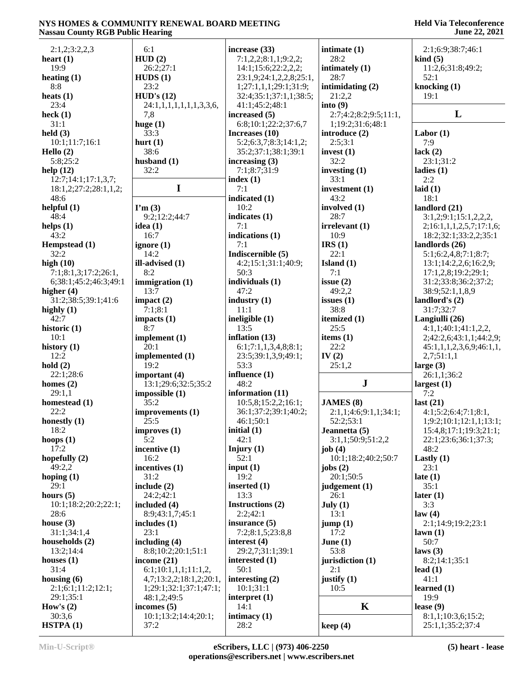| 2:1,2;3:2,2,3                       | 6:1                             | increase (33)                | intimate $(1)$         | 2:1;6:9;38:7;46:1                                 |
|-------------------------------------|---------------------------------|------------------------------|------------------------|---------------------------------------------------|
| heart $(1)$                         | HUD(2)                          | 7:1,2,2;8:1,1;9:2,2;         | 28:2                   | $\boldsymbol{\mathrm{kind}}$ (5)                  |
| 19:9                                | 26:2;27:1                       | 14:1;15:6;22:2,2,2;          | intimately (1)         | 11:2,6;31:8;49:2;                                 |
| heating $(1)$                       | HUDS(1)                         | 23:1,9;24:1,2,2,8;25:1,      | 28:7                   | 52:1                                              |
| 8:8                                 | 23:2                            | 1;27:1,1,1;29:1;31:9;        | intimidating $(2)$     | knocking (1)                                      |
| heats $(1)$                         | HUD's (12)                      | 32:4;35:1;37:1,1;38:5;       | 21:2,2                 | 19:1                                              |
| 23:4                                | 24:1,1,1,1,1,1,1,3,3,6,         | 41:1;45:2;48:1               | into(9)                |                                                   |
| heck $(1)$                          | 7,8                             | increased (5)                | 2:7;4:2;8:2;9:5;11:1,  | L                                                 |
| 31:1                                | huge $(1)$                      | 6:8;10:1;22:2;37:6,7         | 1;19:2;31:6;48:1       |                                                   |
| $\text{held}(3)$                    | 33:3                            | Increases (10)               | introduce (2)          | Labor $(1)$                                       |
| 10:1;11:7;16:1                      | hurt $(1)$                      | 5:2;6:3,7;8:3;14:1,2;        | 2:5;3:1                | 7:9                                               |
| Hello $(2)$                         | 38:6                            | 35:2;37:1;38:1;39:1          | invest $(1)$           | lack $(2)$                                        |
| 5:8;25:2                            | husband $(1)$                   | increasing $(3)$             | 32:2                   | 23:1;31:2                                         |
| help $(12)$                         | 32:2                            | 7:1;8:7;31:9                 | investing $(1)$        | ladies $(1)$                                      |
| 12:7;14:1;17:1,3,7;                 |                                 | index $(1)$                  | 33:1                   | 2:2                                               |
| 18:1,2;27:2;28:1,1,2;               | $\mathbf I$                     | 7:1                          | investment (1)         | laid $(1)$                                        |
| 48:6                                |                                 | indicated (1)                | 43:2                   | 18:1                                              |
| helpful $(1)$                       | $\Gamma$ m $(3)$                | 10:2                         | involved (1)           | landlord (21)                                     |
| 48:4                                | 9:2;12:2;44:7                   | indicates $(1)$<br>7:1       | 28:7                   | 3:1,2;9:1;15:1,2,2,2,                             |
| helps $(1)$<br>43:2                 | idea(1)<br>16:7                 | indications (1)              | irrelevant (1)<br>10:9 | 2;16:1,1,1,2,5,7;17:1,6;<br>18:2;32:1;33:2,2;35:1 |
|                                     |                                 | 7:1                          | IRS(1)                 | landlords (26)                                    |
| Hempstead (1)<br>32:2               | ignore $(1)$<br>14:2            | Indiscernible (5)            | 22:1                   | 5:1;6:2,4,8;7:1;8:7;                              |
| high $(10)$                         | ill-advised (1)                 | 4:2;15:1;31:1;40:9;          | Island $(1)$           | 13:1;14:2,2,6;16:2,9;                             |
| 7:1;8:1,3;17:2;26:1,                | 8:2                             | 50:3                         | 7:1                    | 17:1,2,8;19:2;29:1;                               |
| 6;38:1;45:2;46:3;49:1               | immigration (1)                 | individuals (1)              | issue $(2)$            | 31:2;33:8;36:2;37:2;                              |
| higher $(4)$                        | 13:7                            | 47:2                         | 49:2,2                 | 38:9;52:1,1,8,9                                   |
| 31:2;38:5;39:1;41:6                 | impact $(2)$                    | industry $(1)$               | issues $(1)$           | landlord's $(2)$                                  |
| highly $(1)$                        | 7:1;8:1                         | 11:1                         | 38:8                   | 31:7;32:7                                         |
| 42:7                                | impacts $(1)$                   | ineligible $(1)$             | itemized (1)           | Langiulli (26)                                    |
| historic (1)                        | 8:7                             | 13:5                         | 25:5                   | 4:1,1;40:1;41:1,2,2,                              |
| 10:1                                | implement $(1)$                 | inflation $(13)$             | items $(1)$            | 2;42:2,6;43:1,1;44:2,9;                           |
| history $(1)$                       | 20:1                            | 6:1;7:1,1,3,4,8;8:1;         | 22:2                   | 45:1,1,1,2,3,6,9;46:1,1,                          |
| 12:2                                | implemented (1)                 | 23:5;39:1,3,9;49:1;          | IV $(2)$               | 2,7;51:1,1                                        |
| hold(2)                             | 19:2                            | 53:3                         | 25:1,2                 | large $(3)$                                       |
| 22:1;28:6                           | important (4)                   | influence (1)                |                        | 26:1,1;36:2                                       |
| homes $(2)$                         | 13:1;29:6;32:5;35:2             | 48:2                         | ${\bf J}$              | largest $(1)$                                     |
| 29:1,1                              | impossible(1)                   | information (11)             |                        | 7:2                                               |
| homestead $(1)$                     | 35:2                            | 10:5,8;15:2,2;16:1;          | <b>JAMES</b> (8)       | last $(21)$                                       |
| 22:2                                | improvements (1)                | 36:1;37:2;39:1;40:2;         | 2:1,1;4:6;9:1,1;34:1;  | 4:1;5:2;6:4;7:1;8:1,                              |
| honestly $(1)$                      | 25:5                            | 46:1;50:1                    | 52:2;53:1              | 1;9:2;10:1;12:1,1;13:1;                           |
| 18:2                                | improves (1)                    | initial $(1)$                | Jeannetta (5)          | 15:4,8;17:1;19:3;21:1;                            |
| hoops $(1)$                         | 5:2                             | 42:1                         | 3:1,1;50:9;51:2,2      | 22:1;23:6;36:1;37:3;                              |
| 17:2                                | incentive $(1)$                 | Injury $(1)$                 | job $(4)$              | 48:2                                              |
| hopefully $(2)$                     | 16:2                            | 52:1                         | 10:1;18:2;40:2;50:7    | Lastly $(1)$                                      |
| 49:2,2                              | incentives $(1)$                | input $(1)$                  | jobs $(2)$             | 23:1                                              |
| hoping $(1)$                        | 31:2                            | 19:2                         | 20:1;50:5              | late $(1)$                                        |
| 29:1                                | include $(2)$                   | inserted $(1)$               | judgement (1)          | 35:1                                              |
| hours $(5)$<br>10:1;18:2;20:2;22:1; | 24:2;42:1                       | 13:3                         | 26:1                   | later $(1)$                                       |
| 28:6                                | included (4)<br>8:9;43:1,7;45:1 | Instructions (2)<br>2:2;42:1 | July (1)<br>13:1       | 3:3<br>law(4)                                     |
| house $(3)$                         | includes $(1)$                  | insurance $(5)$              | jump(1)                | 2:1:14:9:19:2:23:1                                |
| 31:1;34:1,4                         | 23:1                            | 7:2;8:1,5;23:8,8             | 17:2                   | lawn(1)                                           |
| households (2)                      | including (4)                   | interest $(4)$               | June $(1)$             | 50:7                                              |
| 13:2;14:4                           | 8:8;10:2;20:1;51:1              | 29:2,7;31:1;39:1             | 53:8                   | laws $(3)$                                        |
| houses $(1)$                        | income $(21)$                   | interested $(1)$             | jurisdiction (1)       | 8:2;14:1;35:1                                     |
| 31:4                                | 6:1;10:1,1,1;11:1,2,            | 50:1                         | 2:1                    | lead $(1)$                                        |
| housing $(6)$                       | 4,7;13:2,2;18:1,2;20:1,         | interesting $(2)$            | justify $(1)$          | 41:1                                              |
| 2:1;6:1;11:2;12:1;                  | 1;29:1;32:1;37:1;47:1;          | 10:1;31:1                    | 10:5                   | learned $(1)$                                     |
| 29:1;35:1                           | 48:1,2;49:5                     | interpret $(1)$              |                        | 19:9                                              |
| How's $(2)$                         | incomes $(5)$                   | 14:1                         | $\mathbf K$            | lease $(9)$                                       |
| 30:3,6                              | 10:1;13:2;14:4;20:1;            | intimacy $(1)$               |                        | 8:1,1;10:3,6;15:2;                                |
| HSTPA(1)                            | 37:2                            | 28:2                         | keep(4)                | 25:1,1;35:2;37:4                                  |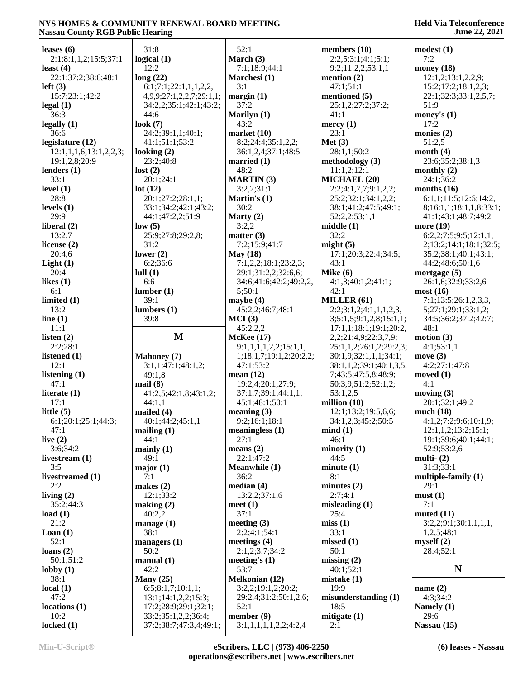| leases $(6)$                       | 31:8                                              | 52:1                    | members $(10)$          | modest(1)                                    |
|------------------------------------|---------------------------------------------------|-------------------------|-------------------------|----------------------------------------------|
| 2:1;8:1,1,2;15:5;37:1              | logical $(1)$                                     | March (3)               | 2:2,5;3:1;4:1;5:1;      | 7:2                                          |
|                                    | 12:2                                              | 7:1;18:9;44:1           | 9:2;11:2,2;53:1,1       | money $(18)$                                 |
| least $(4)$<br>22:1;37:2;38:6;48:1 | long(22)                                          | Marchesi (1)            | mention $(2)$           | 12:1,2;13:1,2,2,9;                           |
|                                    |                                                   | 3:1                     | 47:1;51:1               |                                              |
| left(3)<br>15:7;23:1;42:2          | 6:1;7:1;22:1,1,1,2,2,<br>4,9,9;27:1,2,2,7;29:1,1; | margin(1)               | mentioned (5)           | 15:2;17:2;18:1,2,3;<br>22:1;32:3;33:1,2,5,7; |
| $\text{legal } (1)$                | 34:2,2;35:1;42:1;43:2;                            | 37:2                    | 25:1,2;27:2;37:2;       | 51:9                                         |
| 36:3                               | 44:6                                              | Marilyn (1)             | 41:1                    | money's $(1)$                                |
| legally(1)                         | look $(7)$                                        | 43:2                    | mercy $(1)$             | 17:2                                         |
| 36:6                               | 24:2;39:1,1;40:1;                                 | market $(10)$           | 23:1                    | monies $(2)$                                 |
| legislature (12)                   | 41:1;51:1;53:2                                    | 8:2;24:4;35:1,2,2;      | Met(3)                  | 51:2,5                                       |
| 12:1,1,1,6;13:1,2,2,3;             | looking $(2)$                                     | 36:1,2,4;37:1;48:5      | 28:1,1;50:2             | month $(4)$                                  |
| 19:1,2,8;20:9                      | 23:2;40:8                                         | married $(1)$           | methodology $(3)$       | 23:6;35:2;38:1,3                             |
| lenders $(1)$                      | lost(2)                                           | 48:2                    | 11:1,2;12:1             | monthly $(2)$                                |
| 33:1                               | 20:1;24:1                                         | <b>MARTIN</b> (3)       | MICHAEL (20)            | 24:1;36:2                                    |
| level $(1)$                        | lot(12)                                           | 3:2,2;31:1              | 2:2;4:1,7,7;9:1,2,2;    | months $(16)$                                |
| 28:8                               | 20:1;27:2;28:1,1;                                 | Martin's $(1)$          | 25:2;32:1;34:1,2,2;     | 6:1,1;11:5;12:6;14:2,                        |
| levels $(1)$                       | 33:1;34:2;42:1;43:2;                              | 30:2                    | 38:1;41:2;47:5;49:1;    | 8;16:1,1;18:1,1,8;33:1;                      |
| 29:9                               | 44:1;47:2,2;51:9                                  | Marty $(2)$             | 52:2,2;53:1,1           | 41:1;43:1;48:7;49:2                          |
| liberal $(2)$                      | low(5)                                            | 3:2,2                   | middle(1)               | more (19)                                    |
| 13:2,7                             | 25:9;27:8;29:2,8;                                 | matter $(3)$            | 32:2                    | 6:2,2;7:5;9:5;12:1,1,                        |
| license $(2)$                      | 31:2                                              | 7:2;15:9;41:7           | might $(5)$             | 2;13:2;14:1;18:1;32:5;                       |
| 20:4,6                             | lower $(2)$                                       | May $(18)$              | 17:1;20:3;22:4;34:5;    | 35:2;38:1;40:1;43:1;                         |
| Light(1)                           | 6:2:36:6                                          | 7:1,2,2;18:1;23:2,3;    | 43:1                    | 44:2;48:6;50:1,6                             |
| 20:4                               | lull(1)                                           | 29:1;31:2,2;32:6,6;     | Mike $(6)$              | mortgage $(5)$                               |
| likes $(1)$                        | 6:6                                               | 34:6;41:6;42:2;49:2,2,  | 4:1,3;40:1,2;41:1;      | 26:1,6;32:9;33:2,6                           |
| 6:1                                | lumber(1)                                         | 5:50:1                  | 42:1                    | most(16)                                     |
| limited $(1)$                      | 39:1                                              | maybe $(4)$             | MILLER (61)             | 7:1;13:5;26:1,2,3,3,                         |
| 13:2                               | lumbers(1)                                        | 45:2,2;46:7;48:1        | 2:2;3:1,2;4:1,1,1,2,3,  | 5;27:1;29:1;33:1,2;                          |
| line $(1)$                         | 39:8                                              | MCI(3)                  | 3;5:1,5;9:1,2,8;15:1,1; | 34:5;36:2;37:2;42:7;                         |
| 11:1                               |                                                   | 45:2,2,2                | 17:1,1;18:1;19:1;20:2,  | 48:1                                         |
| listen $(2)$                       | $\mathbf{M}$                                      | <b>McKee</b> (17)       | 2,2;21:4,9;22:3,7,9;    | motion $(3)$                                 |
| 2:2;28:1                           |                                                   | 9:1,1,1,1,2,2;15:1,1,   | 25:1,1,2;26:1,2;29:2,3; | 4:1;53:1,1                                   |
| listened $(1)$                     | <b>Mahoney</b> (7)                                | 1;18:1,7;19:1,2;20:2,2; | 30:1,9;32:1,1,1;34:1;   | move $(3)$                                   |
| 12:1                               | 3:1,1;47:1;48:1,2;                                | 47:1;53:2               | 38:1,1,2;39:1;40:1,3,5, | 4:2;27:1;47:8                                |
| listening $(1)$                    | 49:1,8                                            | mean $(12)$             | 7;43:5;47:5,8;48:9;     | moved $(1)$                                  |
| 47:1                               | mail(8)                                           | 19:2,4;20:1;27:9;       | 50:3,9;51:2;52:1,2;     | 4:1                                          |
| literate $(1)$                     | 41:2,5;42:1,8;43:1,2;                             | 37:1,7;39:1;44:1,1;     | 53:1,2,5                | moving $(3)$                                 |
| 17:1                               | 44:1,1                                            | 45:1;48:1;50:1          | million $(10)$          | 20:1;32:1;49:2                               |
| little $(5)$                       | mailed $(4)$                                      | meaning $(3)$           | 12:1;13:2;19:5,6,6;     | much $(18)$                                  |
| 6:1;20:1;25:1;44:3;                | 40:1;44:2;45:1,1                                  | 9:2;16:1;18:1           | 34:1,2,3;45:2;50:5      | 4:1,2;7:2;9:6;10:1,9;                        |
| 47:1                               | mailing(1)                                        | meaningless $(1)$       | mind(1)                 | 12:1,1,2;13:2;15:1;                          |
| live $(2)$                         | 44:1                                              | 27:1                    | 46:1                    | 19:1;39:6;40:1;44:1;                         |
| 3:6;34:2                           | mainly $(1)$                                      | means $(2)$             | minority(1)             | 52:9;53:2,6                                  |
| livestream (1)                     | 49:1                                              | 22:1;47:2               | 44:5                    | multi- $(2)$                                 |
| 3:5                                | major(1)                                          | <b>Meanwhile (1)</b>    | minute(1)               | 31:3;33:1                                    |
| livestreamed (1)                   | 7:1                                               | 36:2                    | 8:1                     | multiple-family $(1)$                        |
| 2:2                                | makes $(2)$                                       | median(4)               | minutes $(2)$           | 29:1                                         |
| living $(2)$                       | 12:1;33:2                                         | 13:2,2;37:1,6           | 2:7;4:1                 | must(1)                                      |
| 35:2;44:3                          | making (2)                                        | meet(1)                 | misleading $(1)$        | 7:1                                          |
| load $(1)$                         | 40:2,2                                            | 37:1                    | 25:4                    | muted $(11)$                                 |
| 21:2                               | manage $(1)$                                      | meeting $(3)$           | miss(1)                 | 3:2,2;9:1;30:1,1,1,1,1,                      |
| $\text{Lean}(1)$                   | 38:1                                              | 2:2;4:1;54:1            | 33:1                    | 1,2,5;48:1                                   |
| 52:1                               | managers (1)                                      | meetings $(4)$          | missed(1)               | myself $(2)$                                 |
| loans $(2)$                        | 50:2                                              | 2:1,2;3:7;34:2          | 50:1                    | 28:4;52:1                                    |
| 50:1;51:2                          | manual(1)                                         | meeting's $(1)$         | missing $(2)$           |                                              |
| lobby $(1)$                        | 42:2                                              | 53:7                    | 40:1;52:1               | N                                            |
| 38:1                               | Many $(25)$                                       | <b>Melkonian (12)</b>   | mistake $(1)$           |                                              |
| local(1)                           | 6:5; 8:1,7; 10:1,1;                               | 3:2,2;19:1,2;20:2;      | 19:9                    | name $(2)$                                   |
| 47:2                               | 13:1;14:1,2,2;15:3;                               | 29:2,4;31:2;50:1,2,6;   | misunderstanding (1)    | 4:3;34:2                                     |
| locations <sub>(1)</sub>           | 17:2;28:9;29:1;32:1;                              | 52:1                    | 18:5                    | Namely (1)                                   |
| 10:2                               | 33:2;35:1,2,2;36:4;                               | member (9)              | mitigate $(1)$          | 29:6                                         |
| locked $(1)$                       | 37:2;38:7;47:3,4;49:1;                            | 3:1,1,1,1,1,2,2;4:2,4   | 2:1                     | Nassau (15)                                  |
|                                    |                                                   |                         |                         |                                              |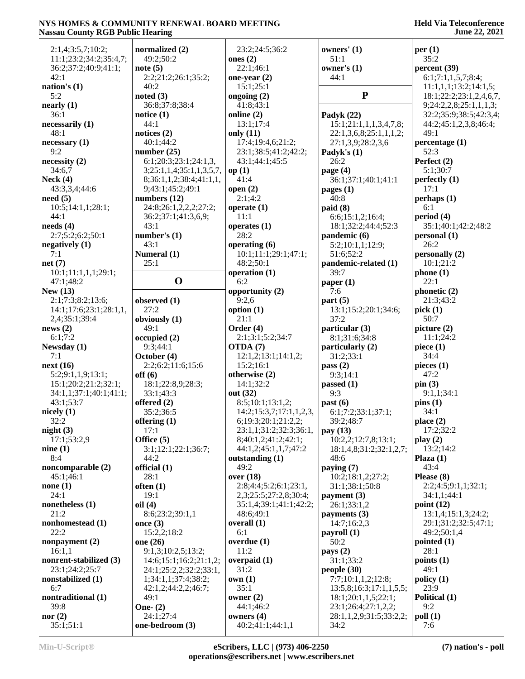| 2:1,4;3:5,7;10:2;                | normalized (2)                                   | 23:2;24:5;36:2            | owners' $(1)$                   | per(1)                  |
|----------------------------------|--------------------------------------------------|---------------------------|---------------------------------|-------------------------|
| 11:1;23:2;34:2;35:4,7;           | 49:2;50:2                                        | ones $(2)$                | 51:1                            | 35:2                    |
| 36:2;37:2;40:9;41:1;             | note $(5)$                                       | 22:1;46:1                 | owner's $(1)$                   | percent (39)            |
| 42:1                             | 2:2;21:2;26:1;35:2;                              | one-year $(2)$            | 44:1                            | 6:1;7:1,1,5,7;8:4;      |
| nation's $(1)$                   | 40:2                                             | 15:1;25:1                 |                                 | 11:1,1,1;13:2;14:1,5;   |
| 5:2                              | noted $(3)$                                      | ongoing $(2)$             | ${\bf P}$                       | 18:1;22:2;23:1,2,4,6,7, |
| nearly (1)                       | 36:8;37:8;38:4                                   | 41:8;43:1                 |                                 | 9;24:2,2,8;25:1,1,1,3;  |
| 36:1                             | notice $(1)$                                     | online (2)                | Padyk (22)                      | 32:2;35:9;38:5;42:3,4;  |
| necessarily (1)                  | 44:1                                             | 13:1;17:4                 | 15:1;21:1,1,1,3,4,7,8;          | 44:2;45:1,2,3,8;46:4;   |
| 48:1                             | notices $(2)$                                    | only $(11)$               | 22:1,3,6,8;25:1,1,1,2;          | 49:1                    |
| necessary(1)                     | 40:1;44:2                                        | 17:4;19:4,6;21:2;         | 27:1,3,9;28:2,3,6               | percentage (1)          |
| 9:2                              | number $(25)$                                    | 23:1;38:5;41:2;42:2;      | Padyk's $(1)$                   | 52:3                    |
| necessity(2)                     | 6:1;20:3;23:1;24:1,3                             | 43:1;44:1;45:5            | 26:2                            | Perfect (2)             |
| 34:6,7                           | 3;25:1,1,4;35:1,1,3,5,7,                         | op(1)                     | page $(4)$                      | 5:1;30:7                |
| Neck $(4)$                       | 8;36:1,1,2;38:4;41:1,1,                          | 41:4                      | 36:1;37:1;40:1;41:1             | perfectly $(1)$         |
| 43:3,3,4;44:6                    | 9;43:1;45:2;49:1                                 | open $(2)$                | pages (1)                       | 17:1                    |
| need(5)                          | numbers $(12)$                                   | 2:1;4:2                   | 40:8                            | perhaps(1)              |
| 10:5;14:1,1;28:1;                | 24:8;26:1,2,2,2;27:2;                            | operate $(1)$             | paid(8)                         | 6:1                     |
| 44:1                             | 36:2;37:1;41:3,6,9;                              | 11:1                      | 6:6;15:1,2;16:4;                | period (4)              |
| needs(4)                         | 43:1                                             | operates $(1)$            | 18:1;32:2;44:4;52:3             | 35:1;40:1;42:2;48:2     |
| 2:7;5:2;6:2;50:1                 | number's $(1)$                                   | 28:2                      | pandemic(6)                     | personal(1)             |
| negatively $(1)$                 | 43:1                                             | operating $(6)$           | 5:2;10:1,1;12:9;                | 26:2                    |
| 7:1                              | Numeral (1)                                      | 10:1;11:1;29:1;47:1;      | 51:6;52:2                       | personally(2)           |
| net(7)                           | 25:1                                             | 48:2;50:1                 | pandemic-related (1)            | 10:1;21:2               |
| 10:1;11:1,1,1;29:1;              | $\mathbf 0$                                      | operation (1)             | 39:7                            | phone(1)                |
| 47:1;48:2                        |                                                  | 6:2                       | paper $(1)$                     | 22:1                    |
| New $(13)$                       |                                                  | opportunity (2)           | 7:6                             | phonetic (2)            |
| 2:1;7:3;8:2;13:6;                | observed (1)                                     | 9:2,6                     | part(5)                         | 21:3;43:2               |
| 14:1;17:6;23:1;28:1,1,           | 27:2                                             | option $(1)$<br>21:1      | 13:1;15:2;20:1;34:6;<br>37:2    | pick(1)<br>50:7         |
| 2,4;35:1;39:4<br>news(2)         | obviously (1)<br>49:1                            | Order $(4)$               |                                 | picture (2)             |
| 6:1;7:2                          |                                                  | 2:1;3:1;5:2;34:7          | particular (3)<br>8:1;31:6;34:8 | 11:1;24:2               |
| Newsday (1)                      | occupied(2)<br>9:3;44:1                          | OTDA (7)                  | particularly (2)                | piece $(1)$             |
| 7:1                              | October (4)                                      | 12:1,2;13:1;14:1,2;       | 31:2;33:1                       | 34:4                    |
| next(16)                         | 2:2;6:2;11:6;15:6                                | 15:2;16:1                 | pass $(2)$                      | pieces $(1)$            |
| 5:2;9:1,1,9;13:1;                | off(6)                                           | otherwise (2)             | 9:3;14:1                        | 47:2                    |
| 15:1;20:2;21:2;32:1;             | 18:1;22:8,9;28:3;                                | 14:1;32:2                 | passed $(1)$                    | pin(3)                  |
| 34:1,1;37:1;40:1;41:1;           | 33:1;43:3                                        | out (32)                  | 9:3                             | 9:1,1;34:1              |
| 43:1;53:7                        | offered $(2)$                                    | 8:5;10:1;13:1,2;          | past(6)                         | pins(1)                 |
| nicely $(1)$                     | 35:2;36:5                                        | 14:2; 15:3,7; 17:1,1,2,3, | 6:1;7:2;33:1;37:1;              | 34:1                    |
| 32:2                             | offering $(1)$                                   | 6;19:3;20:1;21:2,2;       | 39:2;48:7                       | place $(2)$             |
| night $(3)$                      | 17:1                                             | 23:1,1;31:2;32:3;36:1,    | pay (13)                        | 17:2;32:2               |
| 17:1;53:2,9                      | Office (5)                                       | 8;40:1,2;41:2;42:1;       | 10:2,2;12:7,8;13:1;             | play(2)                 |
| nine(1)                          | 3:1;12:1;22:1;36:7;                              | 44:1,2;45:1,1,7;47:2      | 18:1,4,8;31:2;32:1,2,7;         | 13:2;14:2               |
| 8:4                              | 44:2                                             | outstanding (1)           | 48:6                            | Plaza $(1)$             |
| noncomparable (2)                | official (1)                                     | 49:2                      | paying $(7)$                    | 43:4                    |
| 45:1;46:1                        | 28:1                                             | over $(18)$               | 10:2;18:1,2;27:2;               | Please (8)              |
| none $(1)$                       | often $(1)$                                      | 2:8;4:4;5:2;6:1;23:1,     | 31:1;38:1;50:8                  | 2:2;4:5;9:1,1;32:1;     |
| 24:1                             | 19:1                                             | 2,3;25:5;27:2,8;30:4;     | payment $(3)$                   | 34:1,1;44:1             |
| nonetheless (1)                  | oil(4)                                           | 35:1,4;39:1;41:1;42:2;    | 26:1;33:1,2                     | point $(12)$            |
| 21:2                             | 8:6;23:2;39:1,1                                  | 48:6:49:1                 | payments (3)                    | 13:1,4;15:1,3;24:2;     |
| nonhomestead (1)                 | once $(3)$                                       | overall (1)               | 14:7:16:2.3                     | 29:1;31:2;32:5;47:1;    |
| 22:2                             | 15:2,2;18:2                                      | 6:1                       | payroll (1)                     | 49:2;50:1,4             |
| nonpayment $(2)$                 | one $(26)$                                       | overdue $(1)$             | 50:2                            | pointed (1)             |
| 16:1,1<br>nonrent-stabilized (3) | 9:1,3;10:2,5;13:2;                               | 11:2                      | pays $(2)$                      | 28:1                    |
| 23:1;24:2;25:7                   | 14:6;15:1;16:2;21:1,2;<br>24:1;25:2,2;32:2;33:1, | overpaid $(1)$<br>31:2    | 31:1;33:2<br>people (30)        | points $(1)$<br>49:1    |
| nonstabilized (1)                | 1;34:1,1;37:4;38:2;                              | own(1)                    | 7:7;10:1,1,2;12:8;              | policy(1)               |
| 6:7                              | 42:1,2;44:2,2;46:7;                              | 35:1                      | 13:5,8;16:3;17:1,1,5,5;         | 23:9                    |
| nontraditional (1)               | 49:1                                             | owner $(2)$               | 18:1;20:1,1,5;22:1;             | Political (1)           |
| 39:8                             | One- $(2)$                                       | 44:1;46:2                 | 23:1;26:4;27:1,2,2;             | 9:2                     |
| nor $(2)$                        | 24:1;27:4                                        | owners $(4)$              | 28:1,1,2,9;31:5;33:2,2;         | $\text{poll}(1)$        |
| 35:1;51:1                        | one-bedroom (3)                                  | 40:2;41:1;44:1,1          | 34:2                            | 7:6                     |
|                                  |                                                  |                           |                                 |                         |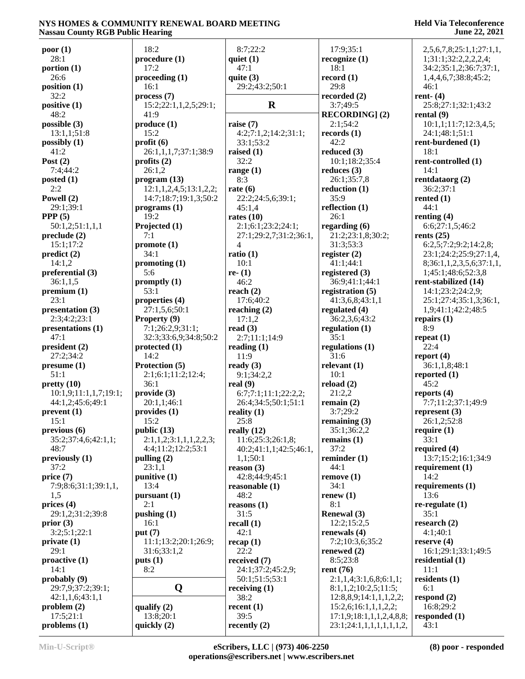| poor(1)               | 18:2                   | 8:7;22:2               | 17:9;35:1                | 2,5,6,7,8;25:1,1;27:1,1, |
|-----------------------|------------------------|------------------------|--------------------------|--------------------------|
| 28:1                  | procedure(1)           | quiet $(1)$            | recognize $(1)$          | 1;31:1;32:2,2,2,2,4;     |
| portion $(1)$         | 17:2                   | 47:1                   | 18:1                     | 34:2;35:1,2;36:7;37:1,   |
| 26:6                  | procedureding(1)       | quite $(3)$            | record $(1)$             | 1,4,4,6,7;38:8;45:2;     |
| position $(1)$        | 16:1                   | 29:2;43:2;50:1         | 29:8                     | 46:1                     |
| 32:2                  | process(7)             |                        | recorded $(2)$           | rent- $(4)$              |
| positive (1)          | 15:2;22:1,1,2,5;29:1;  | $\mathbf R$            | 3:7;49:5                 | 25:8;27:1;32:1;43:2      |
| 48:2                  | 41:9                   |                        | <b>RECORDING</b> ] (2)   | rental $(9)$             |
| possible (3)          | produce (1)            | raise $(7)$            | 2:1;54:2                 | 10:1,1;11:7;12:3,4,5;    |
| 13:1,1;51:8           | 15:2                   | 4:2;7:1,2;14:2;31:1;   | records (1)              | 24:1;48:1;51:1           |
| possibly $(1)$        | profit(6)              | 33:1:53:2              | 42:2                     | rent-burdened (1)        |
|                       | 26:1,1,1,7;37:1;38:9   | raised $(1)$           | reduced $(3)$            | 18:1                     |
| 41:2                  |                        |                        |                          |                          |
| Post $(2)$            | profits $(2)$          | 32:2                   | 10:1;18:2;35:4           | rent-controlled (1)      |
| 7:4:44:2              | 26:1,2                 | range $(1)$            | reduces $(3)$            | 14:1                     |
| posted $(1)$          | program (13)           | 8:3                    | 26:1;35:7,8              | rentdataorg (2)          |
| 2:2                   | 12:1,1,2,4,5;13:1,2,2; | rate $(6)$             | reduction $(1)$          | 36:2;37:1                |
| Powell (2)            | 14:7;18:7;19:1,3;50:2  | 22:2;24:5,6;39:1;      | 35:9                     | rented $(1)$             |
| 29:1;39:1             | programs(1)            | 45:1,4                 | reflection $(1)$         | 44:1                     |
| PPP $(5)$             | 19:2                   | rates $(10)$           | 26:1                     | renting $(4)$            |
| 50:1,2;51:1,1,1       | Projected (1)          | 2:1;6:1;23:2;24:1;     | regarding $(6)$          | 6:6;27:1,5;46:2          |
| preclude (2)          | 7:1                    | 27:1;29:2,7;31:2;36:1, | 21:2;23:1,8;30:2;        | rents $(25)$             |
| 15:1;17:2             | promote(1)             | $\overline{4}$         | 31:3;53:3                | 6:2,5;7:2;9:2;14:2,8;    |
| predict(2)            | 34:1                   | ratio $(1)$            | register $(2)$           | 23:1;24:2;25:9;27:1,4,   |
| 14:1,2                | promoting $(1)$        | 10:1                   | 41:1;44:1                | 8;36:1,1,2,3,5,6;37:1,1, |
| preferential (3)      | 5:6                    | re- $(1)$              | registered $(3)$         | 1;45:1;48:6;52:3,8       |
| 36:1,1,5              | promptly $(1)$         | 46:2                   | 36:9;41:1;44:1           | rent-stabilized (14)     |
| premium (1)           | 53:1                   | reach $(2)$            | registration $(5)$       | 14:1;23:2;24:2,9;        |
| 23:1                  | properties (4)         | 17:6;40:2              | 41:3,6,8;43:1,1          | 25:1;27:4;35:1,3;36:1,   |
|                       |                        |                        |                          |                          |
| presentation (3)      | 27:1,5,6;50:1          | reaching $(2)$         | regulated (4)            | 1,9;41:1;42:2;48:5       |
| 2:3;4:2;23:1          | Property (9)           | 17:1,2                 | 36:2,3,6;43:2            | repairs $(1)$            |
| presentations (1)     | 7:1;26:2,9;31:1;       | read $(3)$             | regulation $(1)$         | 8:9                      |
| 47:1                  | 32:3;33:6,9;34:8;50:2  | 2:7;11:1;14:9          | 35:1                     | repeat $(1)$             |
| president (2)         | protected (1)          | reading $(1)$          | regulations $(1)$        | 22:4                     |
| 27:2;34:2             | 14:2                   | 11:9                   | 31:6                     | report $(4)$             |
| presume(1)            | Protection (5)         | ready $(3)$            | relevant $(1)$           | 36:1,1,8;48:1            |
| 51:1                  | 2:1;6:1;11:2;12:4;     | 9:1;34:2,2             | 10:1                     | reported $(1)$           |
| pretty(10)            | 36:1                   | real $(9)$             | reload $(2)$             | 45:2                     |
| 10:1,9;11:1,1,7;19:1; | provide (3)            | 6:7;7:1;11:1;22:2;2;   | 21:2,2                   | reports $(4)$            |
| 44:1,2;45:6;49:1      | 20:1,1;46:1            | 26:4;34:5;50:1;51:1    | remain $(2)$             | 7:7;11:2;37:1;49:9       |
| prevent(1)            | provides (1)           | reality $(1)$          | 3:7;29:2                 | represent $(3)$          |
| 15:1                  | 15:2                   | 25:8                   | remaining $(3)$          | 26:1,2;52:8              |
| previous(6)           | public (13)            | really $(12)$          | 35:1;36:2,2              | require $(1)$            |
| 35:2;37:4,6;42:1,1;   | 2:1,1,2;3:1,1,1,2,2,3; | 11:6;25:3;26:1,8;      | remains $(1)$            | 33:1                     |
| 48:7                  | 4:4;11:2;12:2;53:1     | 40:2;41:1,1;42:5;46:1, | 37:2                     | required $(4)$           |
|                       |                        | 1,1;50:1               |                          | 13:7;15:2;16:1;34:9      |
| previously $(1)$      | pulling $(2)$          |                        | reminder $(1)$           |                          |
| 37:2                  | 23:1,1                 | reason $(3)$           | 44:1                     | requirement $(1)$        |
| price(7)              | punitive (1)           | 42:8;44:9;45:1         | remove(1)                | 14:2                     |
| 7:9;8:6;31:1;39:1,1,  | 13:4                   | reasonable $(1)$       | 34:1                     | requirements (1)         |
| 1,5                   | pursuant (1)           | 48:2                   | renew $(1)$              | 13:6                     |
| prices $(4)$          | 2:1                    | reasons $(1)$          | 8:1                      | $re$ -regulate $(1)$     |
| 29:1,2;31:2;39:8      | pushing $(1)$          | 31:5                   | <b>Renewal</b> (3)       | 35:1                     |
| prior $(3)$           | 16:1                   | recall $(1)$           | 12:2;15:2,5              | research $(2)$           |
| 3:2;5:1;22:1          | put $(7)$              | 42:1                   | renewals (4)             | 4:1;40:1                 |
| private(1)            | 11:1;13:2;20:1;26:9;   | recap(1)               | 7:2;10:3,6;35:2          | reserve $(4)$            |
| 29:1                  | 31:6;33:1,2            | 22:2                   | renewed $(2)$            | 16:1;29:1;33:1;49:5      |
| proactive (1)         | puts(1)                | received (7)           | 8:5;23:8                 | residential $(1)$        |
| 14:1                  | 8:2                    | 24:1;37:2;45:2,9;      | rent $(76)$              | 11:1                     |
| probably (9)          |                        | 50:1;51:5;53:1         | 2:1,1,4;3:1,6,8;6:1,1;   | residents $(1)$          |
| 29:7,9;37:2;39:1;     | Q                      | receiving $(1)$        | 8:1,1,2;10:2,5;11:5;     | 6:1                      |
| 42:1,1,6;43:1,1       |                        | 38:2                   | 12:8,8,9;14:1,1,1,2,2;   | respond $(2)$            |
| problem(2)            | qualify $(2)$          | recent $(1)$           | 15:2,6;16:1,1,1,2,2;     | 16:8;29:2                |
| 17:5;21:1             | 13:8;20:1              | 39:5                   | 17:1,9;18:1,1,1,2,4,8,8; | responded $(1)$          |
|                       |                        |                        |                          |                          |
| problems $(1)$        | quickly (2)            | recently $(2)$         | 23:1;24:1,1,1,1,1,1,1,2, | 43:1                     |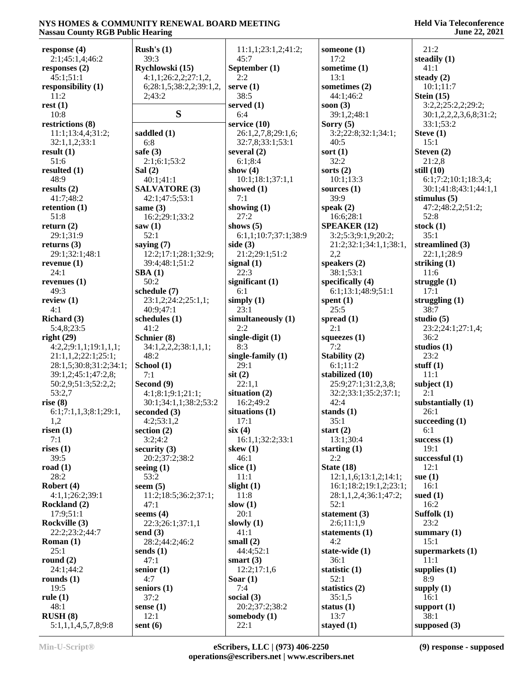| response $(4)$                 | Rush's $(1)$            | 11:1,1;23:1,2;41:2;    | someone $(1)$             | 21:2                   |
|--------------------------------|-------------------------|------------------------|---------------------------|------------------------|
| 2:1;45:1,4;46:2                | 39:3                    | 45:7                   | 17:2                      | steadily (1)           |
| responses $(2)$                | Rychlowski (15)         | September (1)          | sometime $(1)$            | 41:1                   |
| 45:1;51:1                      | 4:1,1;26:2,2;27:1,2,    | 2:2                    | 13:1                      | steady $(2)$           |
| responsibility (1)             | 6;28:1,5;38:2,2;39:1,2, | serve $(1)$            | sometimes (2)             | 10:1;11:7              |
| 11:2                           | 2;43:2                  | 38:5                   | 44:1;46:2                 | Stein $(15)$           |
| rest(1)                        |                         | served $(1)$           | soon $(3)$                | 3:2,2;25:2,2;29:2;     |
| 10:8                           | S                       | 6:4                    | 39:1,2;48:1               | 30:1,2,2,2,3,6,8;31:2; |
| restrictions (8)               |                         | service (10)           | Sorry $(5)$               | 33:1;53:2              |
| 11:1;13:4,4;31:2;              | saddled (1)             | 26:1,2,7,8;29:1,6;     | 3:2;22:8;32:1;34:1;       | Steve $(1)$            |
| 32:1,1,2;33:1                  | 6:8                     | 32:7,8;33:1;53:1       | 40:5                      | 15:1                   |
|                                |                         | several $(2)$          |                           |                        |
| result $(1)$                   | safe $(3)$              |                        | sort $(1)$                | Steven $(2)$           |
| 51:6                           | 2:1;6:1;53:2            | 6:1;8:4                | 32:2                      | 21:2,8                 |
| resulted $(1)$                 | Sal $(2)$               | show $(4)$             | sorts $(2)$               | still $(10)$           |
| 48:9                           | 40:1;41:1               | 10:1;18:1;37:1,1       | 10:1;13:3                 | 6:1;7:2;10:1;18:3,4;   |
| results $(2)$                  | <b>SALVATORE (3)</b>    | showed $(1)$           | sources $(1)$             | 30:1;41:8;43:1;44:1,1  |
| 41:7;48:2                      | 42:1;47:5;53:1          | 7:1                    | 39:9                      | stimulus $(5)$         |
| retention $(1)$                | same $(3)$              | showing $(1)$          | speak $(2)$               | 47:2;48:2,2;51:2;      |
| 51:8                           | 16:2;29:1;33:2          | 27:2                   | 16:6;28:1                 | 52:8                   |
| return $(2)$                   | saw(1)                  | shows $(5)$            | <b>SPEAKER (12)</b>       | stock $(1)$            |
| 29:1;31:9                      | 52:1                    | 6:1,1;10:7;37:1;38:9   | 3:2;5:3;9:1,9;20:2;       | 35:1                   |
| returns $(3)$                  | saying $(7)$            | side $(3)$             | 21:2;32:1;34:1,1;38:1,    | streamlined (3)        |
| 29:1;32:1;48:1                 | 12:2;17:1;28:1;32:9;    | 21:2;29:1;51:2         | 2,2                       | 22:1,1;28:9            |
| revenue $(1)$                  | 39:4;48:1;51:2          | signal $(1)$           | speakers (2)              | striking $(1)$         |
| 24:1                           | SBA(1)                  | 22:3                   | 38:1;53:1                 | 11:6                   |
| revenues $(1)$                 | 50:2                    | significant $(1)$      | specifically $(4)$        | struggle $(1)$         |
| 49:3                           |                         | 6:1                    |                           | 17:1                   |
|                                | schedule (7)            |                        | 6:1;13:1;48:9;51:1        |                        |
| review $(1)$                   | 23:1,2;24:2;25:1,1;     | simply $(1)$           | spent $(1)$               | struggling $(1)$       |
| 4:1                            | 40:9;47:1               | 23:1                   | 25:5                      | 38:7                   |
| Richard (3)                    | schedules (1)           | simultaneously (1)     | spread $(1)$              | studio $(5)$           |
| 5:4,8;23:5                     | 41:2                    | 2:2                    | 2:1                       | 23:2;24:1;27:1,4;      |
|                                |                         |                        |                           |                        |
| right(29)                      | Schnier (8)             | single-digit $(1)$     | squeezes $(1)$            | 36:2                   |
| 4:2,2;9:1,1;19:1,1,1;          | 34:1,2,2,2;38:1,1,1;    | 8:3                    | 7:2                       | studios $(1)$          |
| 21:1,1,2;22:1;25:1;            | 48:2                    | single-family $(1)$    |                           | 23:2                   |
|                                |                         | 29:1                   | Stability (2)<br>6:1;11:2 | stuff $(1)$            |
| 28:1,5;30:8;31:2;34:1;         | School (1)              |                        |                           |                        |
| 39:1,2;45:1;47:2,8;            | 7:1                     | $s$ it $(2)$           | stabilized (10)           | 11:1                   |
| 50:2,9;51:3;52:2,2;            | Second (9)              | 22:1,1                 | 25:9;27:1;31:2,3,8;       | subject $(1)$          |
| 53:2,7                         | 4:1;8:1;9:1;21:1;       | situation (2)          | 32:2;33:1;35:2;37:1;      | 2:1                    |
| rise $(8)$                     | 30:1;34:1,1;38:2;53:2   | 16:2;49:2              | 42:4                      | substantially (1)      |
| 6:1;7:1,1,3;8:1;29:1,          | seconded $(3)$          | situations $(1)$       | stands $(1)$              | 26:1                   |
| 1,2                            | 4:2;53:1,2              | 17:1                   | 35:1                      | succeeding (1)         |
| risen $(1)$                    | section $(2)$           | six(4)                 | start $(2)$               | 6:1                    |
| 7:1                            | 3:2;4:2                 | 16:1,1;32:2;33:1       | 13:1;30:4                 | success $(1)$          |
| rises $(1)$                    | security $(3)$          | skew $(1)$             | starting $(1)$            | 19:1                   |
| 39:5                           | 20:2;37:2;38:2          | 46:1                   | 2:2                       | successful (1)         |
| road $(1)$                     | seeing $(1)$            | slice $(1)$            | State $(18)$              | 12:1                   |
| 28:2                           | 53:2                    | 11:1                   | 12:1,1,6;13:1,2;14:1;     | sue $(1)$              |
| Robert (4)                     | seem $(5)$              | slight $(1)$           | 16:1;18:2;19:1,2;23:1;    | 16:1                   |
| 4:1,1;26:2;39:1                | 11:2;18:5;36:2;37:1;    | 11:8                   | 28:1,1,2,4;36:1;47:2;     | sued $(1)$             |
| Rockland (2)                   | 47:1                    | slow $(1)$             | 52:1                      | 16:2                   |
| 17:9;51:1                      | seems $(4)$             | 20:1                   |                           |                        |
|                                |                         |                        | statement (3)             | Suffolk $(1)$          |
| Rockville (3)                  | 22:3;26:1;37:1,1        | slowly $(1)$           | 2:6;11:1,9                | 23:2                   |
| 22:2;23:2;44:7                 | send $(3)$              | 41:1                   | statements $(1)$          | summary $(1)$          |
| <b>Roman</b> $(1)$             | 28:2;44:2;46:2          | small $(2)$            | 4:2                       | 15:1                   |
| 25:1                           | sends $(1)$             | 44:4;52:1              | state-wide $(1)$          | supermarkets (1)       |
| round $(2)$                    | 47:1                    | smart $(3)$            | 36:1                      | 11:1                   |
| 24:1;44:2                      | senior $(1)$            | 12:2;17:1,6            | statistic (1)             | supplies $(1)$         |
| rounds $(1)$                   | 4:7                     | Soar $(1)$             | 52:1                      | 8:9                    |
| 19:5                           | seniors $(1)$           | 7:4                    | statistics $(2)$          | supply $(1)$           |
| rule $(1)$                     | 37:2                    | social $(3)$           | 35:1,5                    | 16:1                   |
| 48:1                           | sense (1)               | 20:2;37:2;38:2         | status $(1)$              | support $(1)$          |
| RUSH(8)<br>5:1,1,1,4,5,7,8;9:8 | 12:1<br>sent $(6)$      | somebody $(1)$<br>22:1 | 13:7<br>stayed $(1)$      | 38:1<br>supposed (3)   |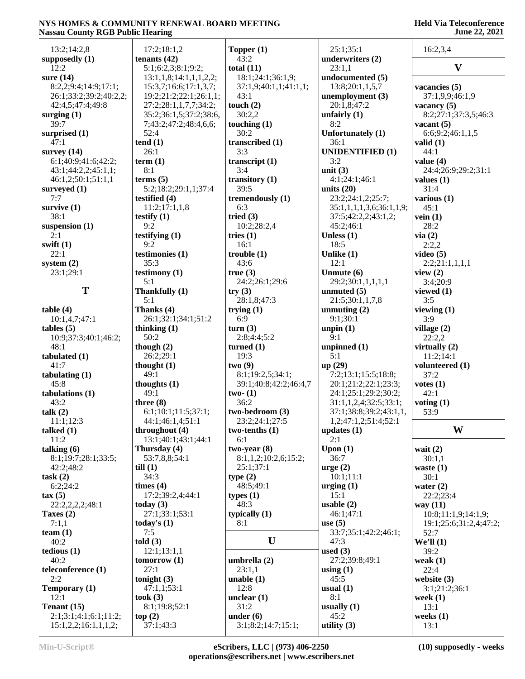**Held Via Teleconference June 22, 2021**

| <b>Trassace County KOD I Gone Hearing</b> |                        |                       |                          |                        |
|-------------------------------------------|------------------------|-----------------------|--------------------------|------------------------|
| 13:2;14:2,8                               | 17:2;18:1,2            | Topper $(1)$          | 25:1;35:1                | 16:2,3,4               |
| supposedly $(1)$                          | tenants $(42)$         | 43:2                  | underwriters (2)         |                        |
| 12:2                                      | 5:1;6:2,3;8:1;9:2;     | total $(11)$          | 23:1,1                   | $\mathbf{V}$           |
| sure $(14)$                               | 13:1,1,8;14:1,1,1,2,2; | 18:1;24:1;36:1,9;     | undocumented (5)         |                        |
|                                           |                        |                       |                          |                        |
| 8:2,2;9:4;14:9;17:1;                      | 15:3,7;16:6;17:1,3,7;  | 37:1,9;40:1,1;41:1,1; | 13:8;20:1,1,5,7          | vacancies (5)          |
| 26:1;33:2;39:2;40:2,2;                    | 19:2;21:2;22:1;26:1,1; | 43:1                  | unemployment (3)         | 37:1,9,9;46:1,9        |
| 42:4,5;47:4;49:8                          | 27:2;28:1,1,7,7;34:2;  | touch $(2)$           | 20:1,8;47:2              | vacancy $(5)$          |
| surging $(1)$                             | 35:2;36:1,5;37:2;38:6, | 30:2,2                | unfairly $(1)$           | 8:2;27:1;37:3,5;46:3   |
| 39:7                                      | 7;43:2;47:2;48:4,6,6;  | touching $(1)$        | 8:2                      | vacant $(5)$           |
| surprised (1)                             | 52:4                   | 30:2                  | Unfortunately (1)        | 6:6;9:2;46:1,1,5       |
| 47:1                                      | tend(1)                | transcribed (1)       | 36:1                     | valid $(1)$            |
| survey $(14)$                             | 26:1                   | 3:3                   | <b>UNIDENTIFIED (1)</b>  | 44:1                   |
| 6:1;40:9;41:6;42:2;                       | term(1)                | transcript $(1)$      | 3:2                      | value $(4)$            |
|                                           |                        |                       |                          |                        |
| 43:1;44:2,2;45:1,1;                       | 8:1                    | 3:4                   | unit $(3)$               | 24:4;26:9;29:2;31:1    |
| 46:1,2;50:1;51:1,1                        | terms <sub>5</sub>     | transitory $(1)$      | 4:1;24:1;46:1            | values $(1)$           |
| surveyed $(1)$                            | 5:2;18:2;29:1,1;37:4   | 39:5                  | units $(20)$             | 31:4                   |
| 7:7                                       | testified $(4)$        | tremendously (1)      | 23:2;24:1,2;25:7;        | various $(1)$          |
| survive $(1)$                             | 11:2;17:1,1,8          | 6:3                   | 35:1,1,1,1,3,6;36:1,1,9; | 45:1                   |
| 38:1                                      | testify $(1)$          | tried $(3)$           | 37:5;42:2,2;43:1,2;      | vein(1)                |
| suspension $(1)$                          | 9:2                    | 10:2;28:2,4           | 45:2;46:1                | 28:2                   |
| 2:1                                       | testifying $(1)$       | tries $(1)$           | Unless $(1)$             | via(2)                 |
| swift $(1)$                               | 9:2                    | 16:1                  | 18:5                     | 2:2,2                  |
|                                           |                        |                       |                          |                        |
| 22:1                                      | testimonies (1)        | trouble(1)            | Unlike (1)               | video $(5)$            |
| system $(2)$                              | 35:3                   | 43:6                  | 12:1                     | 2:2;21:1,1,1,1         |
| 23:1;29:1                                 | testimony (1)          | true(3)               | Unmute $(6)$             | view $(2)$             |
|                                           | 5:1                    | 24:2;26:1;29:6        | 29:2;30:1,1,1,1,1        | 3:4;20:9               |
| T                                         | Thankfully (1)         | try(3)                | unmuted $(5)$            | viewed (1)             |
|                                           | 5:1                    | 28:1,8;47:3           | 21:5;30:1,1,7,8          | 3:5                    |
| table(4)                                  | Thanks (4)             | trying $(1)$          | unmuting $(2)$           | viewing $(1)$          |
| 10:1,4,7;47:1                             | 26:1;32:1;34:1;51:2    | 6:9                   | 9:1;30:1                 | 3:9                    |
|                                           |                        |                       |                          |                        |
| $tables (5)$                              | thinking $(1)$         | turn(3)               | unpin $(1)$              | village $(2)$          |
| 10:9;37:3;40:1;46:2;                      | 50:2                   | 2:8;4:4;5:2           | 9:1                      | 22:2,2                 |
| 48:1                                      | though $(2)$           | turned $(1)$          | unpinned $(1)$           | virtually $(2)$        |
| tabulated (1)                             | 26:2;29:1              | 19:3                  | 5:1                      | 11:2;14:1              |
| 41:7                                      | thought $(1)$          | two(9)                | up(29)                   | volunteered (1)        |
| tabulating (1)                            | 49:1                   | 8:1;19:2,5;34:1;      | 7:2;13:1;15:5;18:8;      | 37:2                   |
| 45:8                                      | thoughts $(1)$         | 39:1;40:8;42:2;46:4,7 | 20:1;21:2;22:1;23:3;     | votes(1)               |
| tabulations $(1)$                         | 49:1                   |                       | 24:1;25:1;29:2;30:2;     | 42:1                   |
|                                           |                        | two- $(1)$            |                          |                        |
| 43:2                                      | three $(8)$            | 36:2                  | 31:1,1,2,4;32:5;33:1;    | voting $(1)$           |
| talk $(2)$                                | 6:1;10:1;11:5;37:1;    | two-bedroom (3)       | 37:1;38:8;39:2;43:1,1,   | 53:9                   |
| 11:1;12:3                                 | 44:1:46:1.4:51:1       | 23:2;24:1;27:5        | 1,2;47:1,2;51:4;52:1     |                        |
| talked $(1)$                              | throughout $(4)$       | two-tenths $(1)$      | updates $(1)$            | W                      |
| 11:2                                      | 13:1;40:1;43:1;44:1    | 6:1                   | 2:1                      |                        |
| talking $(6)$                             | Thursday (4)           | $two-year(8)$         | Upon $(1)$               | wait $(2)$             |
| 8:1;19:7;28:1;33:5;                       | 53:7,8,8;54:1          | 8:1,1,2;10:2,6;15:2;  | 36:7                     | 30:1,1                 |
|                                           |                        |                       |                          |                        |
| 42:2;48:2                                 | $\text{till}$ (1)      | 25:1;37:1             | $\text{urge} (2)$        | waste $(1)$            |
| task(2)                                   | 34:3                   | type(2)               | 10:1;11:1                | 30:1                   |
| 6:2;24:2                                  | times $(4)$            | 48:5;49:1             | urging $(1)$             | water $(2)$            |
| $\tan(5)$                                 | 17:2;39:2,4;44:1       | types $(1)$           | 15:1                     | 22:2;23:4              |
| 22:2,2,2,2;48:1                           | today $(3)$            | 48:3                  | usable $(2)$             | way (11)               |
| Taxes (2)                                 | 27:1;33:1;53:1         | typically $(1)$       | 46:1;47:1                | 10:8;11:1,9;14:1,9;    |
| 7:1,1                                     | today's $(1)$          | 8:1                   | use $(5)$                | 19:1;25:6;31:2,4;47:2; |
| team $(1)$                                | 7:5                    |                       | 33:7;35:1;42:2;46:1;     | 52:7                   |
| 40:2                                      | told(3)                | U                     |                          |                        |
|                                           |                        |                       | 47:3                     | We'll (1)              |
| tedious(1)                                | 12:1;13:1,1            |                       | used $(3)$               | 39:2                   |
| 40:2                                      | tomorrow(1)            | umbrella (2)          | 27:2;39:8;49:1           | weak $(1)$             |
| teleconference (1)                        | 27:1                   | 23:1,1                | using $(1)$              | 22:4                   |
| 2:2                                       | tonight $(3)$          | unable $(1)$          | 45:5                     | website (3)            |
| Temporary (1)                             | 47:1,1;53:1            | 12:8                  | usual $(1)$              | 3:1;21:2;36:1          |
| 12:1                                      | took $(3)$             | unclear $(1)$         | 8:1                      | week $(1)$             |
| Tenant (15)                               | 8:1;19:8;52:1          | 31:2                  | usually $(1)$            |                        |
|                                           |                        |                       |                          | 13:1                   |
| 2:1;3:1;4:1;6:1;11:2;                     | top(2)                 | under $(6)$           | 45:2                     | weeks $(1)$            |
| 15:1,2,2;16:1,1,1,2;                      | 37:1;43:3              | 3:1;8:2;14:7;15:1;    | utility $(3)$            | 13:1                   |
|                                           |                        |                       |                          |                        |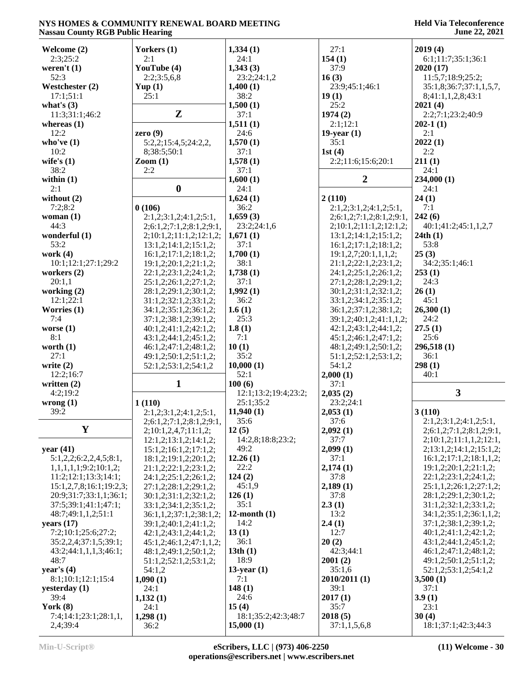| Welcome (2)                       | Yorkers (1)                   | 1,334(1)                         | 27:1                                | 2019(4)                          |
|-----------------------------------|-------------------------------|----------------------------------|-------------------------------------|----------------------------------|
| 2:3:25:2                          | 2:1                           | 24:1                             | 154(1)                              | 6:1;11:7;35:1;36:1               |
| weren't $(1)$                     | YouTube (4)                   | 1,343(3)                         | 37:9                                | 2020(17)                         |
|                                   |                               |                                  |                                     |                                  |
| 52:3                              | 2:2;3:5,6,8                   | 23:2;24:1,2                      | 16(3)                               | 11:5,7;18:9;25:2;                |
| Westchester (2)                   | Yup(1)                        | 1,400(1)                         | 23:9;45:1;46:1                      | 35:1,8;36:7;37:1,1,5,7,          |
| 17:1;51:1                         | 25:1                          | 38:2                             | 19(1)                               | 8;41:1,1,2,8;43:1                |
|                                   |                               |                                  |                                     |                                  |
| what's $(3)$                      |                               | 1,500(1)                         | 25:2                                | 2021(4)                          |
| 11:3;31:1;46:2                    | $\mathbf{Z}$                  | 37:1                             | 1974(2)                             | 2:2;7:1;23:2;40:9                |
| whereas $(1)$                     |                               | 1,511(1)                         | 2:1;12:1                            | $202-1(1)$                       |
|                                   |                               |                                  |                                     |                                  |
| 12:2                              | zero $(9)$                    | 24:6                             | $19$ -year $(1)$                    | 2:1                              |
| who've $(1)$                      | 5:2,2;15:4,5;24:2,2,          | 1,570(1)                         | 35:1                                | 2022(1)                          |
| 10:2                              | 8;38:5;50:1                   | 37:1                             | 1st $(4)$                           | 2:2                              |
|                                   |                               |                                  |                                     |                                  |
| wife's $(1)$                      | $\mathrm{Zoom}\left(1\right)$ | 1,578(1)                         | 2:2;11:6;15:6;20:1                  | 211(1)                           |
| 38:2                              | 2:2                           | 37:1                             |                                     | 24:1                             |
|                                   |                               |                                  | $\overline{2}$                      |                                  |
| within $(1)$                      |                               | 1,600(1)                         |                                     | 234,000(1)                       |
| 2:1                               | $\boldsymbol{0}$              | 24:1                             |                                     | 24:1                             |
| without $(2)$                     |                               | 1,624(1)                         | 2(110)                              | 24(1)                            |
|                                   |                               |                                  |                                     |                                  |
| 7:2;8:2                           | 0(106)                        | 36:2                             | 2:1,2;3:1,2;4:1,2;5:1,              | 7:1                              |
| woman $(1)$                       | 2:1,2;3:1,2;4:1,2;5:1,        | 1,659(3)                         | 2; 6: 1, 2; 7: 1, 2; 8: 1, 2; 9: 1, | 242(6)                           |
| 44:3                              | 2;6:1,2;7:1,2;8:1,2;9:1,      | 23:2;24:1,6                      | 2;10:1,2;11:1,2;12:1,2;             | 40:1;41:2;45:1,1,2,7             |
|                                   |                               |                                  |                                     |                                  |
| wonderful (1)                     | 2; 10:1, 2; 11:1, 2; 12:1, 2; | 1,671(1)                         | 13:1,2;14:1,2;15:1,2;               | 24th(1)                          |
| 53:2                              | 13:1,2;14:1,2;15:1,2;         | 37:1                             | 16:1,2;17:1,2;18:1,2;               | 53:8                             |
| work $(4)$                        |                               | 1,700(1)                         | 19:1,2,7;20:1,1,1,2;                | 25(3)                            |
|                                   | 16:1,2;17:1,2;18:1,2;         |                                  |                                     |                                  |
| 10:1;12:1;27:1;29:2               | 19:1,2;20:1,2;21:1,2;         | 38:1                             | 21:1,2;22:1,2;23:1,2;               | 34:2;35:1;46:1                   |
| workers (2)                       | 22:1,2;23:1,2;24:1,2;         | 1,738(1)                         | 24:1,2;25:1,2;26:1,2;               | 253(1)                           |
|                                   | 25:1,2;26:1,2;27:1,2;         | 37:1                             | 27:1,2;28:1,2;29:1,2;               | 24:3                             |
| 20:1,1                            |                               |                                  |                                     |                                  |
| working $(2)$                     | 28:1,2;29:1,2;30:1,2;         | 1,992(1)                         | 30:1,2;31:1,2;32:1,2;               | 26(1)                            |
| 12:1;22:1                         | 31:1,2;32:1,2;33:1,2;         | 36:2                             | 33:1,2;34:1,2;35:1,2;               | 45:1                             |
|                                   |                               |                                  |                                     |                                  |
| Worries $(1)$                     | 34:1,2;35:1,2;36:1,2;         | 1.6(1)                           | 36:1,2;37:1,2;38:1,2;               | 26,300(1)                        |
| 7:4                               | 37:1,2;38:1,2;39:1,2;         | 25:3                             | 39:1,2;40:1,2;41:1,1,2;             | 24:2                             |
| worse $(1)$                       | 40:1,2;41:1,2;42:1,2;         | 1.8(1)                           | 42:1,2;43:1,2;44:1,2;               | 27.5(1)                          |
|                                   |                               |                                  |                                     |                                  |
| 8:1                               | 43:1,2;44:1,2;45:1,2;         | 7:1                              |                                     |                                  |
|                                   |                               |                                  | 45:1,2;46:1,2;47:1,2;               | 25:6                             |
|                                   |                               |                                  |                                     |                                  |
| worth $(1)$                       | 46:1,2;47:1,2;48:1,2;         | 10(1)                            | 48:1,2;49:1,2;50:1,2;               | 296,518 (1)                      |
| 27:1                              | 49:1,2;50:1,2;51:1,2;         | 35:2                             | 51:1,2;52:1,2;53:1,2;               | 36:1                             |
| write $(2)$                       | 52:1,2;53:1,2;54:1,2          | 10,000(1)                        | 54:1,2                              | 298(1)                           |
|                                   |                               |                                  |                                     |                                  |
| 12:2;16:7                         |                               | 52:1                             | 2,000(1)                            | 40:1                             |
| written $(2)$                     | $\mathbf{1}$                  | 100(6)                           | 37:1                                |                                  |
| 4:2;19:2                          |                               | 12:1;13:2;19:4;23:2;             | 2,035(2)                            | $\mathbf{3}$                     |
|                                   |                               |                                  |                                     |                                  |
| wrong(1)                          | 1(110)                        | 25:1;35:2                        | 23:2:24:1                           |                                  |
| 39:2                              | 2:1,2;3:1,2;4:1,2;5:1,        | 11,940(1)                        | 2,053(1)                            | 3(110)                           |
|                                   |                               | 35:6                             | 37:6                                |                                  |
|                                   | 2;6:1,2;7:1,2;8:1,2;9:1,      |                                  |                                     | 2:1,2;3:1,2;4:1,2;5:1,           |
| Y                                 | 2;10:1,2,4,7;11:1,2;          | 12(5)                            | 2,092(1)                            | 2;6:1,2;7:1,2;8:1,2;9:1,         |
|                                   | 12:1,2;13:1,2;14:1,2;         | 14:2,8;18:8;23:2;                | 37:7                                | 2;10:1,2;11:1,1,2;12:1,          |
| year $(41)$                       | 15:1,2;16:1,2;17:1,2;         | 49:2                             | 2,099(1)                            | 2; 13: 1, 2; 14: 1, 2; 15: 1, 2; |
|                                   |                               |                                  |                                     |                                  |
| 5:1,2,2;6:2,2,4,5;8:1,            | 18:1,2;19:1,2;20:1,2;         | 12.26(1)                         | 37:1                                | 16:1,2;17:1,2;18:1,1,2;          |
| 1,1,1,1,1;9:2;10:1,2;             | 21:1,2;22:1,2;23:1,2;         | 22:2                             | 2,174(1)                            | 19:1,2;20:1,2;21:1,2;            |
| 11:2;12:1;13:3;14:1;              |                               | 124(2)                           | 37:8                                | 22:1,2;23:1,2;24:1,2;            |
|                                   | 24:1,2;25:1,2;26:1,2;         |                                  |                                     |                                  |
| 15:1,2,7,8;16:1;19:2,3;           | 27:1,2;28:1,2;29:1,2;         | 45:1,9                           | 2,189(1)                            | 25:1,1,2;26:1,2;27:1,2;          |
| 20:9;31:7;33:1,1;36:1;            | 30:1,2;31:1,2;32:1,2;         | 126(1)                           | 37:8                                | 28:1,2;29:1,2;30:1,2;            |
|                                   |                               |                                  |                                     |                                  |
| 37:5;39:1;41:1;47:1;              | 33:1,2;34:1,2;35:1,2;         | 35:1                             | 2.3(1)                              | 31:1,2;32:1,2;33:1,2;            |
| 48:7;49:1,1,2;51:1                | 36:1,1,2;37:1,2;38:1,2;       | $12$ -month $(1)$                | 13:2                                | 34:1,2;35:1,2;36:1,1,2;          |
| years $(17)$                      | 39:1,2;40:1,2;41:1,2;         | 14:2                             | 2.4(1)                              | 37:1,2;38:1,2;39:1,2;            |
|                                   |                               |                                  | 12:7                                |                                  |
| 7:2;10:1;25:6;27:2;               | 42:1,2;43:1,2;44:1,2;         | 13(1)                            |                                     | 40:1,2;41:1,2;42:1,2;            |
| 35:2,2,4;37:1,5;39:1;             | 45:1,2;46:1,2;47:1,1,2;       | 36:1                             | 20(2)                               | 43:1,2;44:1,2;45:1,2;            |
| 43:2;44:1,1,1,3;46:1;             | 48:1,2;49:1,2;50:1,2;         | 13th(1)                          | 42:3;44:1                           | 46:1,2;47:1,2;48:1,2;            |
|                                   |                               |                                  |                                     |                                  |
| 48:7                              | 51:1,2;52:1,2;53:1,2;         | 18:9                             | 2001(2)                             | 49:1,2;50:1,2;51:1,2;            |
| year's $(4)$                      | 54:1,2                        | 13-year $(1)$                    | 35:1,6                              | 52:1,2;53:1,2;54:1,2             |
| 8:1;10:1;12:1;15:4                | 1,090(1)                      | 7:1                              | 2010/2011 (1)                       | 3,500(1)                         |
|                                   |                               |                                  |                                     |                                  |
| yesterday $(1)$                   | 24:1                          | 148(1)                           | 39:1                                | 37:1                             |
| 39:4                              | 1,132(1)                      | 24:6                             | 2017(1)                             | 3.9(1)                           |
| York $(8)$                        | 24:1                          | 15(4)                            | 35:7                                | 23:1                             |
|                                   |                               |                                  |                                     |                                  |
| 7:4;14:1;23:1;28:1,1,<br>2,4;39:4 | 1,298(1)<br>36:2              | 18:1;35:2;42:3;48:7<br>15,000(1) | 2018(5)<br>37:1,1,5,6,8             | 30(4)<br>18:1;37:1;42:3;44:3     |